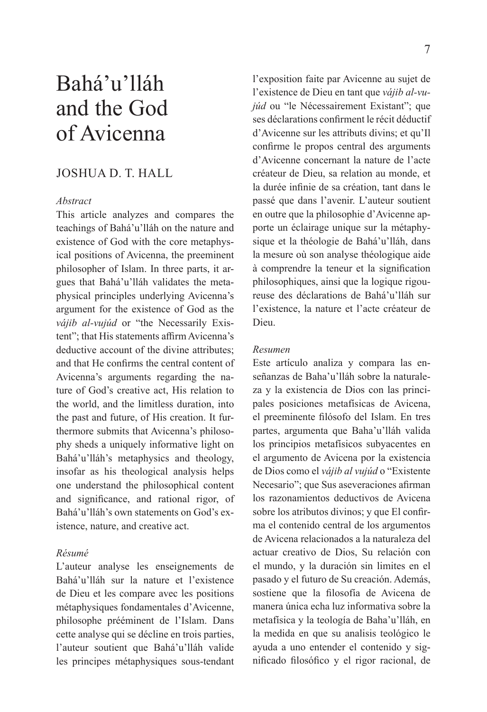# Bahá'u'lláh and the God of Avicenna

# JOSHUA D. T. HALL

## *Abstract*

This article analyzes and compares the teachings of Bahá'u'lláh on the nature and existence of God with the core metaphysical positions of Avicenna, the preeminent philosopher of Islam. In three parts, it argues that Bahá'u'lláh validates the metaphysical principles underlying Avicenna's argument for the existence of God as the *vájib al-vujúd* or "the Necessarily Existent": that His statements affirm Avicenna's deductive account of the divine attributes; and that He confirms the central content of Avicenna's arguments regarding the nature of God's creative act, His relation to the world, and the limitless duration, into the past and future, of His creation. It furthermore submits that Avicenna's philosophy sheds a uniquely informative light on Bahá'u'lláh's metaphysics and theology, insofar as his theological analysis helps one understand the philosophical content and significance, and rational rigor, of Bahá'u'lláh's own statements on God's existence, nature, and creative act.

#### *Résumé*

L'auteur analyse les enseignements de Bahá'u'lláh sur la nature et l'existence de Dieu et les compare avec les positions métaphysiques fondamentales d'Avicenne, philosophe prééminent de l'Islam. Dans cette analyse qui se décline en trois parties, l'auteur soutient que Bahá'u'lláh valide les principes métaphysiques sous-tendant

l'exposition faite par Avicenne au sujet de l'existence de Dieu en tant que *vájib al-vujúd* ou "le Nécessairement Existant"; que ses déclarations confirment le récit déductif d'Avicenne sur les attributs divins; et qu'Il confirme le propos central des arguments d'Avicenne concernant la nature de l'acte créateur de Dieu, sa relation au monde, et la durée infinie de sa création, tant dans le passé que dans l'avenir. L'auteur soutient en outre que la philosophie d'Avicenne apporte un éclairage unique sur la métaphysique et la théologie de Bahá'u'lláh, dans la mesure où son analyse théologique aide à comprendre la teneur et la signification philosophiques, ainsi que la logique rigoureuse des déclarations de Bahá'u'lláh sur l'existence, la nature et l'acte créateur de Dieu.

#### *Resumen*

Este artículo analiza y compara las enseñanzas de Baha'u'lláh sobre la naturaleza y la existencia de Dios con las principales posiciones metafísicas de Avicena, el preeminente filósofo del Islam. En tres partes, argumenta que Baha'u'lláh valida los principios metafísicos subyacentes en el argumento de Avicena por la existencia de Dios como el *vájib al vujúd* o "Existente Necesario"; que Sus aseveraciones afirman los razonamientos deductivos de Avicena sobre los atributos divinos; y que El confirma el contenido central de los argumentos de Avicena relacionados a la naturaleza del actuar creativo de Dios, Su relación con el mundo, y la duración sin limites en el pasado y el futuro de Su creación. Además, sostiene que la filosofía de Avicena de manera única echa luz informativa sobre la metafísica y la teología de Baha'u'lláh, en la medida en que su analisis teológico le ayuda a uno entender el contenido y significado filosófico y el rigor racional, de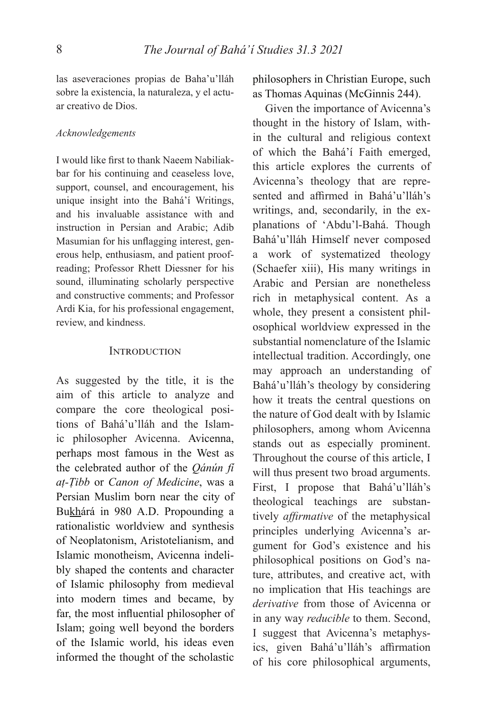las aseveraciones propias de Baha'u'lláh sobre la existencia, la naturaleza, y el actuar creativo de Dios.

#### *Acknowledgements*

I would like first to thank Naeem Nabiliakbar for his continuing and ceaseless love, support, counsel, and encouragement, his unique insight into the Bahá'í Writings, and his invaluable assistance with and instruction in Persian and Arabic; Adib Masumian for his unflagging interest, generous help, enthusiasm, and patient proofreading; Professor Rhett Diessner for his sound, illuminating scholarly perspective and constructive comments; and Professor Ardi Kia, for his professional engagement, review, and kindness.

#### INTRODUCTION

As suggested by the title, it is the aim of this article to analyze and compare the core theological positions of Bahá'u'lláh and the Islamic philosopher Avicenna. Avicenna, perhaps most famous in the West as the celebrated author of the *Qánún fí aṭ-Ṭibb* or *Canon of Medicine*, was a Persian Muslim born near the city of Bukhárá in 980 A.D. Propounding a rationalistic worldview and synthesis of Neoplatonism, Aristotelianism, and Islamic monotheism, Avicenna indelibly shaped the contents and character of Islamic philosophy from medieval into modern times and became, by far, the most influential philosopher of Islam; going well beyond the borders of the Islamic world, his ideas even informed the thought of the scholastic

philosophers in Christian Europe, such as Thomas Aquinas (McGinnis 244).

Given the importance of Avicenna's thought in the history of Islam, within the cultural and religious context of which the Bahá'í Faith emerged, this article explores the currents of Avicenna's theology that are represented and affirmed in Bahá'u'lláh's writings, and, secondarily, in the explanations of 'Abdu'l-Bahá. Though Bahá'u'lláh Himself never composed a work of systematized theology (Schaefer xiii), His many writings in Arabic and Persian are nonetheless rich in metaphysical content. As a whole, they present a consistent philosophical worldview expressed in the substantial nomenclature of the Islamic intellectual tradition. Accordingly, one may approach an understanding of Bahá'u'lláh's theology by considering how it treats the central questions on the nature of God dealt with by Islamic philosophers, among whom Avicenna stands out as especially prominent. Throughout the course of this article, I will thus present two broad arguments. First, I propose that Bahá'u'lláh's theological teachings are substantively *affirmative* of the metaphysical principles underlying Avicenna's argument for God's existence and his philosophical positions on God's nature, attributes, and creative act, with no implication that His teachings are *derivative* from those of Avicenna or in any way *reducible* to them. Second, I suggest that Avicenna's metaphysics, given Bahá'u'lláh's affirmation of his core philosophical arguments,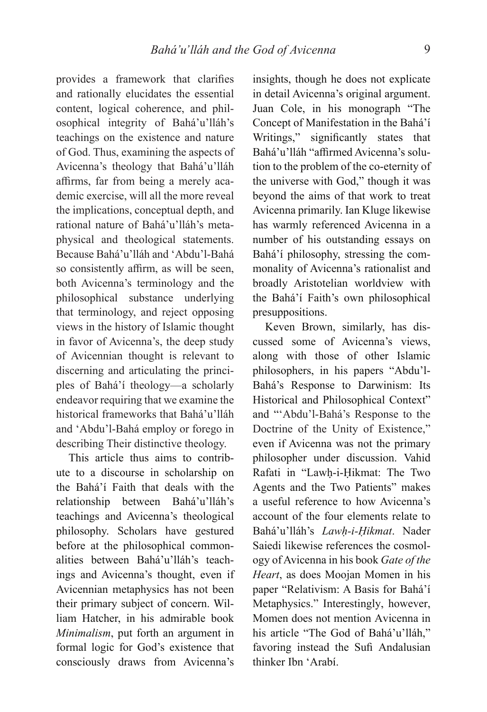provides a framework that clarifies and rationally elucidates the essential content, logical coherence, and philosophical integrity of Bahá'u'lláh's teachings on the existence and nature of God. Thus, examining the aspects of Avicenna's theology that Bahá'u'lláh affirms, far from being a merely academic exercise, will all the more reveal the implications, conceptual depth, and rational nature of Bahá'u'lláh's metaphysical and theological statements. Because Bahá'u'lláh and 'Abdu'l-Bahá so consistently affirm, as will be seen, both Avicenna's terminology and the philosophical substance underlying that terminology, and reject opposing views in the history of Islamic thought in favor of Avicenna's, the deep study of Avicennian thought is relevant to discerning and articulating the principles of Bahá'í theology—a scholarly endeavor requiring that we examine the historical frameworks that Bahá'u'lláh and 'Abdu'l-Bahá employ or forego in describing Their distinctive theology.

This article thus aims to contribute to a discourse in scholarship on the Bahá'í Faith that deals with the relationship between Bahá'u'lláh's teachings and Avicenna's theological philosophy. Scholars have gestured before at the philosophical commonalities between Bahá'u'lláh's teachings and Avicenna's thought, even if Avicennian metaphysics has not been their primary subject of concern. William Hatcher, in his admirable book *Minimalism*, put forth an argument in formal logic for God's existence that consciously draws from Avicenna's

insights, though he does not explicate in detail Avicenna's original argument. Juan Cole, in his monograph "The Concept of Manifestation in the Bahá'í Writings," significantly states that Bahá'u'lláh "affirmed Avicenna's solution to the problem of the co-eternity of the universe with God," though it was beyond the aims of that work to treat Avicenna primarily. Ian Kluge likewise has warmly referenced Avicenna in a number of his outstanding essays on Bahá'í philosophy, stressing the commonality of Avicenna's rationalist and broadly Aristotelian worldview with the Bahá'í Faith's own philosophical presuppositions.

Keven Brown, similarly, has discussed some of Avicenna's views, along with those of other Islamic philosophers, in his papers "Abdu'l-Bahá's Response to Darwinism: Its Historical and Philosophical Context" and "'Abdu'l-Bahá's Response to the Doctrine of the Unity of Existence," even if Avicenna was not the primary philosopher under discussion. Vahid Rafati in "Lawḥ-i-Ḥikmat: The Two Agents and the Two Patients" makes a useful reference to how Avicenna's account of the four elements relate to Bahá'u'lláh's *Lawḥ-i-Ḥikmat*. Nader Saiedi likewise references the cosmology of Avicenna in his book *Gate of the Heart*, as does Moojan Momen in his paper "Relativism: A Basis for Bahá'í Metaphysics." Interestingly, however, Momen does not mention Avicenna in his article "The God of Bahá'u'lláh," favoring instead the Sufi Andalusian thinker Ibn 'Arabí.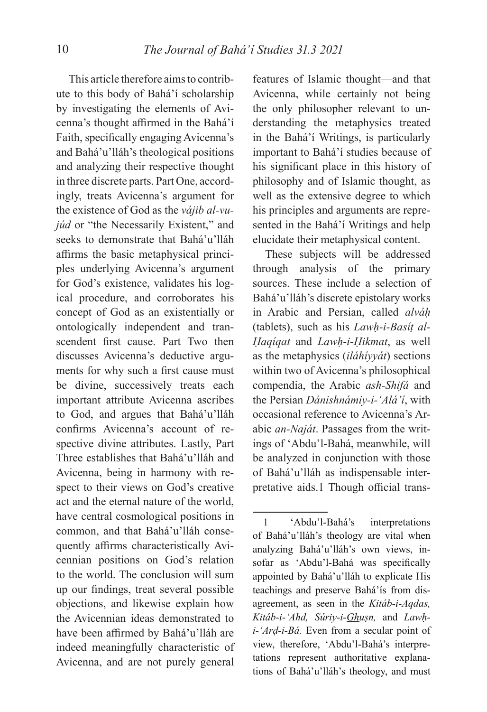This article therefore aims to contribute to this body of Bahá'í scholarship by investigating the elements of Avicenna's thought affirmed in the Bahá'í Faith, specifically engaging Avicenna's and Bahá'u'lláh's theological positions and analyzing their respective thought in three discrete parts. Part One, accordingly, treats Avicenna's argument for the existence of God as the *vájib al-vujúd* or "the Necessarily Existent," and seeks to demonstrate that Bahá'u'lláh affirms the basic metaphysical principles underlying Avicenna's argument for God's existence, validates his logical procedure, and corroborates his concept of God as an existentially or ontologically independent and transcendent first cause. Part Two then discusses Avicenna's deductive arguments for why such a first cause must be divine, successively treats each important attribute Avicenna ascribes to God, and argues that Bahá'u'lláh confirms Avicenna's account of respective divine attributes. Lastly, Part Three establishes that Bahá'u'lláh and Avicenna, being in harmony with respect to their views on God's creative act and the eternal nature of the world, have central cosmological positions in common, and that Bahá'u'lláh consequently affirms characteristically Avicennian positions on God's relation to the world. The conclusion will sum up our findings, treat several possible objections, and likewise explain how the Avicennian ideas demonstrated to have been affirmed by Bahá'u'lláh are indeed meaningfully characteristic of Avicenna, and are not purely general

features of Islamic thought—and that Avicenna, while certainly not being the only philosopher relevant to understanding the metaphysics treated in the Bahá'í Writings, is particularly important to Bahá'í studies because of his significant place in this history of philosophy and of Islamic thought, as well as the extensive degree to which his principles and arguments are represented in the Bahá'í Writings and help elucidate their metaphysical content.

These subjects will be addressed through analysis of the primary sources. These include a selection of Bahá'u'lláh's discrete epistolary works in Arabic and Persian, called *alváḥ* (tablets), such as his *Lawḥ-i-Basíṭ al-Ḥaqíqat* and *Lawḥ-i-Ḥikmat*, as well as the metaphysics (*iláhíyyát*) sections within two of Avicenna's philosophical compendia, the Arabic *ash-Shifá* and the Persian *Dánishnámiy-i-'Alá'í*, with occasional reference to Avicenna's Arabic *an-Naját*. Passages from the writings of 'Abdu'l-Bahá, meanwhile, will be analyzed in conjunction with those of Bahá'u'lláh as indispensable interpretative aids.1 Though official trans-

<sup>1 &#</sup>x27;Abdu'l-Bahá's interpretations of Bahá'u'lláh's theology are vital when analyzing Bahá'u'lláh's own views, insofar as 'Abdu'l-Bahá was specifically appointed by Bahá'u'lláh to explicate His teachings and preserve Bahá'ís from disagreement, as seen in the *Kitáb-i-Aqdas, Kitáb-i-'Ahd, Súriy-i-Ghuṣn,* and *Lawḥi-'Arḍ-i-Bá.* Even from a secular point of view, therefore, 'Abdu'l-Bahá's interpretations represent authoritative explanations of Bahá'u'lláh's theology, and must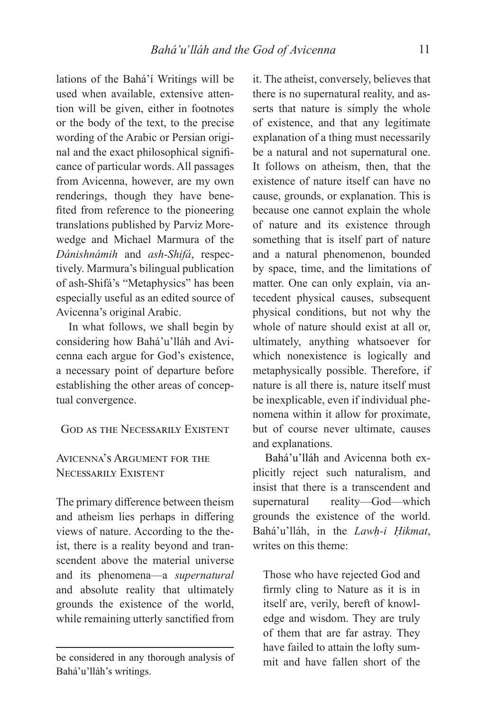lations of the Bahá'í Writings will be used when available, extensive attention will be given, either in footnotes or the body of the text, to the precise wording of the Arabic or Persian original and the exact philosophical significance of particular words. All passages from Avicenna, however, are my own renderings, though they have benefited from reference to the pioneering translations published by Parviz Morewedge and Michael Marmura of the *Dánishnámih* and *ash-Shifá*, respectively. Marmura's bilingual publication of ash-Shifá's "Metaphysics" has been especially useful as an edited source of Avicenna's original Arabic.

In what follows, we shall begin by considering how Bahá'u'lláh and Avicenna each argue for God's existence, a necessary point of departure before establishing the other areas of conceptual convergence.

## GOD AS THE NECESSARILY EXISTENT

# AVICENNA'S ARGUMENT FOR THE NECESSARILY EXISTENT

The primary difference between theism and atheism lies perhaps in differing views of nature. According to the theist, there is a reality beyond and transcendent above the material universe and its phenomena—a *supernatural* and absolute reality that ultimately grounds the existence of the world, while remaining utterly sanctified from

it. The atheist, conversely, believes that there is no supernatural reality, and asserts that nature is simply the whole of existence, and that any legitimate explanation of a thing must necessarily be a natural and not supernatural one. It follows on atheism, then, that the existence of nature itself can have no cause, grounds, or explanation. This is because one cannot explain the whole of nature and its existence through something that is itself part of nature and a natural phenomenon, bounded by space, time, and the limitations of matter. One can only explain, via antecedent physical causes, subsequent physical conditions, but not why the whole of nature should exist at all or, ultimately, anything whatsoever for which nonexistence is logically and metaphysically possible. Therefore, if nature is all there is, nature itself must be inexplicable, even if individual phenomena within it allow for proximate, but of course never ultimate, causes and explanations.

Bahá'u'lláh and Avicenna both explicitly reject such naturalism, and insist that there is a transcendent and supernatural reality—God—which grounds the existence of the world. Bahá'u'lláh, in the *Lawḥ-i Ḥikmat*, writes on this theme:

Those who have rejected God and firmly cling to Nature as it is in itself are, verily, bereft of knowledge and wisdom. They are truly of them that are far astray. They have failed to attain the lofty summit and have fallen short of the

be considered in any thorough analysis of Bahá'u'lláh's writings.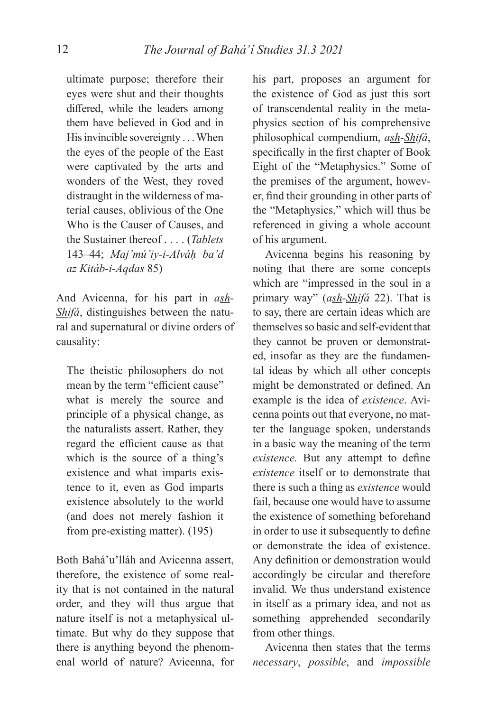ultimate purpose; therefore their eyes were shut and their thoughts differed, while the leaders among them have believed in God and in His invincible sovereignty . . . When the eyes of the people of the East were captivated by the arts and wonders of the West, they roved distraught in the wilderness of material causes, oblivious of the One Who is the Causer of Causes, and the Sustainer thereof . . . . (*Tablets*  143–44; *Maj'mú'iy-i-Alváḥ ba'd az Kitáb-i-Aqdas* 85)

And Avicenna, for his part in *ash-Shifá*, distinguishes between the natural and supernatural or divine orders of causality:

The theistic philosophers do not mean by the term "efficient cause" what is merely the source and principle of a physical change, as the naturalists assert. Rather, they regard the efficient cause as that which is the source of a thing's existence and what imparts existence to it, even as God imparts existence absolutely to the world (and does not merely fashion it from pre-existing matter). (195)

Both Bahá'u'lláh and Avicenna assert, therefore, the existence of some reality that is not contained in the natural order, and they will thus argue that nature itself is not a metaphysical ultimate. But why do they suppose that there is anything beyond the phenomenal world of nature? Avicenna, for

his part, proposes an argument for the existence of God as just this sort of transcendental reality in the metaphysics section of his comprehensive philosophical compendium, *ash-Shifá*, specifically in the first chapter of Book Eight of the "Metaphysics." Some of the premises of the argument, however, find their grounding in other parts of the "Metaphysics," which will thus be referenced in giving a whole account of his argument.

Avicenna begins his reasoning by noting that there are some concepts which are "impressed in the soul in a primary way" (*ash-Shifá* 22). That is to say, there are certain ideas which are themselves so basic and self-evident that they cannot be proven or demonstrated, insofar as they are the fundamental ideas by which all other concepts might be demonstrated or defined. An example is the idea of *existence*. Avicenna points out that everyone, no matter the language spoken, understands in a basic way the meaning of the term *existence*. But any attempt to define *existence* itself or to demonstrate that there is such a thing as *existence* would fail, because one would have to assume the existence of something beforehand in order to use it subsequently to define or demonstrate the idea of existence. Any definition or demonstration would accordingly be circular and therefore invalid. We thus understand existence in itself as a primary idea, and not as something apprehended secondarily from other things.

Avicenna then states that the terms *necessary*, *possible*, and *impossible*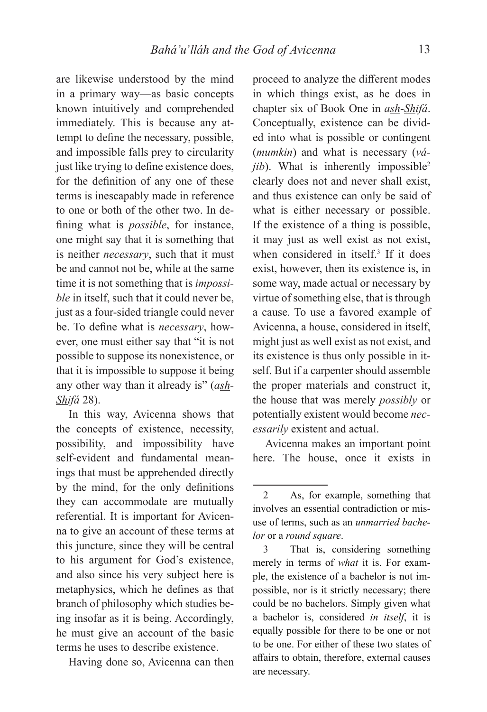are likewise understood by the mind in a primary way—as basic concepts known intuitively and comprehended immediately. This is because any attempt to define the necessary, possible, and impossible falls prey to circularity just like trying to define existence does, for the definition of any one of these terms is inescapably made in reference to one or both of the other two. In defining what is *possible*, for instance, one might say that it is something that is neither *necessary*, such that it must be and cannot not be, while at the same time it is not something that is *impossible* in itself, such that it could never be, just as a four-sided triangle could never be. To define what is *necessary*, however, one must either say that "it is not possible to suppose its nonexistence, or that it is impossible to suppose it being any other way than it already is" (*ash-Shifá* 28).

In this way, Avicenna shows that the concepts of existence, necessity, possibility, and impossibility have self-evident and fundamental meanings that must be apprehended directly by the mind, for the only definitions they can accommodate are mutually referential. It is important for Avicenna to give an account of these terms at this juncture, since they will be central to his argument for God's existence, and also since his very subject here is metaphysics, which he defines as that branch of philosophy which studies being insofar as it is being. Accordingly, he must give an account of the basic terms he uses to describe existence.

Having done so, Avicenna can then

proceed to analyze the different modes in which things exist, as he does in chapter six of Book One in *ash-Shifá*. Conceptually, existence can be divided into what is possible or contingent (*mumkin*) and what is necessary (*vá* $jib$ ). What is inherently impossible<sup>2</sup> clearly does not and never shall exist, and thus existence can only be said of what is either necessary or possible. If the existence of a thing is possible, it may just as well exist as not exist, when considered in itself.3 If it does exist, however, then its existence is, in some way, made actual or necessary by virtue of something else, that is through a cause. To use a favored example of Avicenna, a house, considered in itself, might just as well exist as not exist, and its existence is thus only possible in itself. But if a carpenter should assemble the proper materials and construct it, the house that was merely *possibly* or potentially existent would become *necessarily* existent and actual.

Avicenna makes an important point here. The house, once it exists in

<sup>2</sup> As, for example, something that involves an essential contradiction or misuse of terms, such as an *unmarried bachelor* or a *round square*.

<sup>3</sup> That is, considering something merely in terms of *what* it is. For example, the existence of a bachelor is not impossible, nor is it strictly necessary; there could be no bachelors. Simply given what a bachelor is, considered *in itself*, it is equally possible for there to be one or not to be one. For either of these two states of affairs to obtain, therefore, external causes are necessary.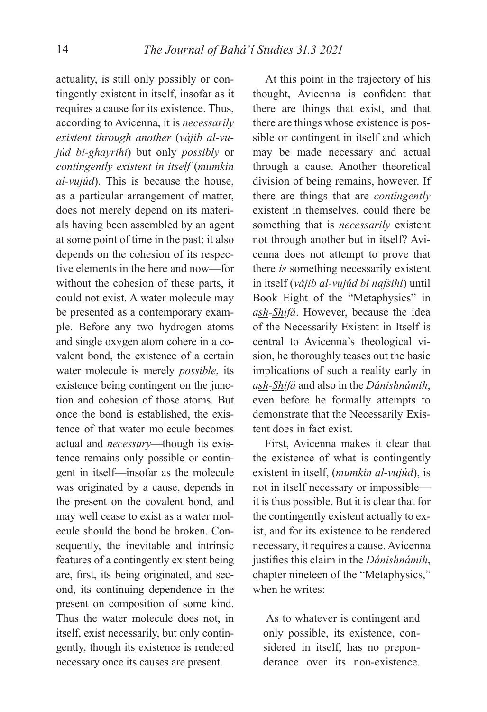actuality, is still only possibly or contingently existent in itself, insofar as it requires a cause for its existence. Thus, according to Avicenna, it is *necessarily existent through another* (*vájib al-vujúd bi-ghayrihi*) but only *possibly* or *contingently existent in itself* (*mumkin al-vujúd*). This is because the house, as a particular arrangement of matter, does not merely depend on its materials having been assembled by an agent at some point of time in the past; it also depends on the cohesion of its respective elements in the here and now—for without the cohesion of these parts, it could not exist. A water molecule may be presented as a contemporary example. Before any two hydrogen atoms and single oxygen atom cohere in a covalent bond, the existence of a certain water molecule is merely *possible*, its existence being contingent on the junction and cohesion of those atoms. But once the bond is established, the existence of that water molecule becomes actual and *necessary*—though its existence remains only possible or contingent in itself—insofar as the molecule was originated by a cause, depends in the present on the covalent bond, and may well cease to exist as a water molecule should the bond be broken. Consequently, the inevitable and intrinsic features of a contingently existent being are, first, its being originated, and second, its continuing dependence in the present on composition of some kind. Thus the water molecule does not, in itself, exist necessarily, but only contingently, though its existence is rendered necessary once its causes are present.

At this point in the trajectory of his thought, Avicenna is confident that there are things that exist, and that there are things whose existence is possible or contingent in itself and which may be made necessary and actual through a cause. Another theoretical division of being remains, however. If there are things that are *contingently* existent in themselves, could there be something that is *necessarily* existent not through another but in itself? Avicenna does not attempt to prove that there *is* something necessarily existent in itself (*vájib al-vujúd bi nafsihi*) until Book Eight of the "Metaphysics" in *ash-Shifá*. However, because the idea of the Necessarily Existent in Itself is central to Avicenna's theological vision, he thoroughly teases out the basic implications of such a reality early in *ash-Shifá* and also in the *Dánishnámih*, even before he formally attempts to demonstrate that the Necessarily Existent does in fact exist.

First, Avicenna makes it clear that the existence of what is contingently existent in itself, (*mumkin al-vujúd*), is not in itself necessary or impossible it is thus possible. But it is clear that for the contingently existent actually to exist, and for its existence to be rendered necessary, it requires a cause. Avicenna justifies this claim in the *Dánishnámih*, chapter nineteen of the "Metaphysics," when he writes:

 As to whatever is contingent and only possible, its existence, considered in itself, has no preponderance over its non-existence.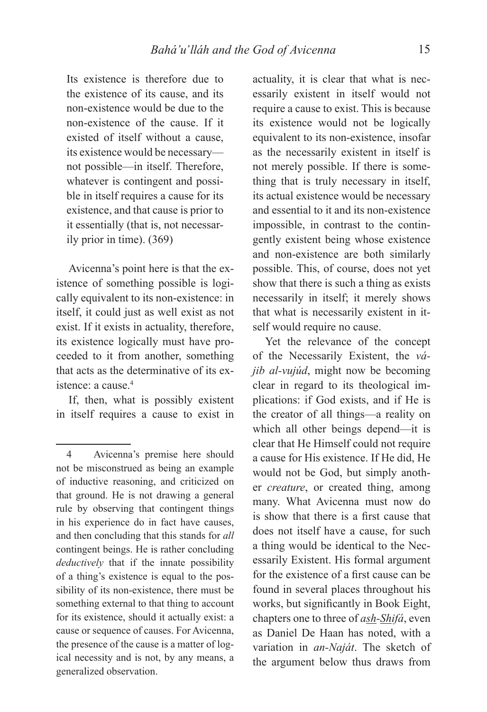Its existence is therefore due to the existence of its cause, and its non-existence would be due to the non-existence of the cause. If it existed of itself without a cause, its existence would be necessary not possible—in itself. Therefore, whatever is contingent and possible in itself requires a cause for its existence, and that cause is prior to it essentially (that is, not necessarily prior in time). (369)

Avicenna's point here is that the existence of something possible is logically equivalent to its non-existence: in itself, it could just as well exist as not exist. If it exists in actuality, therefore, its existence logically must have proceeded to it from another, something that acts as the determinative of its existence: a cause.4

If, then, what is possibly existent in itself requires a cause to exist in

actuality, it is clear that what is necessarily existent in itself would not require a cause to exist. This is because its existence would not be logically equivalent to its non-existence, insofar as the necessarily existent in itself is not merely possible. If there is something that is truly necessary in itself, its actual existence would be necessary and essential to it and its non-existence impossible, in contrast to the contingently existent being whose existence and non-existence are both similarly possible. This, of course, does not yet show that there is such a thing as exists necessarily in itself; it merely shows that what is necessarily existent in itself would require no cause.

Yet the relevance of the concept of the Necessarily Existent, the *vájib al-vujúd*, might now be becoming clear in regard to its theological implications: if God exists, and if He is the creator of all things—a reality on which all other beings depend—it is clear that He Himself could not require a cause for His existence. If He did, He would not be God, but simply another *creature*, or created thing, among many. What Avicenna must now do is show that there is a first cause that does not itself have a cause, for such a thing would be identical to the Necessarily Existent. His formal argument for the existence of a first cause can be found in several places throughout his works, but significantly in Book Eight, chapters one to three of *ash-Shifá*, even as Daniel De Haan has noted, with a variation in *an-Naját*. The sketch of the argument below thus draws from

<sup>4</sup> Avicenna's premise here should not be misconstrued as being an example of inductive reasoning, and criticized on that ground. He is not drawing a general rule by observing that contingent things in his experience do in fact have causes, and then concluding that this stands for *all* contingent beings. He is rather concluding *deductively* that if the innate possibility of a thing's existence is equal to the possibility of its non-existence, there must be something external to that thing to account for its existence, should it actually exist: a cause or sequence of causes. For Avicenna, the presence of the cause is a matter of logical necessity and is not, by any means, a generalized observation.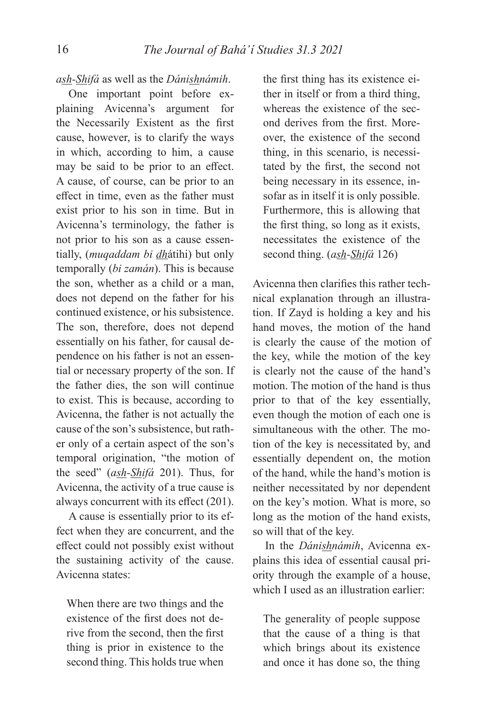## *ash-Shifá* as well as the *Dánishnámih*.

One important point before explaining Avicenna's argument for the Necessarily Existent as the first cause, however, is to clarify the ways in which, according to him, a cause may be said to be prior to an effect. A cause, of course, can be prior to an effect in time, even as the father must exist prior to his son in time. But in Avicenna's terminology, the father is not prior to his son as a cause essentially, (*muqaddam bi dh*átihi) but only temporally (*bi zamán*). This is because the son, whether as a child or a man, does not depend on the father for his continued existence, or his subsistence. The son, therefore, does not depend essentially on his father, for causal dependence on his father is not an essential or necessary property of the son. If the father dies, the son will continue to exist. This is because, according to Avicenna, the father is not actually the cause of the son's subsistence, but rather only of a certain aspect of the son's temporal origination, "the motion of the seed" (*ash-Shifá* 201). Thus, for Avicenna, the activity of a true cause is always concurrent with its effect (201).

A cause is essentially prior to its effect when they are concurrent, and the effect could not possibly exist without the sustaining activity of the cause. Avicenna states:

When there are two things and the existence of the first does not derive from the second, then the first thing is prior in existence to the second thing. This holds true when the first thing has its existence either in itself or from a third thing, whereas the existence of the second derives from the first. Moreover, the existence of the second thing, in this scenario, is necessitated by the first, the second not being necessary in its essence, insofar as in itself it is only possible. Furthermore, this is allowing that the first thing, so long as it exists, necessitates the existence of the second thing. (*ash-Shifá* 126)

Avicenna then clarifies this rather technical explanation through an illustration. If Zayd is holding a key and his hand moves, the motion of the hand is clearly the cause of the motion of the key, while the motion of the key is clearly not the cause of the hand's motion. The motion of the hand is thus prior to that of the key essentially, even though the motion of each one is simultaneous with the other. The motion of the key is necessitated by, and essentially dependent on, the motion of the hand, while the hand's motion is neither necessitated by nor dependent on the key's motion. What is more, so long as the motion of the hand exists, so will that of the key.

In the *Dánishnámih*, Avicenna explains this idea of essential causal priority through the example of a house, which I used as an illustration earlier:

The generality of people suppose that the cause of a thing is that which brings about its existence and once it has done so, the thing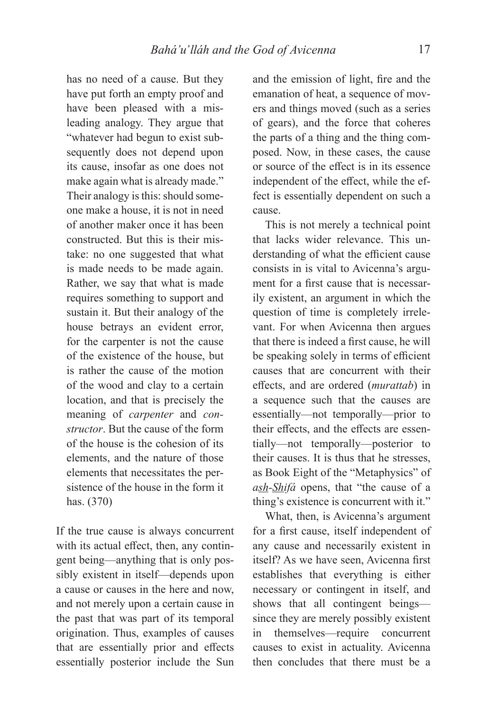has no need of a cause. But they have put forth an empty proof and have been pleased with a misleading analogy. They argue that "whatever had begun to exist subsequently does not depend upon its cause, insofar as one does not make again what is already made." Their analogy is this: should someone make a house, it is not in need of another maker once it has been constructed. But this is their mistake: no one suggested that what is made needs to be made again. Rather, we say that what is made requires something to support and sustain it. But their analogy of the house betrays an evident error, for the carpenter is not the cause of the existence of the house, but is rather the cause of the motion of the wood and clay to a certain location, and that is precisely the meaning of *carpenter* and *constructor*. But the cause of the form of the house is the cohesion of its elements, and the nature of those elements that necessitates the persistence of the house in the form it has. (370)

If the true cause is always concurrent with its actual effect, then, any contingent being—anything that is only possibly existent in itself—depends upon a cause or causes in the here and now, and not merely upon a certain cause in the past that was part of its temporal origination. Thus, examples of causes that are essentially prior and effects essentially posterior include the Sun

and the emission of light, fire and the emanation of heat, a sequence of movers and things moved (such as a series of gears), and the force that coheres the parts of a thing and the thing composed. Now, in these cases, the cause or source of the effect is in its essence independent of the effect, while the effect is essentially dependent on such a cause.

This is not merely a technical point that lacks wider relevance. This understanding of what the efficient cause consists in is vital to Avicenna's argument for a first cause that is necessarily existent, an argument in which the question of time is completely irrelevant. For when Avicenna then argues that there is indeed a first cause, he will be speaking solely in terms of efficient causes that are concurrent with their eff ects, and are ordered (*murattab*) in a sequence such that the causes are essentially—not temporally—prior to their effects, and the effects are essentially—not temporally—posterior to their causes. It is thus that he stresses, as Book Eight of the "Metaphysics" of *ash-Shifá* opens, that "the cause of a thing's existence is concurrent with it."

What, then, is Avicenna's argument for a first cause, itself independent of any cause and necessarily existent in itself? As we have seen, Avicenna first establishes that everything is either necessary or contingent in itself, and shows that all contingent beings since they are merely possibly existent in themselves—require concurrent causes to exist in actuality. Avicenna then concludes that there must be a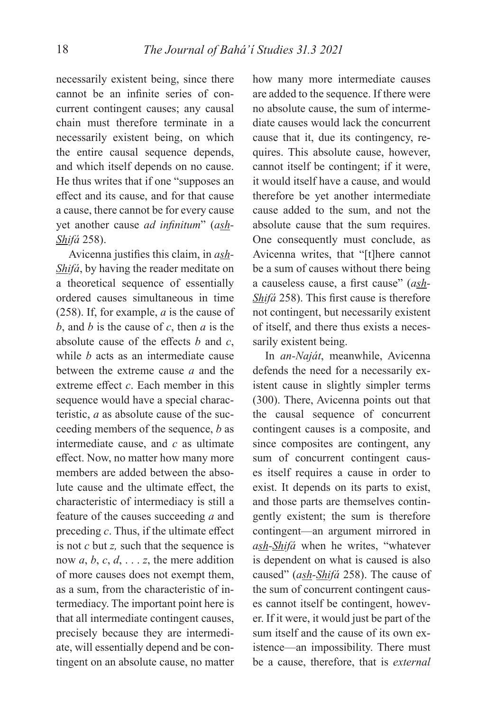necessarily existent being, since there cannot be an infinite series of concurrent contingent causes; any causal chain must therefore terminate in a necessarily existent being, on which the entire causal sequence depends, and which itself depends on no cause. He thus writes that if one "supposes an effect and its cause, and for that cause a cause, there cannot be for every cause yet another cause *ad infinitum*" (ash-*Shifá* 258).

Avicenna justifies this claim, in *ash*-*Shifá*, by having the reader meditate on a theoretical sequence of essentially ordered causes simultaneous in time (258). If, for example, *a* is the cause of *b*, and *b* is the cause of *c*, then *a* is the absolute cause of the effects  $b$  and  $c$ , while *b* acts as an intermediate cause between the extreme cause *a* and the extreme effect  $c$ . Each member in this sequence would have a special characteristic, *a* as absolute cause of the succeeding members of the sequence, *b* as intermediate cause, and *c* as ultimate effect. Now, no matter how many more members are added between the absolute cause and the ultimate effect, the characteristic of intermediacy is still a feature of the causes succeeding *a* and preceding *c*. Thus, if the ultimate effect is not *c* but *z,* such that the sequence is now  $a, b, c, d, \ldots z$ , the mere addition of more causes does not exempt them, as a sum, from the characteristic of intermediacy. The important point here is that all intermediate contingent causes, precisely because they are intermediate, will essentially depend and be contingent on an absolute cause, no matter

how many more intermediate causes are added to the sequence. If there were no absolute cause, the sum of intermediate causes would lack the concurrent cause that it, due its contingency, requires. This absolute cause, however, cannot itself be contingent; if it were, it would itself have a cause, and would therefore be yet another intermediate cause added to the sum, and not the absolute cause that the sum requires. One consequently must conclude, as Avicenna writes, that "[t]here cannot be a sum of causes without there being a causeless cause, a first cause" (ash-*Shifá* 258). This first cause is therefore not contingent, but necessarily existent of itself, and there thus exists a necessarily existent being.

In *an-Naját*, meanwhile, Avicenna defends the need for a necessarily existent cause in slightly simpler terms (300). There, Avicenna points out that the causal sequence of concurrent contingent causes is a composite, and since composites are contingent, any sum of concurrent contingent causes itself requires a cause in order to exist. It depends on its parts to exist, and those parts are themselves contingently existent; the sum is therefore contingent—an argument mirrored in *ash-Shifá* when he writes, "whatever is dependent on what is caused is also caused" (*ash-Shifá* 258). The cause of the sum of concurrent contingent causes cannot itself be contingent, however. If it were, it would just be part of the sum itself and the cause of its own existence—an impossibility. There must be a cause, therefore, that is *external*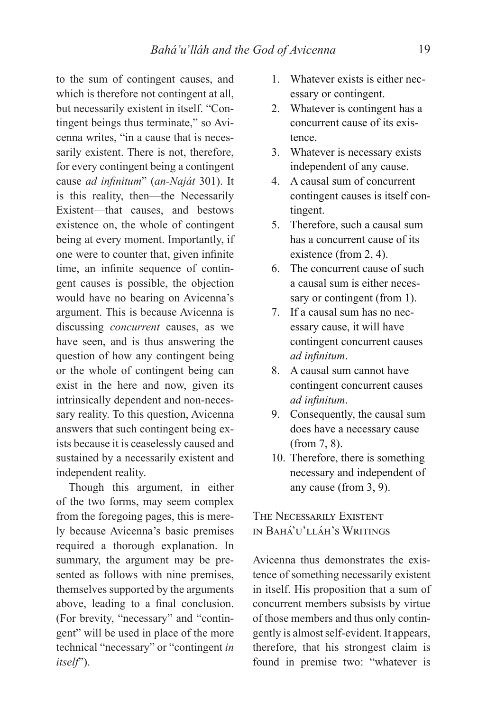to the sum of contingent causes, and which is therefore not contingent at all, but necessarily existent in itself. "Contingent beings thus terminate," so Avicenna writes, "in a cause that is necessarily existent. There is not, therefore, for every contingent being a contingent cause *ad infinitum*" (*an-Naját* 301). It is this reality, then—the Necessarily Existent—that causes, and bestows existence on, the whole of contingent being at every moment. Importantly, if one were to counter that, given infinite time, an infinite sequence of contingent causes is possible, the objection would have no bearing on Avicenna's argument. This is because Avicenna is discussing *concurrent* causes, as we have seen, and is thus answering the question of how any contingent being or the whole of contingent being can exist in the here and now, given its intrinsically dependent and non-necessary reality. To this question, Avicenna answers that such contingent being exists because it is ceaselessly caused and sustained by a necessarily existent and independent reality.

Though this argument, in either of the two forms, may seem complex from the foregoing pages, this is merely because Avicenna's basic premises required a thorough explanation. In summary, the argument may be presented as follows with nine premises, themselves supported by the arguments above, leading to a final conclusion. (For brevity, "necessary" and "contingent" will be used in place of the more technical "necessary" or "contingent *in itself*").

- 1. Whatever exists is either necessary or contingent.
- 2. Whatever is contingent has a concurrent cause of its existence.
- 3. Whatever is necessary exists independent of any cause.
- 4. A causal sum of concurrent contingent causes is itself contingent.
- 5. Therefore, such a causal sum has a concurrent cause of its existence (from 2, 4).
- 6. The concurrent cause of such a causal sum is either necessary or contingent (from 1).
- 7. If a causal sum has no necessary cause, it will have contingent concurrent causes *ad infinitum.*
- 8. A causal sum cannot have contingent concurrent causes *ad infinitum.*
- 9. Consequently, the causal sum does have a necessary cause (from 7, 8).
- 10. Therefore, there is something necessary and independent of any cause (from 3, 9).

# THE NECESSARILY EXISTENT IN BAHÁ'U'LLÁH'S WRITINGS

Avicenna thus demonstrates the existence of something necessarily existent in itself. His proposition that a sum of concurrent members subsists by virtue of those members and thus only contingently is almost self-evident. It appears, therefore, that his strongest claim is found in premise two: "whatever is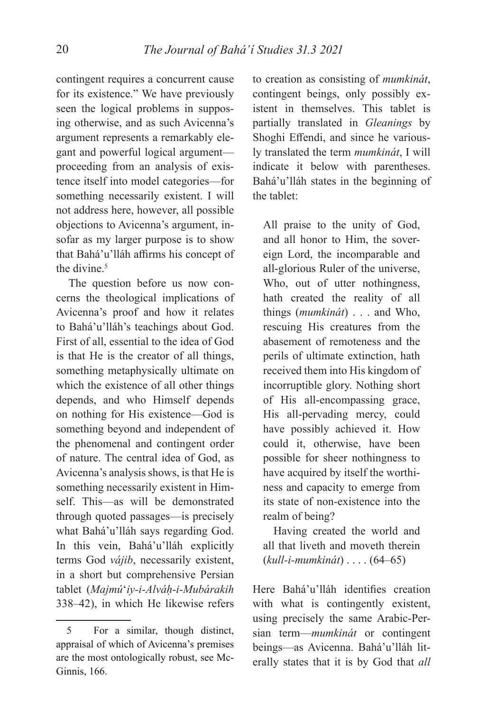contingent requires a concurrent cause for its existence." We have previously seen the logical problems in supposing otherwise, and as such Avicenna's argument represents a remarkably elegant and powerful logical argument proceeding from an analysis of existence itself into model categories—for something necessarily existent. I will not address here, however, all possible objections to Avicenna's argument, insofar as my larger purpose is to show that Bahá'u'lláh affirms his concept of the divine.<sup>5</sup>

The question before us now concerns the theological implications of Avicenna's proof and how it relates to Bahá'u'lláh's teachings about God. First of all, essential to the idea of God is that He is the creator of all things, something metaphysically ultimate on which the existence of all other things depends, and who Himself depends on nothing for His existence—God is something beyond and independent of the phenomenal and contingent order of nature. The central idea of God, as Avicenna's analysis shows, is that He is something necessarily existent in Himself. This—as will be demonstrated through quoted passages—is precisely what Bahá'u'lláh says regarding God. In this vein, Bahá'u'lláh explicitly terms God *vájib*, necessarily existent, in a short but comprehensive Persian tablet (*Majmú*ʻ*iy-i-Alváḥ-i-Mubárakih* 338–42), in which He likewise refers

to creation as consisting of *mumkinát*, contingent beings, only possibly existent in themselves. This tablet is partially translated in *Gleanings* by Shoghi Effendi, and since he variously translated the term *mumkinát*, I will indicate it below with parentheses. Bahá'u'lláh states in the beginning of the tablet:

All praise to the unity of God, and all honor to Him, the sovereign Lord, the incomparable and all-glorious Ruler of the universe, Who, out of utter nothingness, hath created the reality of all things (*mumkinát*) . . . and Who, rescuing His creatures from the abasement of remoteness and the perils of ultimate extinction, hath received them into His kingdom of incorruptible glory. Nothing short of His all-encompassing grace, His all-pervading mercy, could have possibly achieved it. How could it, otherwise, have been possible for sheer nothingness to have acquired by itself the worthiness and capacity to emerge from its state of non-existence into the realm of being?

Having created the world and all that liveth and moveth therein (*kull-i-mumkinát*) . . . . (64–65)

Here Bahá'u'lláh identifies creation with what is contingently existent, using precisely the same Arabic-Persian term—*mumkinát* or contingent beings—as Avicenna. Bahá'u'lláh literally states that it is by God that *all* 

<sup>5</sup> For a similar, though distinct, appraisal of which of Avicenna's premises are the most ontologically robust, see Mc-Ginnis, 166.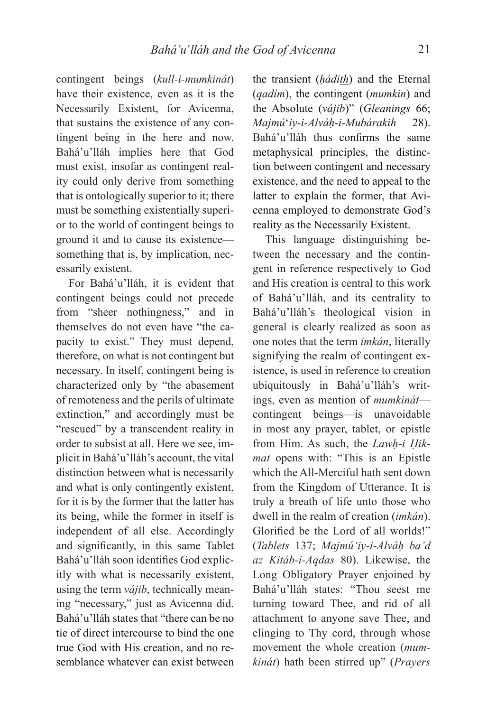contingent beings (*kull-i-mumkinát*) have their existence, even as it is the Necessarily Existent, for Avicenna, that sustains the existence of any contingent being in the here and now. Bahá'u'lláh implies here that God must exist, insofar as contingent reality could only derive from something that is ontologically superior to it; there must be something existentially superior to the world of contingent beings to ground it and to cause its existence something that is, by implication, necessarily existent.

For Bahá'u'lláh, it is evident that contingent beings could not precede from "sheer nothingness," and in themselves do not even have "the capacity to exist." They must depend, therefore, on what is not contingent but necessary. In itself, contingent being is characterized only by "the abasement of remoteness and the perils of ultimate extinction," and accordingly must be "rescued" by a transcendent reality in order to subsist at all. Here we see, implicit in Bahá'u'lláh's account, the vital distinction between what is necessarily and what is only contingently existent, for it is by the former that the latter has its being, while the former in itself is independent of all else. Accordingly and significantly, in this same Tablet Bahá'u'lláh soon identifies God explicitly with what is necessarily existent, using the term *vájib*, technically meaning "necessary," just as Avicenna did. Bahá'u'lláh states that "there can be no tie of direct intercourse to bind the one true God with His creation, and no resemblance whatever can exist between

the transient (*ḥádith*) and the Eternal (*qadím*), the contingent (*mumkin*) and the Absolute (*vájib*)" (*Gleanings* 66; *Majmú*ʻ*iy-i-Alváḥ-i-Mubárakih* 28). Bahá'u'lláh thus confirms the same metaphysical principles, the distinction between contingent and necessary existence, and the need to appeal to the latter to explain the former, that Avicenna employed to demonstrate God's reality as the Necessarily Existent.

This language distinguishing between the necessary and the contingent in reference respectively to God and His creation is central to this work of Bahá'u'lláh, and its centrality to Bahá'u'lláh's theological vision in general is clearly realized as soon as one notes that the term *imkán*, literally signifying the realm of contingent existence, is used in reference to creation ubiquitously in Bahá'u'lláh's writings, even as mention of *mumkinát* contingent beings—is unavoidable in most any prayer, tablet, or epistle from Him. As such, the *Lawḥ-i Ḥikmat* opens with: "This is an Epistle which the All-Merciful hath sent down from the Kingdom of Utterance. It is truly a breath of life unto those who dwell in the realm of creation (*imkán*). Glorified be the Lord of all worlds!" (*Tablets* 137; *Majmúʻiy-i-Alváḥ ba'd az Kitáb-i-Aqdas* 80). Likewise, the Long Obligatory Prayer enjoined by Bahá'u'lláh states: "Thou seest me turning toward Thee, and rid of all attachment to anyone save Thee, and clinging to Thy cord, through whose movement the whole creation (*mumkinát*) hath been stirred up" (*Prayers*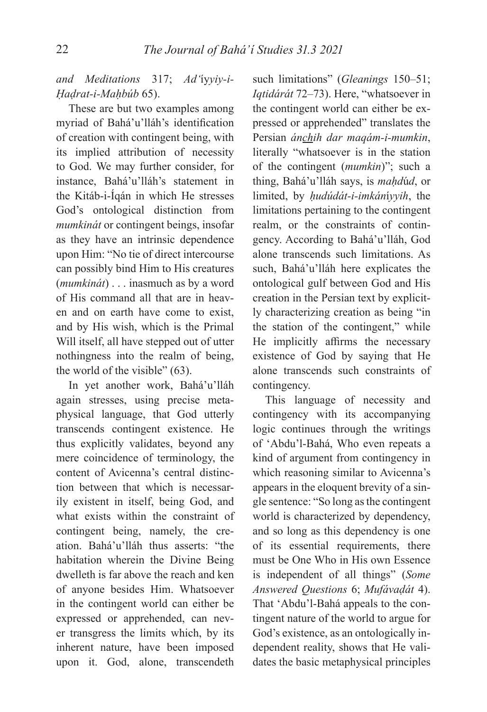# *and Meditations* 317; *Ad'*íy*yiy-i-Ḥaḍrat-i-Maḥbúb* 65).

These are but two examples among myriad of Bahá'u'lláh's identification of creation with contingent being, with its implied attribution of necessity to God. We may further consider, for instance, Bahá'u'lláh's statement in the Kitáb-i-Íqán in which He stresses God's ontological distinction from *mumkinát* or contingent beings, insofar as they have an intrinsic dependence upon Him: "No tie of direct intercourse can possibly bind Him to His creatures (*mumkinát*) . . . inasmuch as by a word of His command all that are in heaven and on earth have come to exist, and by His wish, which is the Primal Will itself, all have stepped out of utter nothingness into the realm of being, the world of the visible" (63).

In yet another work, Bahá'u'lláh again stresses, using precise metaphysical language, that God utterly transcends contingent existence. He thus explicitly validates, beyond any mere coincidence of terminology, the content of Avicenna's central distinction between that which is necessarily existent in itself, being God, and what exists within the constraint of contingent being, namely, the creation. Bahá'u'lláh thus asserts: "the habitation wherein the Divine Being dwelleth is far above the reach and ken of anyone besides Him. Whatsoever in the contingent world can either be expressed or apprehended, can never transgress the limits which, by its inherent nature, have been imposed upon it. God, alone, transcendeth

such limitations" (*Gleanings* 150–51; *Iqtidárát* 72–73). Here, "whatsoever in the contingent world can either be expressed or apprehended" translates the Persian *ánchih dar maqám-i-mumkin*, literally "whatsoever is in the station of the contingent (*mumkin*)"; such a thing, Bahá'u'lláh says, is *maḥd*ú*d*, or limited, by *ḥudúdát-i-imkán*í*yyih*, the limitations pertaining to the contingent realm, or the constraints of contingency. According to Bahá'u'lláh, God alone transcends such limitations. As such, Bahá'u'lláh here explicates the ontological gulf between God and His creation in the Persian text by explicitly characterizing creation as being "in the station of the contingent," while He implicitly affirms the necessary existence of God by saying that He alone transcends such constraints of contingency.

This language of necessity and contingency with its accompanying logic continues through the writings of 'Abdu'l-Bahá, Who even repeats a kind of argument from contingency in which reasoning similar to Avicenna's appears in the eloquent brevity of a single sentence: "So long as the contingent world is characterized by dependency, and so long as this dependency is one of its essential requirements, there must be One Who in His own Essence is independent of all things" (*Some Answered Questions* 6; *Mufávaḍát* 4). That 'Abdu'l-Bahá appeals to the contingent nature of the world to argue for God's existence, as an ontologically independent reality, shows that He validates the basic metaphysical principles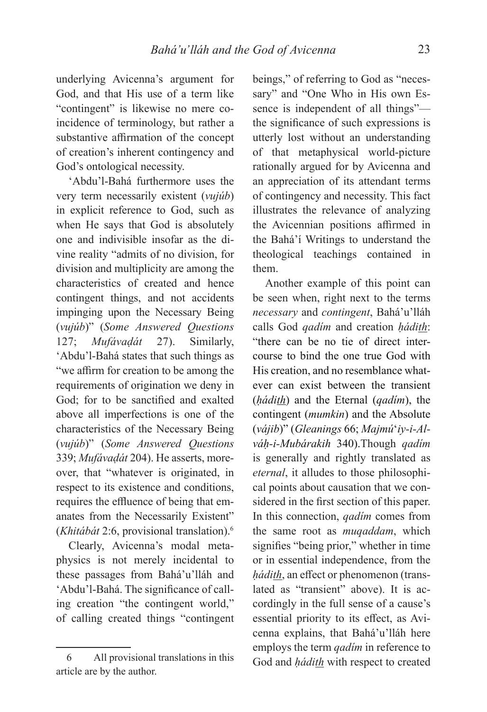underlying Avicenna's argument for God, and that His use of a term like "contingent" is likewise no mere coincidence of terminology, but rather a substantive affirmation of the concept of creation's inherent contingency and God's ontological necessity.

'Abdu'l-Bahá furthermore uses the very term necessarily existent (*vujúb*) in explicit reference to God, such as when He says that God is absolutely one and indivisible insofar as the divine reality "admits of no division, for division and multiplicity are among the characteristics of created and hence contingent things, and not accidents impinging upon the Necessary Being (*vujúb*)" (*Some Answered Questions*  127; *Mufávaḍát* 27). Similarly, 'Abdu'l-Bahá states that such things as "we affirm for creation to be among the requirements of origination we deny in God; for to be sanctified and exalted above all imperfections is one of the characteristics of the Necessary Being (*vujúb*)" (*Some Answered Questions*  339; *Mufávaḍát* 204). He asserts, moreover, that "whatever is originated, in respect to its existence and conditions, requires the effluence of being that emanates from the Necessarily Existent" (*Khitábát* 2:6, provisional translation).6

Clearly, Avicenna's modal metaphysics is not merely incidental to these passages from Bahá'u'lláh and 'Abdu'l-Bahá. The significance of calling creation "the contingent world," of calling created things "contingent beings," of referring to God as "necessary" and "One Who in His own Essence is independent of all things" the significance of such expressions is utterly lost without an understanding of that metaphysical world-picture rationally argued for by Avicenna and an appreciation of its attendant terms of contingency and necessity. This fact illustrates the relevance of analyzing the Avicennian positions affirmed in the Bahá'í Writings to understand the theological teachings contained in them.

Another example of this point can be seen when, right next to the terms *necessary* and *contingent*, Bahá'u'lláh calls God *qadím* and creation *ḥádith*: "there can be no tie of direct intercourse to bind the one true God with His creation, and no resemblance whatever can exist between the transient (*ḥádith*) and the Eternal (*qadím*), the contingent (*mumkin*) and the Absolute (*vájib*)" (*Gleanings* 66; *Majmú*ʻ*iy-i-Alváḥ-i-Mubárakih* 340).Though *qadím*  is generally and rightly translated as *eternal*, it alludes to those philosophical points about causation that we considered in the first section of this paper. In this connection, *qadím* comes from the same root as *muqaddam*, which signifies "being prior," whether in time or in essential independence, from the *hádith*, an effect or phenomenon (translated as "transient" above). It is accordingly in the full sense of a cause's essential priority to its effect, as Avicenna explains, that Bahá'u'lláh here employs the term *qadím* in reference to God and *ḥádith* with respect to created

<sup>6</sup> All provisional translations in this article are by the author.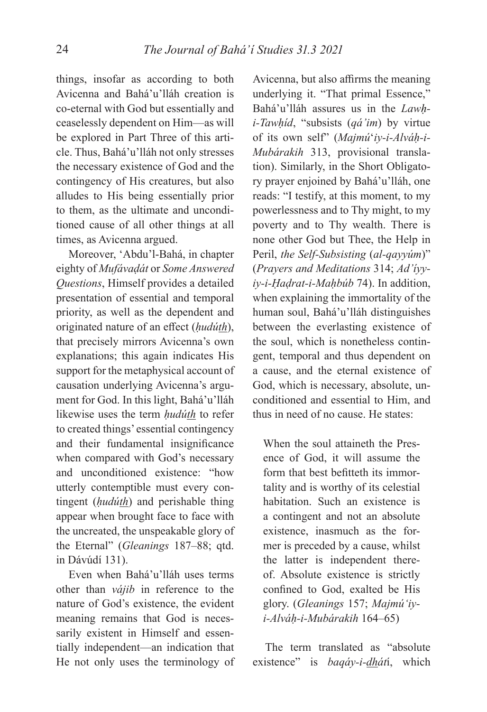things, insofar as according to both Avicenna and Bahá'u'lláh creation is co-eternal with God but essentially and ceaselessly dependent on Him—as will be explored in Part Three of this article. Thus, Bahá'u'lláh not only stresses the necessary existence of God and the contingency of His creatures, but also alludes to His being essentially prior to them, as the ultimate and unconditioned cause of all other things at all times, as Avicenna argued.

Moreover, 'Abdu'l-Bahá, in chapter eighty of *Mufávaḍát* or *Some Answered Questions*, Himself provides a detailed presentation of essential and temporal priority, as well as the dependent and originated nature of an effect (*hudúth*), that precisely mirrors Avicenna's own explanations; this again indicates His support for the metaphysical account of causation underlying Avicenna's argument for God. In this light, Bahá'u'lláh likewise uses the term *ḥudúth* to refer to created things' essential contingency and their fundamental insignificance when compared with God's necessary and unconditioned existence: "how utterly contemptible must every contingent (*ḥudúth*) and perishable thing appear when brought face to face with the uncreated, the unspeakable glory of the Eternal" (*Gleanings* 187–88; qtd. in Dávúdí 131).

Even when Bahá'u'lláh uses terms other than *vájib* in reference to the nature of God's existence, the evident meaning remains that God is necessarily existent in Himself and essentially independent—an indication that He not only uses the terminology of

Avicenna, but also affirms the meaning underlying it. "That primal Essence," Bahá'u'lláh assures us in the *Lawḥi-Tawḥíd*, "subsists (*qá'im*) by virtue of its own self" (*Majmú*ʻ*iy-i-Alváḥ-i-Mubárakih* 313, provisional translation). Similarly, in the Short Obligatory prayer enjoined by Bahá'u'lláh, one reads: "I testify, at this moment, to my powerlessness and to Thy might, to my poverty and to Thy wealth. There is none other God but Thee, the Help in Peril, *the Self-Subsisting* (*al-qayyúm*)" (*Prayers and Meditations* 314; *Ad'íyyiy-i-Ḥaḍrat-i-Maḥbúb* 74). In addition, when explaining the immortality of the human soul, Bahá'u'lláh distinguishes between the everlasting existence of the soul, which is nonetheless contingent, temporal and thus dependent on a cause, and the eternal existence of God, which is necessary, absolute, unconditioned and essential to Him, and thus in need of no cause. He states:

When the soul attaineth the Presence of God, it will assume the form that best befitteth its immortality and is worthy of its celestial habitation. Such an existence is a contingent and not an absolute existence, inasmuch as the former is preceded by a cause, whilst the latter is independent thereof. Absolute existence is strictly confined to God, exalted be His glory. (*Gleanings* 157; *Majmúʻiyi-Alváḥ-i-Mubárakih* 164–65)

The term translated as "absolute existence" is *baqáy-i-dhát*í, which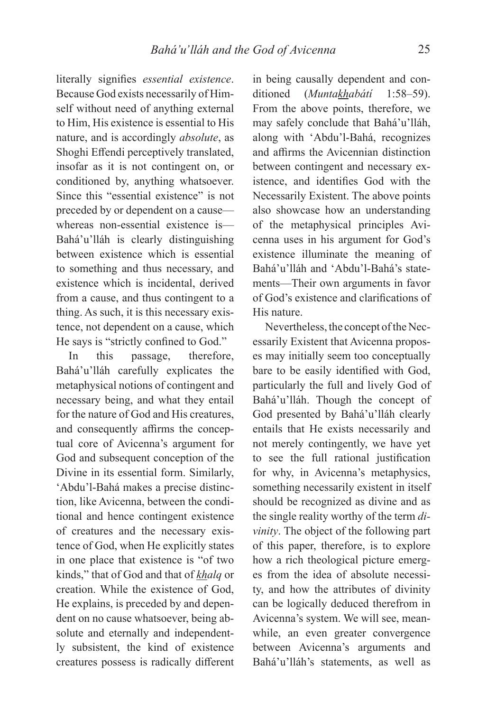literally signifies *essential existence*. Because God exists necessarily of Himself without need of anything external to Him, His existence is essential to His nature, and is accordingly *absolute*, as Shoghi Effendi perceptively translated, insofar as it is not contingent on, or conditioned by, anything whatsoever. Since this "essential existence" is not preceded by or dependent on a cause whereas non-essential existence is— Bahá'u'lláh is clearly distinguishing between existence which is essential to something and thus necessary, and existence which is incidental, derived from a cause, and thus contingent to a thing. As such, it is this necessary existence, not dependent on a cause, which He says is "strictly confined to God."

In this passage, therefore, Bahá'u'lláh carefully explicates the metaphysical notions of contingent and necessary being, and what they entail for the nature of God and His creatures, and consequently affirms the conceptual core of Avicenna's argument for God and subsequent conception of the Divine in its essential form. Similarly, 'Abdu'l-Bahá makes a precise distinction, like Avicenna, between the conditional and hence contingent existence of creatures and the necessary existence of God, when He explicitly states in one place that existence is "of two kinds," that of God and that of *khalq* or creation. While the existence of God, He explains, is preceded by and dependent on no cause whatsoever, being absolute and eternally and independently subsistent, the kind of existence creatures possess is radically different

in being causally dependent and conditioned (*Muntakhabátí* 1:58–59). From the above points, therefore, we may safely conclude that Bahá'u'lláh, along with 'Abdu'l-Bahá, recognizes and affirms the Avicennian distinction between contingent and necessary existence, and identifies God with the Necessarily Existent. The above points also showcase how an understanding of the metaphysical principles Avicenna uses in his argument for God's existence illuminate the meaning of Bahá'u'lláh and 'Abdu'l-Bahá's statements—Their own arguments in favor of God's existence and clarifications of His nature.

Nevertheless, the concept of the Necessarily Existent that Avicenna proposes may initially seem too conceptually bare to be easily identified with God, particularly the full and lively God of Bahá'u'lláh. Though the concept of God presented by Bahá'u'lláh clearly entails that He exists necessarily and not merely contingently, we have yet to see the full rational justification for why, in Avicenna's metaphysics, something necessarily existent in itself should be recognized as divine and as the single reality worthy of the term *divinity*. The object of the following part of this paper, therefore, is to explore how a rich theological picture emerges from the idea of absolute necessity, and how the attributes of divinity can be logically deduced therefrom in Avicenna's system. We will see, meanwhile, an even greater convergence between Avicenna's arguments and Bahá'u'lláh's statements, as well as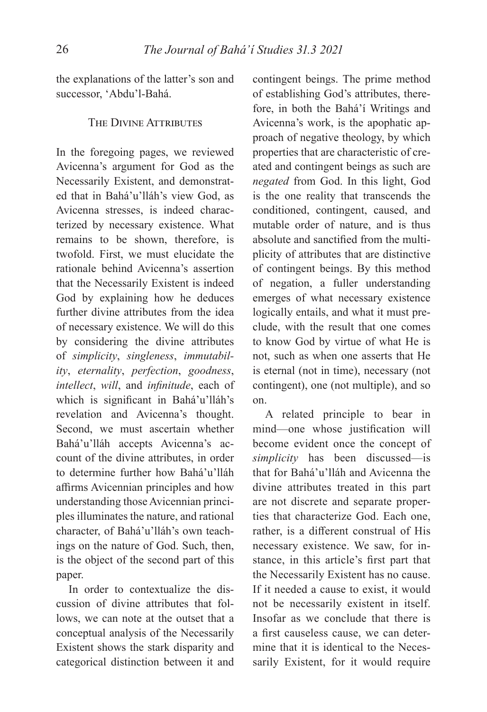the explanations of the latter's son and successor, 'Abdu'l-Bahá.

## THE DIVINE ATTRIBUTES

In the foregoing pages, we reviewed Avicenna's argument for God as the Necessarily Existent, and demonstrated that in Bahá'u'lláh's view God, as Avicenna stresses, is indeed characterized by necessary existence. What remains to be shown, therefore, is twofold. First, we must elucidate the rationale behind Avicenna's assertion that the Necessarily Existent is indeed God by explaining how he deduces further divine attributes from the idea of necessary existence. We will do this by considering the divine attributes of *simplicity*, *singleness*, *immutability*, *eternality*, *perfection*, *goodness*, *intellect*, *will*, and *infinitude*, each of which is significant in Bahá'u'lláh's revelation and Avicenna's thought. Second, we must ascertain whether Bahá'u'lláh accepts Avicenna's account of the divine attributes, in order to determine further how Bahá'u'lláh affirms Avicennian principles and how understanding those Avicennian principles illuminates the nature, and rational character, of Bahá'u'lláh's own teachings on the nature of God. Such, then, is the object of the second part of this paper.

In order to contextualize the discussion of divine attributes that follows, we can note at the outset that a conceptual analysis of the Necessarily Existent shows the stark disparity and categorical distinction between it and

contingent beings. The prime method of establishing God's attributes, therefore, in both the Bahá'í Writings and Avicenna's work, is the apophatic approach of negative theology, by which properties that are characteristic of created and contingent beings as such are *negated* from God. In this light, God is the one reality that transcends the conditioned, contingent, caused, and mutable order of nature, and is thus absolute and sanctified from the multiplicity of attributes that are distinctive of contingent beings. By this method of negation, a fuller understanding emerges of what necessary existence logically entails, and what it must preclude, with the result that one comes to know God by virtue of what He is not, such as when one asserts that He is eternal (not in time), necessary (not contingent), one (not multiple), and so on.

A related principle to bear in mind—one whose justification will become evident once the concept of *simplicity* has been discussed—is that for Bahá'u'lláh and Avicenna the divine attributes treated in this part are not discrete and separate properties that characterize God. Each one, rather, is a different construal of His necessary existence. We saw, for instance, in this article's first part that the Necessarily Existent has no cause. If it needed a cause to exist, it would not be necessarily existent in itself. Insofar as we conclude that there is a first causeless cause, we can determine that it is identical to the Necessarily Existent, for it would require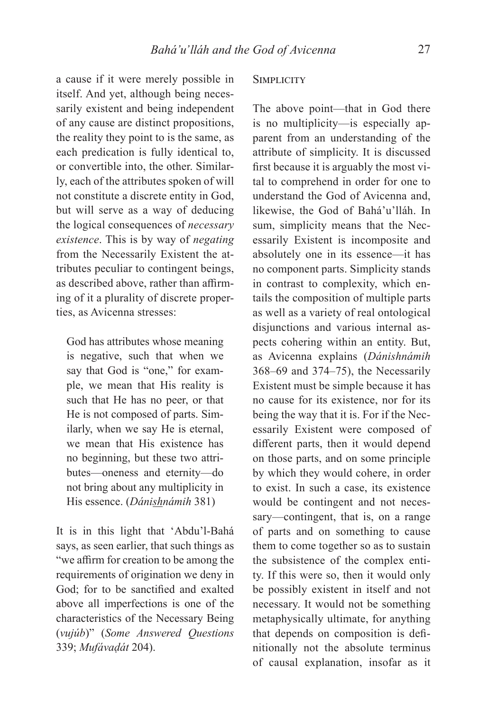a cause if it were merely possible in itself. And yet, although being necessarily existent and being independent of any cause are distinct propositions, the reality they point to is the same, as each predication is fully identical to, or convertible into, the other. Similarly, each of the attributes spoken of will not constitute a discrete entity in God, but will serve as a way of deducing the logical consequences of *necessary existence*. This is by way of *negating* from the Necessarily Existent the attributes peculiar to contingent beings, as described above, rather than affirming of it a plurality of discrete properties, as Avicenna stresses:

God has attributes whose meaning is negative, such that when we say that God is "one," for example, we mean that His reality is such that He has no peer, or that He is not composed of parts. Similarly, when we say He is eternal, we mean that His existence has no beginning, but these two attributes—oneness and eternity—do not bring about any multiplicity in His essence. (*Dánishnámih* 381)

It is in this light that 'Abdu'l-Bahá says, as seen earlier, that such things as "we affirm for creation to be among the requirements of origination we deny in God; for to be sanctified and exalted above all imperfections is one of the characteristics of the Necessary Being (*vujúb*)" (*Some Answered Questions* 339; *Mufávaḍát* 204).

## **SIMPLICITY**

The above point—that in God there is no multiplicity—is especially apparent from an understanding of the attribute of simplicity. It is discussed first because it is arguably the most vital to comprehend in order for one to understand the God of Avicenna and, likewise, the God of Bahá'u'lláh. In sum, simplicity means that the Necessarily Existent is incomposite and absolutely one in its essence—it has no component parts. Simplicity stands in contrast to complexity, which entails the composition of multiple parts as well as a variety of real ontological disjunctions and various internal aspects cohering within an entity. But, as Avicenna explains (*Dánishnámih* 368–69 and 374–75), the Necessarily Existent must be simple because it has no cause for its existence, nor for its being the way that it is. For if the Necessarily Existent were composed of different parts, then it would depend on those parts, and on some principle by which they would cohere, in order to exist. In such a case, its existence would be contingent and not necessary—contingent, that is, on a range of parts and on something to cause them to come together so as to sustain the subsistence of the complex entity. If this were so, then it would only be possibly existent in itself and not necessary. It would not be something metaphysically ultimate, for anything that depends on composition is definitionally not the absolute terminus of causal explanation, insofar as it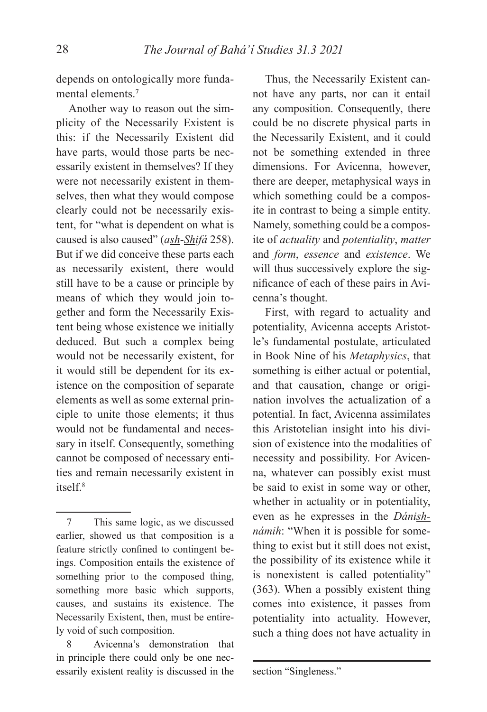depends on ontologically more fundamental elements.<sup>7</sup>

Another way to reason out the simplicity of the Necessarily Existent is this: if the Necessarily Existent did have parts, would those parts be necessarily existent in themselves? If they were not necessarily existent in themselves, then what they would compose clearly could not be necessarily existent, for "what is dependent on what is caused is also caused" (*ash-Shifá* 258). But if we did conceive these parts each as necessarily existent, there would still have to be a cause or principle by means of which they would join together and form the Necessarily Existent being whose existence we initially deduced. But such a complex being would not be necessarily existent, for it would still be dependent for its existence on the composition of separate elements as well as some external principle to unite those elements; it thus would not be fundamental and necessary in itself. Consequently, something cannot be composed of necessary entities and remain necessarily existent in  $itself<sup>8</sup>$ 

Avicenna's demonstration that in principle there could only be one necessarily existent reality is discussed in the

Thus, the Necessarily Existent cannot have any parts, nor can it entail any composition. Consequently, there could be no discrete physical parts in the Necessarily Existent, and it could not be something extended in three dimensions. For Avicenna, however, there are deeper, metaphysical ways in which something could be a composite in contrast to being a simple entity. Namely, something could be a composite of *actuality* and *potentiality*, *matter* and *form*, *essence* and *existence*. We will thus successively explore the significance of each of these pairs in Avicenna's thought.

First, with regard to actuality and potentiality, Avicenna accepts Aristotle's fundamental postulate, articulated in Book Nine of his *Metaphysics*, that something is either actual or potential, and that causation, change or origination involves the actualization of a potential. In fact, Avicenna assimilates this Aristotelian insight into his division of existence into the modalities of necessity and possibility. For Avicenna, whatever can possibly exist must be said to exist in some way or other, whether in actuality or in potentiality, even as he expresses in the *Dánishnámih*: "When it is possible for something to exist but it still does not exist, the possibility of its existence while it is nonexistent is called potentiality" (363). When a possibly existent thing comes into existence, it passes from potentiality into actuality. However, such a thing does not have actuality in

section "Singleness."

<sup>7</sup> This same logic, as we discussed earlier, showed us that composition is a feature strictly confined to contingent beings. Composition entails the existence of something prior to the composed thing, something more basic which supports, causes, and sustains its existence. The Necessarily Existent, then, must be entirely void of such composition.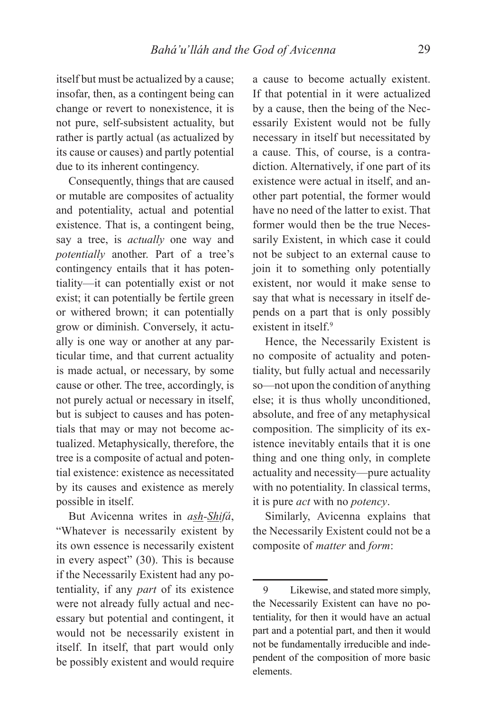itself but must be actualized by a cause; insofar, then, as a contingent being can change or revert to nonexistence, it is not pure, self-subsistent actuality, but rather is partly actual (as actualized by its cause or causes) and partly potential due to its inherent contingency.

Consequently, things that are caused or mutable are composites of actuality and potentiality, actual and potential existence. That is, a contingent being, say a tree, is *actually* one way and *potentially* another. Part of a tree's contingency entails that it has potentiality—it can potentially exist or not exist; it can potentially be fertile green or withered brown; it can potentially grow or diminish. Conversely, it actually is one way or another at any particular time, and that current actuality is made actual, or necessary, by some cause or other. The tree, accordingly, is not purely actual or necessary in itself, but is subject to causes and has potentials that may or may not become actualized. Metaphysically, therefore, the tree is a composite of actual and potential existence: existence as necessitated by its causes and existence as merely possible in itself.

But Avicenna writes in *ash-Shifá*, "Whatever is necessarily existent by its own essence is necessarily existent in every aspect" (30). This is because if the Necessarily Existent had any potentiality, if any *part* of its existence were not already fully actual and necessary but potential and contingent, it would not be necessarily existent in itself. In itself, that part would only be possibly existent and would require

a cause to become actually existent. If that potential in it were actualized by a cause, then the being of the Necessarily Existent would not be fully necessary in itself but necessitated by a cause. This, of course, is a contradiction. Alternatively, if one part of its existence were actual in itself, and another part potential, the former would have no need of the latter to exist. That former would then be the true Necessarily Existent, in which case it could not be subject to an external cause to join it to something only potentially existent, nor would it make sense to say that what is necessary in itself depends on a part that is only possibly existent in itself<sup>9</sup>

Hence, the Necessarily Existent is no composite of actuality and potentiality, but fully actual and necessarily so—not upon the condition of anything else; it is thus wholly unconditioned, absolute, and free of any metaphysical composition. The simplicity of its existence inevitably entails that it is one thing and one thing only, in complete actuality and necessity—pure actuality with no potentiality. In classical terms, it is pure *act* with no *potency*.

Similarly, Avicenna explains that the Necessarily Existent could not be a composite of *matter* and *form*:

<sup>9</sup> Likewise, and stated more simply, the Necessarily Existent can have no potentiality, for then it would have an actual part and a potential part, and then it would not be fundamentally irreducible and independent of the composition of more basic elements.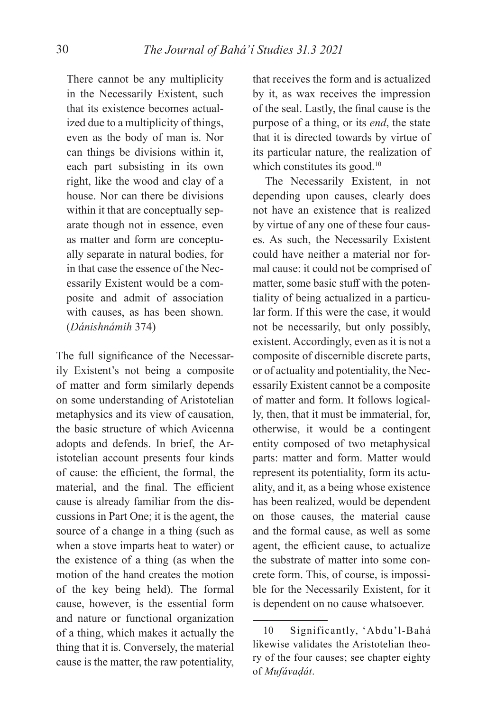There cannot be any multiplicity in the Necessarily Existent, such that its existence becomes actualized due to a multiplicity of things, even as the body of man is. Nor can things be divisions within it, each part subsisting in its own right, like the wood and clay of a house. Nor can there be divisions within it that are conceptually separate though not in essence, even as matter and form are conceptually separate in natural bodies, for in that case the essence of the Necessarily Existent would be a composite and admit of association with causes, as has been shown. (*Dánishnámih* 374)

The full significance of the Necessarily Existent's not being a composite of matter and form similarly depends on some understanding of Aristotelian metaphysics and its view of causation, the basic structure of which Avicenna adopts and defends. In brief, the Aristotelian account presents four kinds of cause: the efficient, the formal, the material, and the final. The efficient cause is already familiar from the discussions in Part One; it is the agent, the source of a change in a thing (such as when a stove imparts heat to water) or the existence of a thing (as when the motion of the hand creates the motion of the key being held). The formal cause, however, is the essential form and nature or functional organization of a thing, which makes it actually the thing that it is. Conversely, the material cause is the matter, the raw potentiality,

that receives the form and is actualized by it, as wax receives the impression of the seal. Lastly, the final cause is the purpose of a thing, or its *end*, the state that it is directed towards by virtue of its particular nature, the realization of which constitutes its good.<sup>10</sup>

The Necessarily Existent, in not depending upon causes, clearly does not have an existence that is realized by virtue of any one of these four causes. As such, the Necessarily Existent could have neither a material nor formal cause: it could not be comprised of matter, some basic stuff with the potentiality of being actualized in a particular form. If this were the case, it would not be necessarily, but only possibly, existent. Accordingly, even as it is not a composite of discernible discrete parts, or of actuality and potentiality, the Necessarily Existent cannot be a composite of matter and form. It follows logically, then, that it must be immaterial, for, otherwise, it would be a contingent entity composed of two metaphysical parts: matter and form. Matter would represent its potentiality, form its actuality, and it, as a being whose existence has been realized, would be dependent on those causes, the material cause and the formal cause, as well as some agent, the efficient cause, to actualize the substrate of matter into some concrete form. This, of course, is impossible for the Necessarily Existent, for it is dependent on no cause whatsoever.

<sup>10</sup> Significantly, 'Abdu'l-Bahá likewise validates the Aristotelian theory of the four causes; see chapter eighty of *Mufávaḍát*.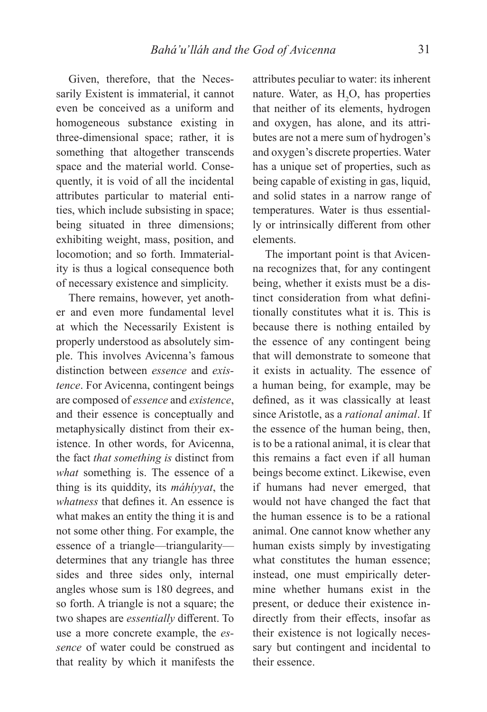Given, therefore, that the Necessarily Existent is immaterial, it cannot even be conceived as a uniform and homogeneous substance existing in three-dimensional space; rather, it is something that altogether transcends space and the material world. Consequently, it is void of all the incidental attributes particular to material entities, which include subsisting in space; being situated in three dimensions; exhibiting weight, mass, position, and locomotion; and so forth. Immateriality is thus a logical consequence both of necessary existence and simplicity.

There remains, however, yet another and even more fundamental level at which the Necessarily Existent is properly understood as absolutely simple. This involves Avicenna's famous distinction between *essence* and *existence*. For Avicenna, contingent beings are composed of *essence* and *existence*, and their essence is conceptually and metaphysically distinct from their existence. In other words, for Avicenna, the fact *that something is* distinct from *what* something is. The essence of a thing is its quiddity, its *máhíyyat*, the *whatness* that defines it. An essence is what makes an entity the thing it is and not some other thing. For example, the essence of a triangle—triangularity determines that any triangle has three sides and three sides only, internal angles whose sum is 180 degrees, and so forth. A triangle is not a square; the two shapes are *essentially* different. To use a more concrete example, the *essence* of water could be construed as that reality by which it manifests the

attributes peculiar to water: its inherent nature. Water, as  $H_2O$ , has properties that neither of its elements, hydrogen and oxygen, has alone, and its attributes are not a mere sum of hydrogen's and oxygen's discrete properties. Water has a unique set of properties, such as being capable of existing in gas, liquid, and solid states in a narrow range of temperatures. Water is thus essentially or intrinsically different from other elements.

The important point is that Avicenna recognizes that, for any contingent being, whether it exists must be a distinct consideration from what definitionally constitutes what it is. This is because there is nothing entailed by the essence of any contingent being that will demonstrate to someone that it exists in actuality. The essence of a human being, for example, may be defined, as it was classically at least since Aristotle, as a *rational animal*. If the essence of the human being, then, is to be a rational animal, it is clear that this remains a fact even if all human beings become extinct. Likewise, even if humans had never emerged, that would not have changed the fact that the human essence is to be a rational animal. One cannot know whether any human exists simply by investigating what constitutes the human essence; instead, one must empirically determine whether humans exist in the present, or deduce their existence indirectly from their effects, insofar as their existence is not logically necessary but contingent and incidental to their essence.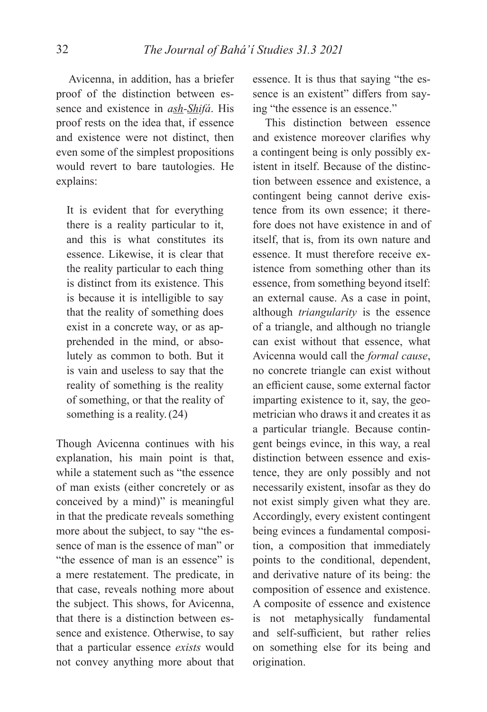Avicenna, in addition, has a briefer proof of the distinction between essence and existence in *ash-Shifá*. His proof rests on the idea that, if essence and existence were not distinct, then even some of the simplest propositions would revert to bare tautologies. He explains:

It is evident that for everything there is a reality particular to it, and this is what constitutes its essence. Likewise, it is clear that the reality particular to each thing is distinct from its existence. This is because it is intelligible to say that the reality of something does exist in a concrete way, or as apprehended in the mind, or absolutely as common to both. But it is vain and useless to say that the reality of something is the reality of something, or that the reality of something is a reality.(24)

Though Avicenna continues with his explanation, his main point is that, while a statement such as "the essence of man exists (either concretely or as conceived by a mind)" is meaningful in that the predicate reveals something more about the subject, to say "the essence of man is the essence of man" or "the essence of man is an essence" is a mere restatement. The predicate, in that case, reveals nothing more about the subject. This shows, for Avicenna, that there is a distinction between essence and existence. Otherwise, to say that a particular essence *exists* would not convey anything more about that

essence. It is thus that saying "the essence is an existent" differs from saying "the essence is an essence."

This distinction between essence and existence moreover clarifies why a contingent being is only possibly existent in itself. Because of the distinction between essence and existence, a contingent being cannot derive existence from its own essence; it therefore does not have existence in and of itself, that is, from its own nature and essence. It must therefore receive existence from something other than its essence, from something beyond itself: an external cause. As a case in point, although *triangularity* is the essence of a triangle, and although no triangle can exist without that essence, what Avicenna would call the *formal cause*, no concrete triangle can exist without an efficient cause, some external factor imparting existence to it, say, the geometrician who draws it and creates it as a particular triangle. Because contingent beings evince, in this way, a real distinction between essence and existence, they are only possibly and not necessarily existent, insofar as they do not exist simply given what they are. Accordingly, every existent contingent being evinces a fundamental composition, a composition that immediately points to the conditional, dependent, and derivative nature of its being: the composition of essence and existence. A composite of essence and existence is not metaphysically fundamental and self-sufficient, but rather relies on something else for its being and origination.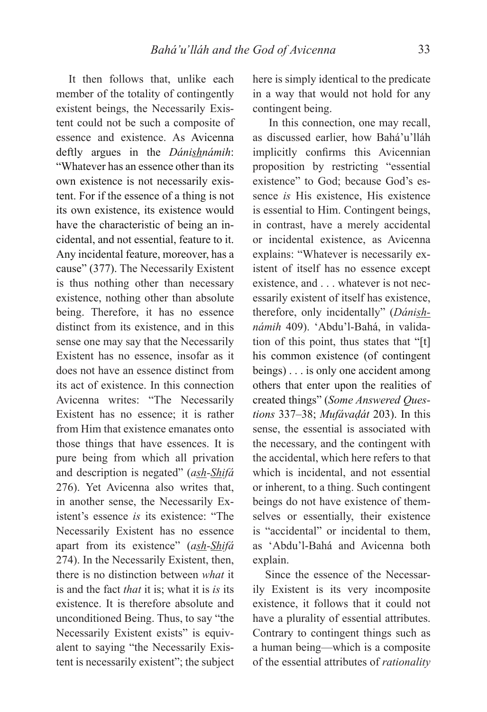It then follows that, unlike each member of the totality of contingently existent beings, the Necessarily Existent could not be such a composite of essence and existence. As Avicenna deftly argues in the *Dánishnámih*: "Whatever has an essence other than its own existence is not necessarily existent. For if the essence of a thing is not its own existence, its existence would have the characteristic of being an incidental, and not essential, feature to it. Any incidental feature, moreover, has a cause" (377). The Necessarily Existent is thus nothing other than necessary existence, nothing other than absolute being. Therefore, it has no essence distinct from its existence, and in this sense one may say that the Necessarily Existent has no essence, insofar as it does not have an essence distinct from its act of existence. In this connection Avicenna writes: "The Necessarily Existent has no essence; it is rather from Him that existence emanates onto those things that have essences. It is pure being from which all privation and description is negated" (*ash-Shifá* 276). Yet Avicenna also writes that, in another sense, the Necessarily Existent's essence *is* its existence: "The Necessarily Existent has no essence apart from its existence" (*ash-Shifá*  274). In the Necessarily Existent, then, there is no distinction between *what* it is and the fact *that* it is; what it is *is* its existence. It is therefore absolute and unconditioned Being. Thus, to say "the Necessarily Existent exists" is equivalent to saying "the Necessarily Existent is necessarily existent"; the subject here is simply identical to the predicate in a way that would not hold for any contingent being.

 In this connection, one may recall, as discussed earlier, how Bahá'u'lláh implicitly confirms this Avicennian proposition by restricting "essential existence" to God; because God's essence *is* His existence, His existence is essential to Him. Contingent beings, in contrast, have a merely accidental or incidental existence, as Avicenna explains: "Whatever is necessarily existent of itself has no essence except existence, and . . . whatever is not necessarily existent of itself has existence, therefore, only incidentally" (*Dánishnámih* 409). 'Abdu'l-Bahá, in validation of this point, thus states that "[t] his common existence (of contingent beings) . . . is only one accident among others that enter upon the realities of created things" (*Some Answered Questions* 337–38; *Mufávaḍát* 203). In this sense, the essential is associated with the necessary, and the contingent with the accidental, which here refers to that which is incidental, and not essential or inherent, to a thing. Such contingent beings do not have existence of themselves or essentially, their existence is "accidental" or incidental to them, as 'Abdu'l-Bahá and Avicenna both explain.

Since the essence of the Necessarily Existent is its very incomposite existence, it follows that it could not have a plurality of essential attributes. Contrary to contingent things such as a human being—which is a composite of the essential attributes of *rationality*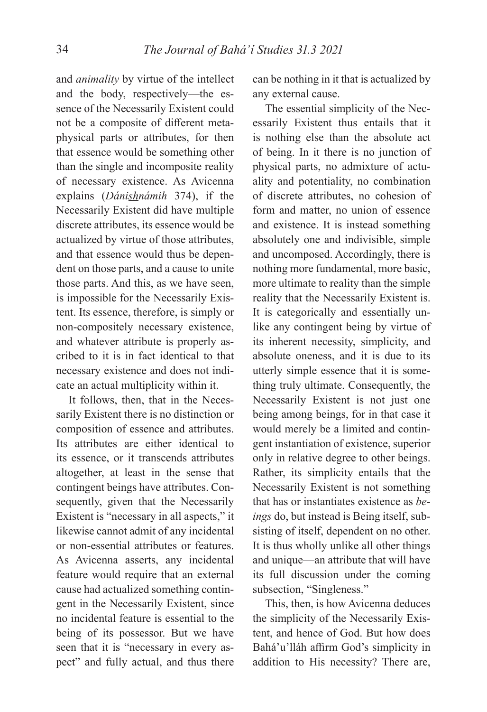and *animality* by virtue of the intellect and the body, respectively—the essence of the Necessarily Existent could not be a composite of different metaphysical parts or attributes, for then that essence would be something other than the single and incomposite reality of necessary existence. As Avicenna explains (*Dánishnámih* 374), if the Necessarily Existent did have multiple discrete attributes, its essence would be actualized by virtue of those attributes, and that essence would thus be dependent on those parts, and a cause to unite those parts. And this, as we have seen, is impossible for the Necessarily Existent. Its essence, therefore, is simply or non-compositely necessary existence, and whatever attribute is properly ascribed to it is in fact identical to that necessary existence and does not indicate an actual multiplicity within it.

It follows, then, that in the Necessarily Existent there is no distinction or composition of essence and attributes. Its attributes are either identical to its essence, or it transcends attributes altogether, at least in the sense that contingent beings have attributes. Consequently, given that the Necessarily Existent is "necessary in all aspects," it likewise cannot admit of any incidental or non-essential attributes or features. As Avicenna asserts, any incidental feature would require that an external cause had actualized something contingent in the Necessarily Existent, since no incidental feature is essential to the being of its possessor. But we have seen that it is "necessary in every aspect" and fully actual, and thus there

can be nothing in it that is actualized by any external cause.

The essential simplicity of the Necessarily Existent thus entails that it is nothing else than the absolute act of being. In it there is no junction of physical parts, no admixture of actuality and potentiality, no combination of discrete attributes, no cohesion of form and matter, no union of essence and existence. It is instead something absolutely one and indivisible, simple and uncomposed. Accordingly, there is nothing more fundamental, more basic, more ultimate to reality than the simple reality that the Necessarily Existent is. It is categorically and essentially unlike any contingent being by virtue of its inherent necessity, simplicity, and absolute oneness, and it is due to its utterly simple essence that it is something truly ultimate. Consequently, the Necessarily Existent is not just one being among beings, for in that case it would merely be a limited and contingent instantiation of existence, superior only in relative degree to other beings. Rather, its simplicity entails that the Necessarily Existent is not something that has or instantiates existence as *beings* do, but instead is Being itself, subsisting of itself, dependent on no other. It is thus wholly unlike all other things and unique—an attribute that will have its full discussion under the coming subsection, "Singleness."

This, then, is how Avicenna deduces the simplicity of the Necessarily Existent, and hence of God. But how does Bahá'u'lláh affirm God's simplicity in addition to His necessity? There are,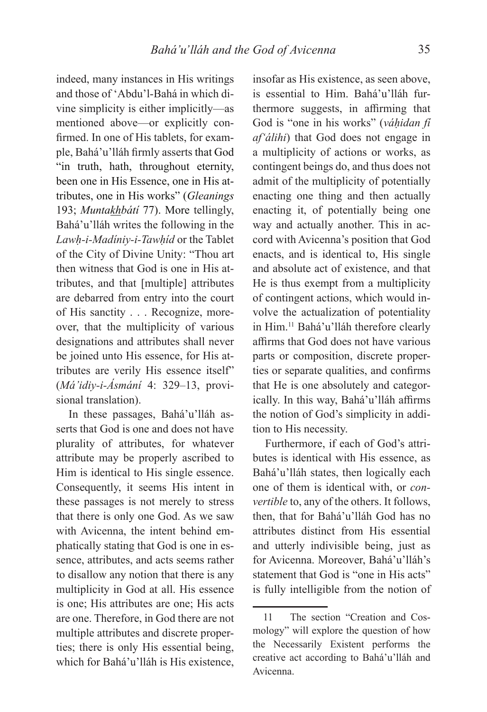indeed, many instances in His writings and those of 'Abdu'l-Bahá in which divine simplicity is either implicitly—as mentioned above—or explicitly confirmed. In one of His tablets, for example, Bahá'u'lláh firmly asserts that God "in truth, hath, throughout eternity, been one in His Essence, one in His attributes, one in His works" (*Gleanings*  193; *Muntakhbátí* 77). More tellingly, Bahá'u'lláh writes the following in the *Lawḥ-i-Madíniy-i-Tawḥíd* or the Tablet of the City of Divine Unity: "Thou art then witness that God is one in His attributes, and that [multiple] attributes are debarred from entry into the court of His sanctity . . . Recognize, moreover, that the multiplicity of various designations and attributes shall never be joined unto His essence, for His attributes are verily His essence itself" (*Má'idiy-i-Ásmání* 4: 329–13, provisional translation).

In these passages, Bahá'u'lláh asserts that God is one and does not have plurality of attributes, for whatever attribute may be properly ascribed to Him is identical to His single essence. Consequently, it seems His intent in these passages is not merely to stress that there is only one God. As we saw with Avicenna, the intent behind emphatically stating that God is one in essence, attributes, and acts seems rather to disallow any notion that there is any multiplicity in God at all. His essence is one; His attributes are one; His acts are one. Therefore, in God there are not multiple attributes and discrete properties; there is only His essential being, which for Bahá'u'lláh is His existence,

insofar as His existence, as seen above, is essential to Him. Bahá'u'lláh furthermore suggests, in affirming that God is "one in his works" (*váḥidan fí af'álihi*) that God does not engage in a multiplicity of actions or works, as contingent beings do, and thus does not admit of the multiplicity of potentially enacting one thing and then actually enacting it, of potentially being one way and actually another. This in accord with Avicenna's position that God enacts, and is identical to, His single and absolute act of existence, and that He is thus exempt from a multiplicity of contingent actions, which would involve the actualization of potentiality in Him.11 Bahá'u'lláh therefore clearly affirms that God does not have various parts or composition, discrete properties or separate qualities, and confirms that He is one absolutely and categorically. In this way, Bahá'u'lláh affirms the notion of God's simplicity in addition to His necessity.

Furthermore, if each of God's attributes is identical with His essence, as Bahá'u'lláh states, then logically each one of them is identical with, or *convertible* to, any of the others. It follows, then, that for Bahá'u'lláh God has no attributes distinct from His essential and utterly indivisible being, just as for Avicenna. Moreover, Bahá'u'lláh's statement that God is "one in His acts" is fully intelligible from the notion of

<sup>11</sup> The section "Creation and Cosmology" will explore the question of how the Necessarily Existent performs the creative act according to Bahá'u'lláh and Avicenna.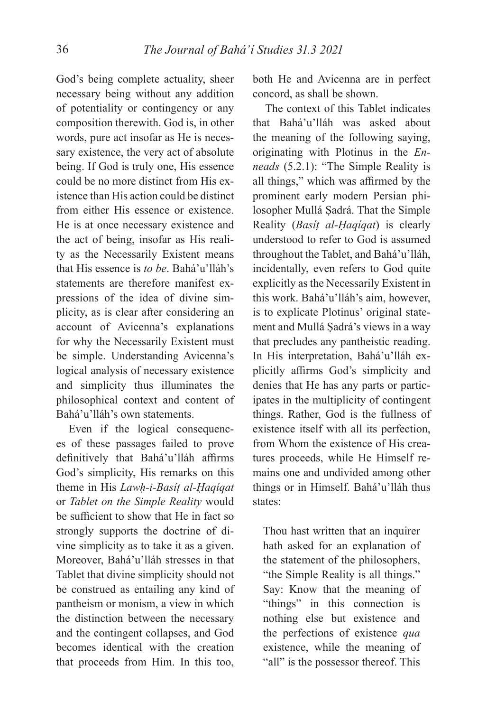God's being complete actuality, sheer necessary being without any addition of potentiality or contingency or any composition therewith. God is, in other words, pure act insofar as He is necessary existence, the very act of absolute being. If God is truly one, His essence could be no more distinct from His existence than His action could be distinct from either His essence or existence. He is at once necessary existence and the act of being, insofar as His reality as the Necessarily Existent means that His essence is *to be*. Bahá'u'lláh's statements are therefore manifest expressions of the idea of divine simplicity, as is clear after considering an account of Avicenna's explanations for why the Necessarily Existent must be simple. Understanding Avicenna's logical analysis of necessary existence and simplicity thus illuminates the philosophical context and content of Bahá'u'lláh's own statements.

Even if the logical consequences of these passages failed to prove definitively that Bahá'u'lláh affirms God's simplicity, His remarks on this theme in His *Lawḥ-i-Basíṭ al-Ḥaqíqat* or *Tablet on the Simple Reality* would be sufficient to show that He in fact so strongly supports the doctrine of divine simplicity as to take it as a given. Moreover, Bahá'u'lláh stresses in that Tablet that divine simplicity should not be construed as entailing any kind of pantheism or monism, a view in which the distinction between the necessary and the contingent collapses, and God becomes identical with the creation that proceeds from Him. In this too,

both He and Avicenna are in perfect concord, as shall be shown.

The context of this Tablet indicates that Bahá'u'lláh was asked about the meaning of the following saying, originating with Plotinus in the *Enneads* (5.2.1): "The Simple Reality is all things," which was affirmed by the prominent early modern Persian philosopher Mullá Ṣadrá. That the Simple Reality (*Basíṭ al-Ḥaqíqat*) is clearly understood to refer to God is assumed throughout the Tablet, and Bahá'u'lláh, incidentally, even refers to God quite explicitly as the Necessarily Existent in this work. Bahá'u'lláh's aim, however, is to explicate Plotinus' original statement and Mullá Ṣadrá's views in a way that precludes any pantheistic reading. In His interpretation, Bahá'u'lláh explicitly affirms God's simplicity and denies that He has any parts or participates in the multiplicity of contingent things. Rather, God is the fullness of existence itself with all its perfection, from Whom the existence of His creatures proceeds, while He Himself remains one and undivided among other things or in Himself. Bahá'u'lláh thus states:

 Thou hast written that an inquirer hath asked for an explanation of the statement of the philosophers, "the Simple Reality is all things." Say: Know that the meaning of "things" in this connection is nothing else but existence and the perfections of existence *qua*  existence, while the meaning of "all" is the possessor thereof. This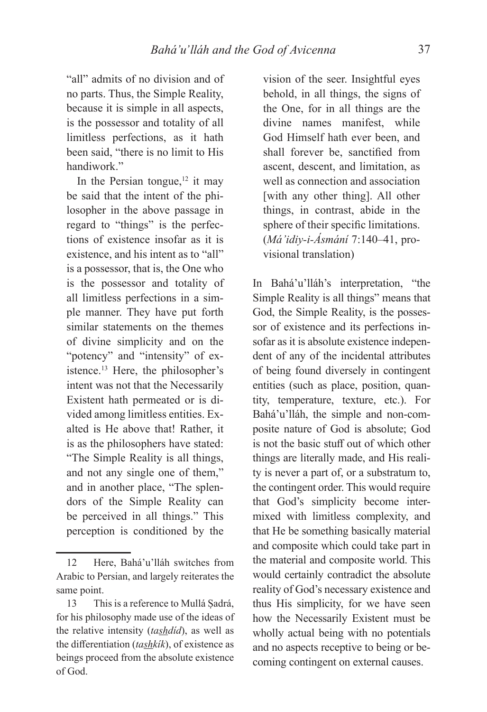"all" admits of no division and of no parts. Thus, the Simple Reality, because it is simple in all aspects, is the possessor and totality of all limitless perfections, as it hath been said, "there is no limit to His handiwork."

In the Persian tongue, $12$  it may be said that the intent of the philosopher in the above passage in regard to "things" is the perfections of existence insofar as it is existence, and his intent as to "all" is a possessor, that is, the One who is the possessor and totality of all limitless perfections in a simple manner. They have put forth similar statements on the themes of divine simplicity and on the "potency" and "intensity" of existence.<sup>13</sup> Here, the philosopher's intent was not that the Necessarily Existent hath permeated or is divided among limitless entities. Exalted is He above that! Rather, it is as the philosophers have stated: "The Simple Reality is all things, and not any single one of them," and in another place, "The splendors of the Simple Reality can be perceived in all things." This perception is conditioned by the

vision of the seer. Insightful eyes behold, in all things, the signs of the One, for in all things are the divine names manifest, while God Himself hath ever been, and shall forever be, sanctified from ascent, descent, and limitation, as well as connection and association [with any other thing]. All other things, in contrast, abide in the sphere of their specific limitations. (*Má'idiy-i-Ásmání* 7:140–41, provisional translation)

In Bahá'u'lláh's interpretation, "the Simple Reality is all things" means that God, the Simple Reality, is the possessor of existence and its perfections insofar as it is absolute existence independent of any of the incidental attributes of being found diversely in contingent entities (such as place, position, quantity, temperature, texture, etc.). For Bahá'u'lláh, the simple and non-composite nature of God is absolute; God is not the basic stuff out of which other things are literally made, and His reality is never a part of, or a substratum to, the contingent order. This would require that God's simplicity become intermixed with limitless complexity, and that He be something basically material and composite which could take part in the material and composite world. This would certainly contradict the absolute reality of God's necessary existence and thus His simplicity, for we have seen how the Necessarily Existent must be wholly actual being with no potentials and no aspects receptive to being or becoming contingent on external causes.

<sup>12</sup> Here, Bahá'u'lláh switches from Arabic to Persian, and largely reiterates the same point.

<sup>13</sup> This is a reference to Mullá Sadrá, for his philosophy made use of the ideas of the relative intensity (*tashdíd*), as well as the differentiation (*tashkik*), of existence as beings proceed from the absolute existence of God.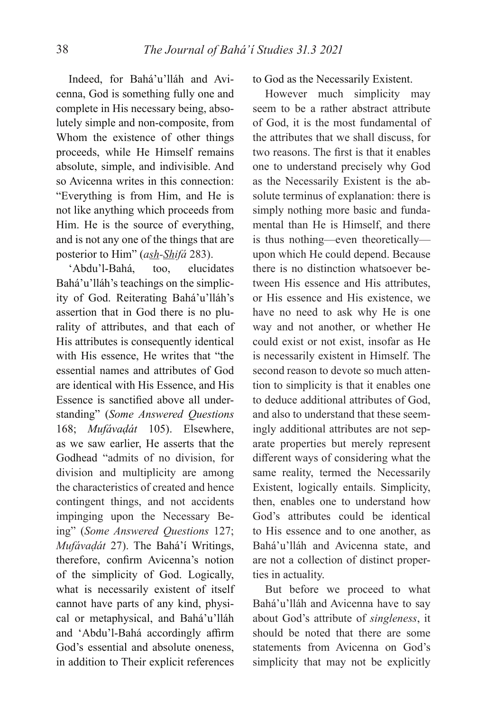Indeed, for Bahá'u'lláh and Avicenna, God is something fully one and complete in His necessary being, absolutely simple and non-composite, from Whom the existence of other things proceeds, while He Himself remains absolute, simple, and indivisible. And so Avicenna writes in this connection: "Everything is from Him, and He is not like anything which proceeds from Him. He is the source of everything, and is not any one of the things that are posterior to Him" (*ash-Shifá* 283).

'Abdu'l-Bahá, too, elucidates Bahá'u'lláh's teachings on the simplicity of God. Reiterating Bahá'u'lláh's assertion that in God there is no plurality of attributes, and that each of His attributes is consequently identical with His essence, He writes that "the essential names and attributes of God are identical with His Essence, and His Essence is sanctified above all understanding" (*Some Answered Questions* 168; *Mufávaḍát* 105). Elsewhere, as we saw earlier, He asserts that the Godhead "admits of no division, for division and multiplicity are among the characteristics of created and hence contingent things, and not accidents impinging upon the Necessary Being" (*Some Answered Questions* 127; *Mufávaḍát* 27). The Bahá'í Writings, therefore, confirm Avicenna's notion of the simplicity of God. Logically, what is necessarily existent of itself cannot have parts of any kind, physical or metaphysical, and Bahá'u'lláh and 'Abdu'l-Bahá accordingly affirm God's essential and absolute oneness, in addition to Their explicit references to God as the Necessarily Existent.

However much simplicity may seem to be a rather abstract attribute of God, it is the most fundamental of the attributes that we shall discuss, for two reasons. The first is that it enables one to understand precisely why God as the Necessarily Existent is the absolute terminus of explanation: there is simply nothing more basic and fundamental than He is Himself, and there is thus nothing—even theoretically upon which He could depend. Because there is no distinction whatsoever between His essence and His attributes, or His essence and His existence, we have no need to ask why He is one way and not another, or whether He could exist or not exist, insofar as He is necessarily existent in Himself. The second reason to devote so much attention to simplicity is that it enables one to deduce additional attributes of God, and also to understand that these seemingly additional attributes are not separate properties but merely represent different ways of considering what the same reality, termed the Necessarily Existent, logically entails. Simplicity, then, enables one to understand how God's attributes could be identical to His essence and to one another, as Bahá'u'lláh and Avicenna state, and are not a collection of distinct properties in actuality.

But before we proceed to what Bahá'u'lláh and Avicenna have to say about God's attribute of *singleness*, it should be noted that there are some statements from Avicenna on God's simplicity that may not be explicitly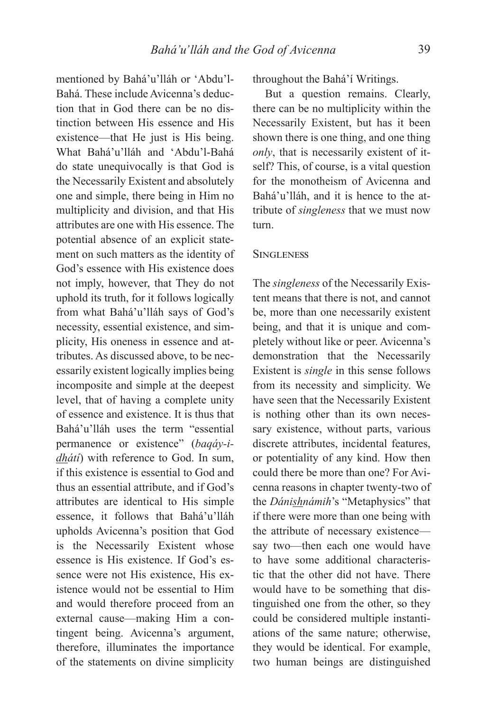mentioned by Bahá'u'lláh or 'Abdu'l-Bahá. These include Avicenna's deduction that in God there can be no distinction between His essence and His existence—that He just is His being. What Bahá'u'lláh and 'Abdu'l-Bahá do state unequivocally is that God is the Necessarily Existent and absolutely one and simple, there being in Him no multiplicity and division, and that His attributes are one with His essence. The potential absence of an explicit statement on such matters as the identity of God's essence with His existence does not imply, however, that They do not uphold its truth, for it follows logically from what Bahá'u'lláh says of God's necessity, essential existence, and simplicity, His oneness in essence and attributes. As discussed above, to be necessarily existent logically implies being incomposite and simple at the deepest level, that of having a complete unity of essence and existence. It is thus that Bahá'u'lláh uses the term "essential permanence or existence" (*baqáy-idhátí*) with reference to God. In sum, if this existence is essential to God and thus an essential attribute, and if God's attributes are identical to His simple essence, it follows that Bahá'u'lláh upholds Avicenna's position that God is the Necessarily Existent whose essence is His existence. If God's essence were not His existence, His existence would not be essential to Him and would therefore proceed from an external cause—making Him a contingent being. Avicenna's argument, therefore, illuminates the importance of the statements on divine simplicity throughout the Bahá'í Writings.

But a question remains. Clearly, there can be no multiplicity within the Necessarily Existent, but has it been shown there is one thing, and one thing *only*, that is necessarily existent of itself? This, of course, is a vital question for the monotheism of Avicenna and Bahá'u'lláh, and it is hence to the attribute of *singleness* that we must now turn.

## **SINGLENESS**

The *singleness* of the Necessarily Existent means that there is not, and cannot be, more than one necessarily existent being, and that it is unique and completely without like or peer. Avicenna's demonstration that the Necessarily Existent is *single* in this sense follows from its necessity and simplicity. We have seen that the Necessarily Existent is nothing other than its own necessary existence, without parts, various discrete attributes, incidental features, or potentiality of any kind. How then could there be more than one? For Avicenna reasons in chapter twenty-two of the *Dánishnámih*'s "Metaphysics" that if there were more than one being with the attribute of necessary existence say two—then each one would have to have some additional characteristic that the other did not have. There would have to be something that distinguished one from the other, so they could be considered multiple instantiations of the same nature; otherwise, they would be identical. For example, two human beings are distinguished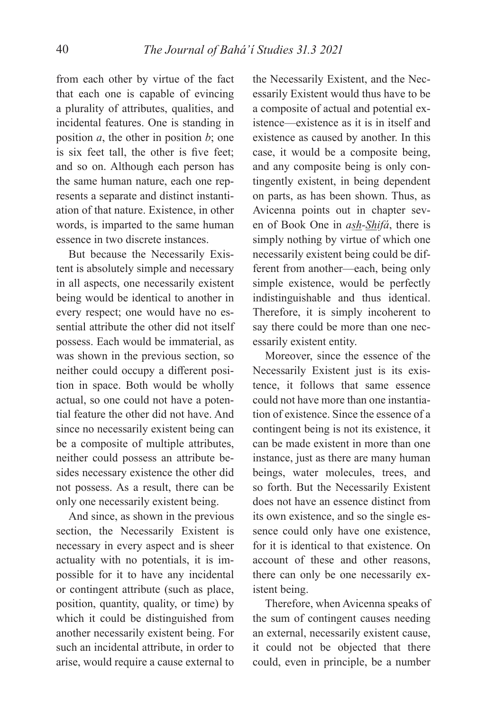from each other by virtue of the fact that each one is capable of evincing a plurality of attributes, qualities, and incidental features. One is standing in position *a*, the other in position *b*; one is six feet tall, the other is five feet; and so on. Although each person has the same human nature, each one represents a separate and distinct instantiation of that nature. Existence, in other words, is imparted to the same human essence in two discrete instances.

But because the Necessarily Existent is absolutely simple and necessary in all aspects, one necessarily existent being would be identical to another in every respect; one would have no essential attribute the other did not itself possess. Each would be immaterial, as was shown in the previous section, so neither could occupy a different position in space. Both would be wholly actual, so one could not have a potential feature the other did not have. And since no necessarily existent being can be a composite of multiple attributes, neither could possess an attribute besides necessary existence the other did not possess. As a result, there can be only one necessarily existent being.

And since, as shown in the previous section, the Necessarily Existent is necessary in every aspect and is sheer actuality with no potentials, it is impossible for it to have any incidental or contingent attribute (such as place, position, quantity, quality, or time) by which it could be distinguished from another necessarily existent being. For such an incidental attribute, in order to arise, would require a cause external to

the Necessarily Existent, and the Necessarily Existent would thus have to be a composite of actual and potential existence—existence as it is in itself and existence as caused by another. In this case, it would be a composite being, and any composite being is only contingently existent, in being dependent on parts, as has been shown. Thus, as Avicenna points out in chapter seven of Book One in *ash-Shifá*, there is simply nothing by virtue of which one necessarily existent being could be different from another—each, being only simple existence, would be perfectly indistinguishable and thus identical. Therefore, it is simply incoherent to say there could be more than one necessarily existent entity.

Moreover, since the essence of the Necessarily Existent just is its existence, it follows that same essence could not have more than one instantiation of existence. Since the essence of a contingent being is not its existence, it can be made existent in more than one instance, just as there are many human beings, water molecules, trees, and so forth. But the Necessarily Existent does not have an essence distinct from its own existence, and so the single essence could only have one existence, for it is identical to that existence. On account of these and other reasons, there can only be one necessarily existent being.

Therefore, when Avicenna speaks of the sum of contingent causes needing an external, necessarily existent cause, it could not be objected that there could, even in principle, be a number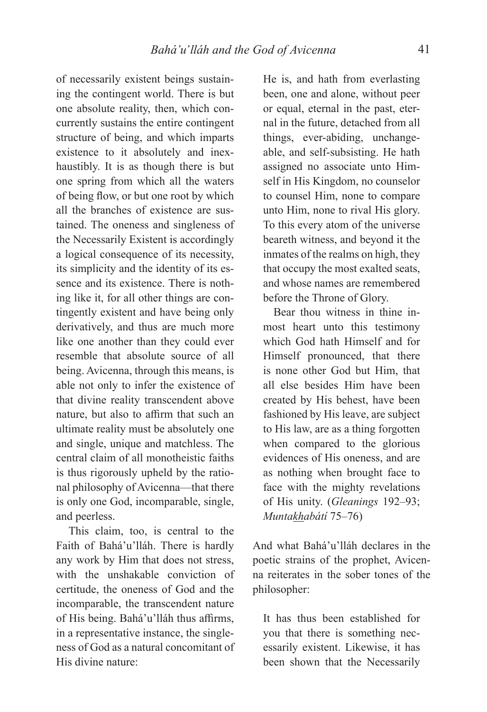of necessarily existent beings sustaining the contingent world. There is but one absolute reality, then, which concurrently sustains the entire contingent structure of being, and which imparts existence to it absolutely and inexhaustibly. It is as though there is but one spring from which all the waters of being flow, or but one root by which all the branches of existence are sustained. The oneness and singleness of the Necessarily Existent is accordingly a logical consequence of its necessity, its simplicity and the identity of its essence and its existence. There is nothing like it, for all other things are contingently existent and have being only derivatively, and thus are much more like one another than they could ever resemble that absolute source of all being. Avicenna, through this means, is able not only to infer the existence of that divine reality transcendent above nature, but also to affirm that such an ultimate reality must be absolutely one and single, unique and matchless. The central claim of all monotheistic faiths is thus rigorously upheld by the rational philosophy of Avicenna—that there is only one God, incomparable, single, and peerless.

This claim, too, is central to the Faith of Bahá'u'lláh. There is hardly any work by Him that does not stress, with the unshakable conviction of certitude, the oneness of God and the incomparable, the transcendent nature of His being. Bahá'u'lláh thus affirms, in a representative instance, the singleness of God as a natural concomitant of His divine nature:

He is, and hath from everlasting been, one and alone, without peer or equal, eternal in the past, eternal in the future, detached from all things, ever-abiding, unchangeable, and self-subsisting. He hath assigned no associate unto Himself in His Kingdom, no counselor to counsel Him, none to compare unto Him, none to rival His glory. To this every atom of the universe beareth witness, and beyond it the inmates of the realms on high, they that occupy the most exalted seats, and whose names are remembered before the Throne of Glory.

Bear thou witness in thine inmost heart unto this testimony which God hath Himself and for Himself pronounced, that there is none other God but Him, that all else besides Him have been created by His behest, have been fashioned by His leave, are subject to His law, are as a thing forgotten when compared to the glorious evidences of His oneness, and are as nothing when brought face to face with the mighty revelations of His unity. (*Gleanings* 192–93; *Muntakhabátí* 75–76)

And what Bahá'u'lláh declares in the poetic strains of the prophet, Avicenna reiterates in the sober tones of the philosopher:

It has thus been established for you that there is something necessarily existent. Likewise, it has been shown that the Necessarily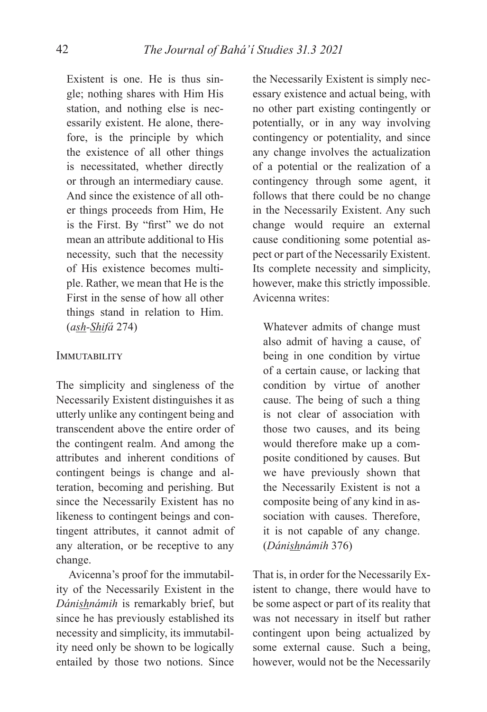Existent is one. He is thus single; nothing shares with Him His station, and nothing else is necessarily existent. He alone, therefore, is the principle by which the existence of all other things is necessitated, whether directly or through an intermediary cause. And since the existence of all other things proceeds from Him, He is the First. By "first" we do not mean an attribute additional to His necessity, such that the necessity of His existence becomes multiple. Rather, we mean that He is the First in the sense of how all other things stand in relation to Him. (*ash-Shifá* 274)

## **IMMUTABILITY**

The simplicity and singleness of the Necessarily Existent distinguishes it as utterly unlike any contingent being and transcendent above the entire order of the contingent realm. And among the attributes and inherent conditions of contingent beings is change and alteration, becoming and perishing. But since the Necessarily Existent has no likeness to contingent beings and contingent attributes, it cannot admit of any alteration, or be receptive to any change.

Avicenna's proof for the immutability of the Necessarily Existent in the *Dánishnámih* is remarkably brief, but since he has previously established its necessity and simplicity, its immutability need only be shown to be logically entailed by those two notions. Since

the Necessarily Existent is simply necessary existence and actual being, with no other part existing contingently or potentially, or in any way involving contingency or potentiality, and since any change involves the actualization of a potential or the realization of a contingency through some agent, it follows that there could be no change in the Necessarily Existent. Any such change would require an external cause conditioning some potential aspect or part of the Necessarily Existent. Its complete necessity and simplicity, however, make this strictly impossible. Avicenna writes:

Whatever admits of change must also admit of having a cause, of being in one condition by virtue of a certain cause, or lacking that condition by virtue of another cause. The being of such a thing is not clear of association with those two causes, and its being would therefore make up a composite conditioned by causes. But we have previously shown that the Necessarily Existent is not a composite being of any kind in association with causes. Therefore, it is not capable of any change. (*Dánishnámih* 376)

That is, in order for the Necessarily Existent to change, there would have to be some aspect or part of its reality that was not necessary in itself but rather contingent upon being actualized by some external cause. Such a being, however, would not be the Necessarily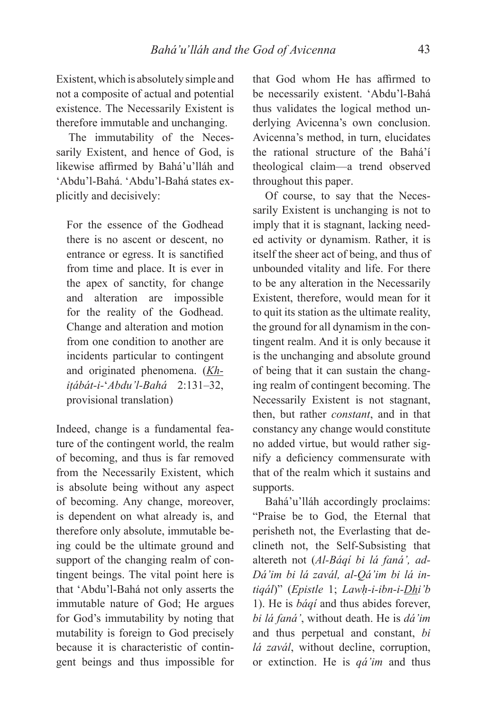Existent, which is absolutely simple and not a composite of actual and potential existence. The Necessarily Existent is therefore immutable and unchanging.

The immutability of the Necessarily Existent, and hence of God, is likewise affirmed by Bahá'u'lláh and 'Abdu'l-Bahá. 'Abdu'l-Bahá states explicitly and decisively:

For the essence of the Godhead there is no ascent or descent, no entrance or egress. It is sanctified from time and place. It is ever in the apex of sanctity, for change and alteration are impossible for the reality of the Godhead. Change and alteration and motion from one condition to another are incidents particular to contingent and originated phenomena. (*Khiṭábát-i-*ʻ*Abdu'l-Bahá* 2:131–32, provisional translation)

Indeed, change is a fundamental feature of the contingent world, the realm of becoming, and thus is far removed from the Necessarily Existent, which is absolute being without any aspect of becoming. Any change, moreover, is dependent on what already is, and therefore only absolute, immutable being could be the ultimate ground and support of the changing realm of contingent beings. The vital point here is that 'Abdu'l-Bahá not only asserts the immutable nature of God; He argues for God's immutability by noting that mutability is foreign to God precisely because it is characteristic of contingent beings and thus impossible for

that God whom He has affirmed to be necessarily existent. 'Abdu'l-Bahá thus validates the logical method underlying Avicenna's own conclusion. Avicenna's method, in turn, elucidates the rational structure of the Bahá'í theological claim—a trend observed throughout this paper.

Of course, to say that the Necessarily Existent is unchanging is not to imply that it is stagnant, lacking needed activity or dynamism. Rather, it is itself the sheer act of being, and thus of unbounded vitality and life. For there to be any alteration in the Necessarily Existent, therefore, would mean for it to quit its station as the ultimate reality, the ground for all dynamism in the contingent realm. And it is only because it is the unchanging and absolute ground of being that it can sustain the changing realm of contingent becoming. The Necessarily Existent is not stagnant, then, but rather *constant*, and in that constancy any change would constitute no added virtue, but would rather signify a deficiency commensurate with that of the realm which it sustains and supports.

Bahá'u'lláh accordingly proclaims: "Praise be to God, the Eternal that perisheth not, the Everlasting that declineth not, the Self-Subsisting that altereth not (*Al-Báqí bi lá faná', ad-Dá'im bi lá zavál, al-Qá'im bi lá intiqál*)" (*Epistle* 1; *Lawḥ-i-ibn-i-Dhi'b*  1). He is *báqí* and thus abides forever, *bi lá faná'*, without death. He is *dá'im*  and thus perpetual and constant, *bi lá zavál*, without decline, corruption, or extinction. He is *qá'im* and thus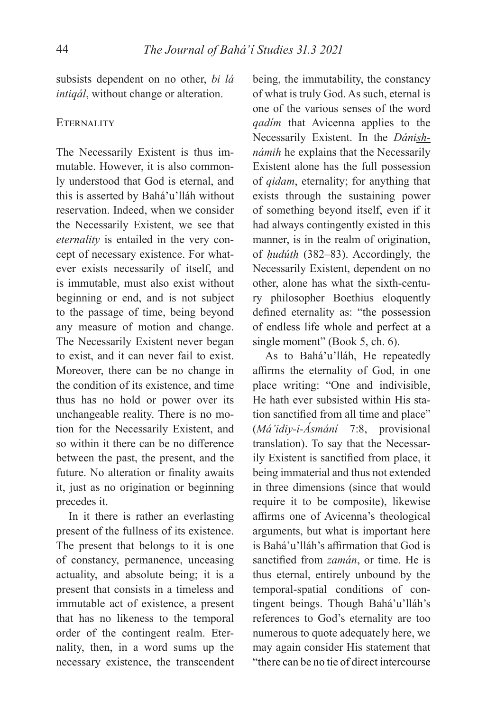subsists dependent on no other, *bi lá intiqál*, without change or alteration.

### **ETERNALITY**

The Necessarily Existent is thus immutable. However, it is also commonly understood that God is eternal, and this is asserted by Bahá'u'lláh without reservation. Indeed, when we consider the Necessarily Existent, we see that *eternality* is entailed in the very concept of necessary existence. For whatever exists necessarily of itself, and is immutable, must also exist without beginning or end, and is not subject to the passage of time, being beyond any measure of motion and change. The Necessarily Existent never began to exist, and it can never fail to exist. Moreover, there can be no change in the condition of its existence, and time thus has no hold or power over its unchangeable reality. There is no motion for the Necessarily Existent, and so within it there can be no difference between the past, the present, and the future. No alteration or finality awaits it, just as no origination or beginning precedes it.

In it there is rather an everlasting present of the fullness of its existence. The present that belongs to it is one of constancy, permanence, unceasing actuality, and absolute being; it is a present that consists in a timeless and immutable act of existence, a present that has no likeness to the temporal order of the contingent realm. Eternality, then, in a word sums up the necessary existence, the transcendent

being, the immutability, the constancy of what is truly God. As such, eternal is one of the various senses of the word *qadím* that Avicenna applies to the Necessarily Existent. In the *Dánishnámih* he explains that the Necessarily Existent alone has the full possession of *qidam*, eternality; for anything that exists through the sustaining power of something beyond itself, even if it had always contingently existed in this manner, is in the realm of origination, of *ḥudúth* (382–83). Accordingly, the Necessarily Existent, dependent on no other, alone has what the sixth-century philosopher Boethius eloquently defined eternality as: "the possession of endless life whole and perfect at a single moment" (Book 5, ch. 6).

As to Bahá'u'lláh, He repeatedly affirms the eternality of God, in one place writing: "One and indivisible, He hath ever subsisted within His station sanctified from all time and place" (*Má'idiy-i-Ásmání* 7:8, provisional translation). To say that the Necessarily Existent is sanctified from place, it being immaterial and thus not extended in three dimensions (since that would require it to be composite), likewise affirms one of Avicenna's theological arguments, but what is important here is Bahá'u'lláh's affirmation that God is sanctified from *zamán*, or time. He is thus eternal, entirely unbound by the temporal-spatial conditions of contingent beings. Though Bahá'u'lláh's references to God's eternality are too numerous to quote adequately here, we may again consider His statement that "there can be no tie of direct intercourse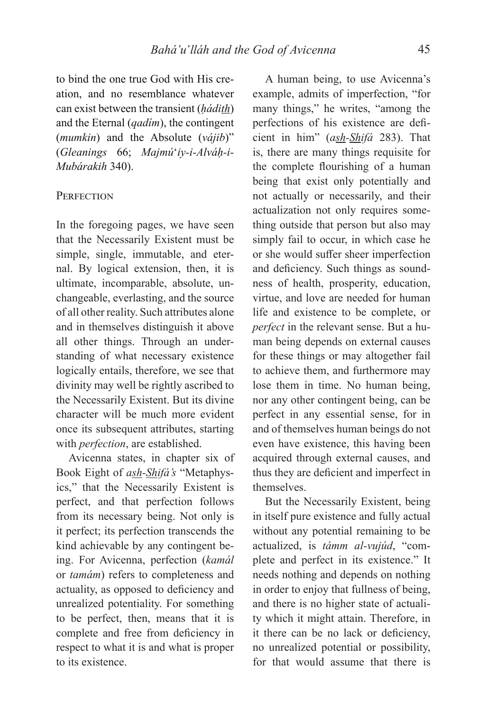to bind the one true God with His creation, and no resemblance whatever can exist between the transient (*ḥádith*) and the Eternal (*qadím*), the contingent (*mumkin*) and the Absolute (*vájib*)" (*Gleanings* 66; *Majmú*ʻ*iy-i-Alváḥ-i-Mubárakih* 340).

### PERFECTION

In the foregoing pages, we have seen that the Necessarily Existent must be simple, single, immutable, and eternal. By logical extension, then, it is ultimate, incomparable, absolute, unchangeable, everlasting, and the source of all other reality. Such attributes alone and in themselves distinguish it above all other things. Through an understanding of what necessary existence logically entails, therefore, we see that divinity may well be rightly ascribed to the Necessarily Existent. But its divine character will be much more evident once its subsequent attributes, starting with *perfection*, are established.

Avicenna states, in chapter six of Book Eight of *ash-Shifá's* "Metaphysics," that the Necessarily Existent is perfect, and that perfection follows from its necessary being. Not only is it perfect; its perfection transcends the kind achievable by any contingent being. For Avicenna, perfection (*kamál*  or *tamám*) refers to completeness and actuality, as opposed to deficiency and unrealized potentiality. For something to be perfect, then, means that it is complete and free from deficiency in respect to what it is and what is proper to its existence.

A human being, to use Avicenna's example, admits of imperfection, "for many things," he writes, "among the perfections of his existence are deficient in him" (*ash-Shifá* 283). That is, there are many things requisite for the complete flourishing of a human being that exist only potentially and not actually or necessarily, and their actualization not only requires something outside that person but also may simply fail to occur, in which case he or she would suffer sheer imperfection and deficiency. Such things as soundness of health, prosperity, education, virtue, and love are needed for human life and existence to be complete, or *perfect* in the relevant sense. But a human being depends on external causes for these things or may altogether fail to achieve them, and furthermore may lose them in time. No human being, nor any other contingent being, can be perfect in any essential sense, for in and of themselves human beings do not even have existence, this having been acquired through external causes, and thus they are deficient and imperfect in themselves.

But the Necessarily Existent, being in itself pure existence and fully actual without any potential remaining to be actualized, is *támm al-vujúd*, "complete and perfect in its existence." It needs nothing and depends on nothing in order to enjoy that fullness of being, and there is no higher state of actuality which it might attain. Therefore, in it there can be no lack or deficiency, no unrealized potential or possibility, for that would assume that there is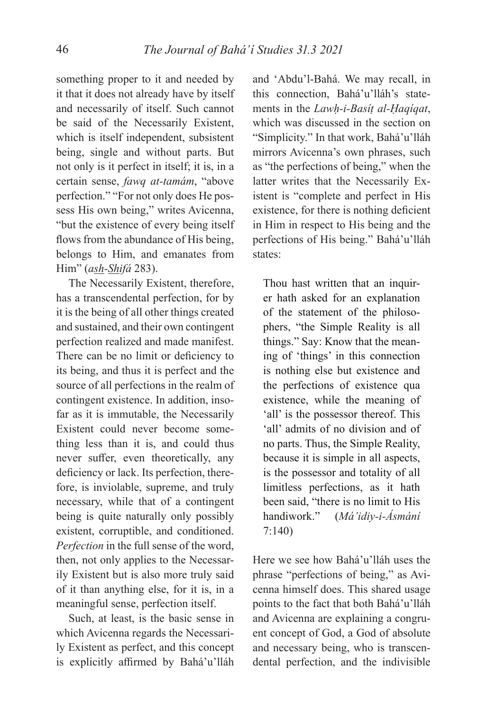something proper to it and needed by it that it does not already have by itself and necessarily of itself. Such cannot be said of the Necessarily Existent, which is itself independent, subsistent being, single and without parts. But not only is it perfect in itself; it is, in a certain sense, *fawq at-tamám*, "above perfection." "For not only does He possess His own being," writes Avicenna, "but the existence of every being itself flows from the abundance of His being, belongs to Him, and emanates from Him" (*ash-Shifá* 283).

The Necessarily Existent, therefore, has a transcendental perfection, for by it is the being of all other things created and sustained, and their own contingent perfection realized and made manifest. There can be no limit or deficiency to its being, and thus it is perfect and the source of all perfections in the realm of contingent existence. In addition, insofar as it is immutable, the Necessarily Existent could never become something less than it is, and could thus never suffer, even theoretically, any deficiency or lack. Its perfection, therefore, is inviolable, supreme, and truly necessary, while that of a contingent being is quite naturally only possibly existent, corruptible, and conditioned. *Perfection* in the full sense of the word, then, not only applies to the Necessarily Existent but is also more truly said of it than anything else, for it is, in a meaningful sense, perfection itself.

Such, at least, is the basic sense in which Avicenna regards the Necessarily Existent as perfect, and this concept is explicitly affirmed by Bahá'u'lláh

and 'Abdu'l-Bahá. We may recall, in this connection, Bahá'u'lláh's statements in the *Lawḥ-i-Basíṭ al-Ḥaqíqat*, which was discussed in the section on "Simplicity." In that work, Bahá'u'lláh mirrors Avicenna's own phrases, such as "the perfections of being," when the latter writes that the Necessarily Existent is "complete and perfect in His existence, for there is nothing deficient in Him in respect to His being and the perfections of His being." Bahá'u'lláh states:

Thou hast written that an inquirer hath asked for an explanation of the statement of the philosophers, "the Simple Reality is all things." Say: Know that the meaning of 'things' in this connection is nothing else but existence and the perfections of existence qua existence, while the meaning of 'all' is the possessor thereof. This 'all' admits of no division and of no parts. Thus, the Simple Reality, because it is simple in all aspects, is the possessor and totality of all limitless perfections, as it hath been said, "there is no limit to His handiwork." (*Má'idiy-i-Ásmání*  7:140)

Here we see how Bahá'u'lláh uses the phrase "perfections of being," as Avicenna himself does. This shared usage points to the fact that both Bahá'u'lláh and Avicenna are explaining a congruent concept of God, a God of absolute and necessary being, who is transcendental perfection, and the indivisible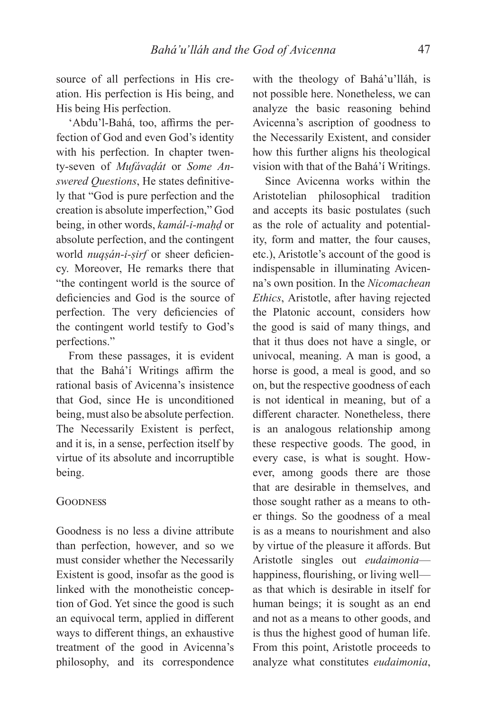source of all perfections in His creation. His perfection is His being, and His being His perfection.

'Abdu'l-Bahá, too, affirms the perfection of God and even God's identity with his perfection. In chapter twenty-seven of *Mufávaḍát* or *Some Answered Ouestions*, He states definitively that "God is pure perfection and the creation is absolute imperfection," God being, in other words, *kamál-i-maḥḍ* or absolute perfection, and the contingent world *nuqsán-i-sirf* or sheer deficiency. Moreover, He remarks there that "the contingent world is the source of deficiencies and God is the source of perfection. The very deficiencies of the contingent world testify to God's perfections."

From these passages, it is evident that the Bahá'í Writings affirm the rational basis of Avicenna's insistence that God, since He is unconditioned being, must also be absolute perfection. The Necessarily Existent is perfect, and it is, in a sense, perfection itself by virtue of its absolute and incorruptible being.

### GOODNESS

Goodness is no less a divine attribute than perfection, however, and so we must consider whether the Necessarily Existent is good, insofar as the good is linked with the monotheistic conception of God. Yet since the good is such an equivocal term, applied in different ways to different things, an exhaustive treatment of the good in Avicenna's philosophy, and its correspondence

with the theology of Bahá'u'lláh, is not possible here. Nonetheless, we can analyze the basic reasoning behind Avicenna's ascription of goodness to the Necessarily Existent, and consider how this further aligns his theological vision with that of the Bahá'í Writings.

Since Avicenna works within the Aristotelian philosophical tradition and accepts its basic postulates (such as the role of actuality and potentiality, form and matter, the four causes, etc.), Aristotle's account of the good is indispensable in illuminating Avicenna's own position. In the *Nicomachean Ethics*, Aristotle, after having rejected the Platonic account, considers how the good is said of many things, and that it thus does not have a single, or univocal, meaning. A man is good, a horse is good, a meal is good, and so on, but the respective goodness of each is not identical in meaning, but of a different character. Nonetheless, there is an analogous relationship among these respective goods. The good, in every case, is what is sought. However, among goods there are those that are desirable in themselves, and those sought rather as a means to other things. So the goodness of a meal is as a means to nourishment and also by virtue of the pleasure it affords. But Aristotle singles out *eudaimonia* happiness, flourishing, or living well as that which is desirable in itself for human beings; it is sought as an end and not as a means to other goods, and is thus the highest good of human life. From this point, Aristotle proceeds to analyze what constitutes *eudaimonia*,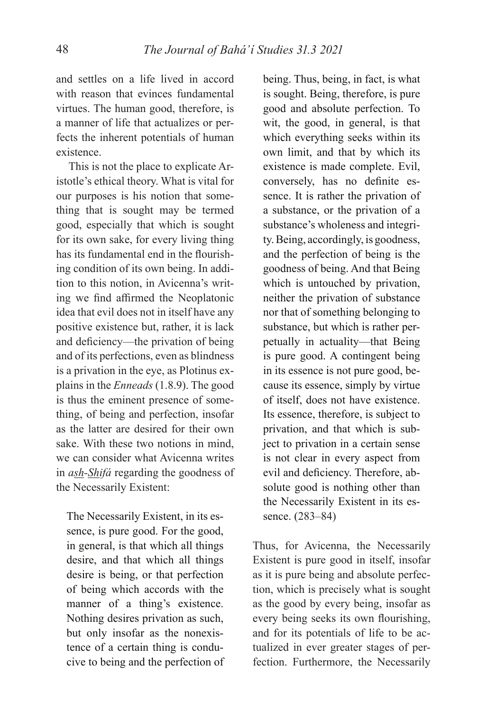and settles on a life lived in accord with reason that evinces fundamental virtues. The human good, therefore, is a manner of life that actualizes or perfects the inherent potentials of human existence.

This is not the place to explicate Aristotle's ethical theory. What is vital for our purposes is his notion that something that is sought may be termed good, especially that which is sought for its own sake, for every living thing has its fundamental end in the flourishing condition of its own being. In addition to this notion, in Avicenna's writing we find affirmed the Neoplatonic idea that evil does not in itself have any positive existence but, rather, it is lack and deficiency—the privation of being and of its perfections, even as blindness is a privation in the eye, as Plotinus explains in the *Enneads* (1.8.9). The good is thus the eminent presence of something, of being and perfection, insofar as the latter are desired for their own sake. With these two notions in mind, we can consider what Avicenna writes in *ash-Shifá* regarding the goodness of the Necessarily Existent:

The Necessarily Existent, in its essence, is pure good. For the good, in general, is that which all things desire, and that which all things desire is being, or that perfection of being which accords with the manner of a thing's existence. Nothing desires privation as such, but only insofar as the nonexistence of a certain thing is conducive to being and the perfection of being. Thus, being, in fact, is what is sought. Being, therefore, is pure good and absolute perfection. To wit, the good, in general, is that which everything seeks within its own limit, and that by which its existence is made complete. Evil, conversely, has no definite essence. It is rather the privation of a substance, or the privation of a substance's wholeness and integrity. Being, accordingly, is goodness, and the perfection of being is the goodness of being. And that Being which is untouched by privation, neither the privation of substance nor that of something belonging to substance, but which is rather perpetually in actuality—that Being is pure good. A contingent being in its essence is not pure good, because its essence, simply by virtue of itself, does not have existence. Its essence, therefore, is subject to privation, and that which is subject to privation in a certain sense is not clear in every aspect from evil and deficiency. Therefore, absolute good is nothing other than the Necessarily Existent in its essence. (283–84)

Thus, for Avicenna, the Necessarily Existent is pure good in itself, insofar as it is pure being and absolute perfection, which is precisely what is sought as the good by every being, insofar as every being seeks its own flourishing, and for its potentials of life to be actualized in ever greater stages of perfection. Furthermore, the Necessarily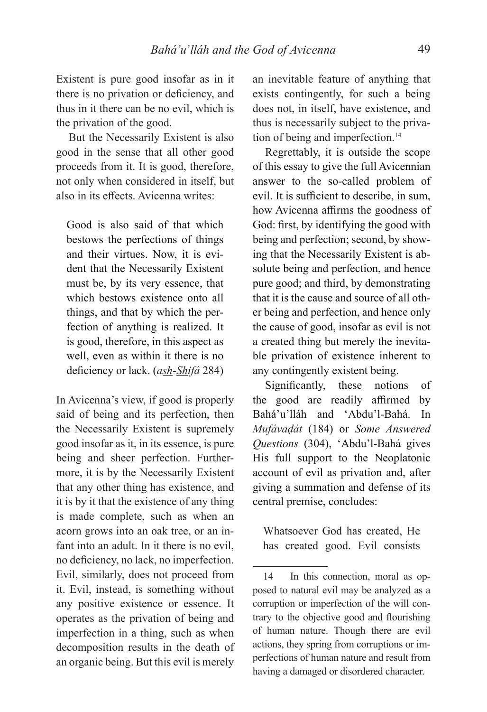Existent is pure good insofar as in it there is no privation or deficiency, and thus in it there can be no evil, which is the privation of the good.

But the Necessarily Existent is also good in the sense that all other good proceeds from it. It is good, therefore, not only when considered in itself, but also in its effects. Avicenna writes:

Good is also said of that which bestows the perfections of things and their virtues. Now, it is evident that the Necessarily Existent must be, by its very essence, that which bestows existence onto all things, and that by which the perfection of anything is realized. It is good, therefore, in this aspect as well, even as within it there is no deficiency or lack. (ash-Shifá 284)

In Avicenna's view, if good is properly said of being and its perfection, then the Necessarily Existent is supremely good insofar as it, in its essence, is pure being and sheer perfection. Furthermore, it is by the Necessarily Existent that any other thing has existence, and it is by it that the existence of any thing is made complete, such as when an acorn grows into an oak tree, or an infant into an adult. In it there is no evil, no deficiency, no lack, no imperfection. Evil, similarly, does not proceed from it. Evil, instead, is something without any positive existence or essence. It operates as the privation of being and imperfection in a thing, such as when decomposition results in the death of an organic being. But this evil is merely

an inevitable feature of anything that exists contingently, for such a being does not, in itself, have existence, and thus is necessarily subject to the privation of being and imperfection.<sup>14</sup>

Regrettably, it is outside the scope of this essay to give the full Avicennian answer to the so-called problem of evil. It is sufficient to describe, in sum, how Avicenna affirms the goodness of God: first, by identifying the good with being and perfection; second, by showing that the Necessarily Existent is absolute being and perfection, and hence pure good; and third, by demonstrating that it is the cause and source of all other being and perfection, and hence only the cause of good, insofar as evil is not a created thing but merely the inevitable privation of existence inherent to any contingently existent being.

Significantly, these notions of the good are readily affirmed by Bahá'u'lláh and 'Abdu'l-Bahá. In *Mufávaḍát* (184) or *Some Answered Questions* (304), 'Abdu'l-Bahá gives His full support to the Neoplatonic account of evil as privation and, after giving a summation and defense of its central premise, concludes:

Whatsoever God has created, He has created good. Evil consists

<sup>14</sup> In this connection, moral as opposed to natural evil may be analyzed as a corruption or imperfection of the will contrary to the objective good and flourishing of human nature. Though there are evil actions, they spring from corruptions or imperfections of human nature and result from having a damaged or disordered character.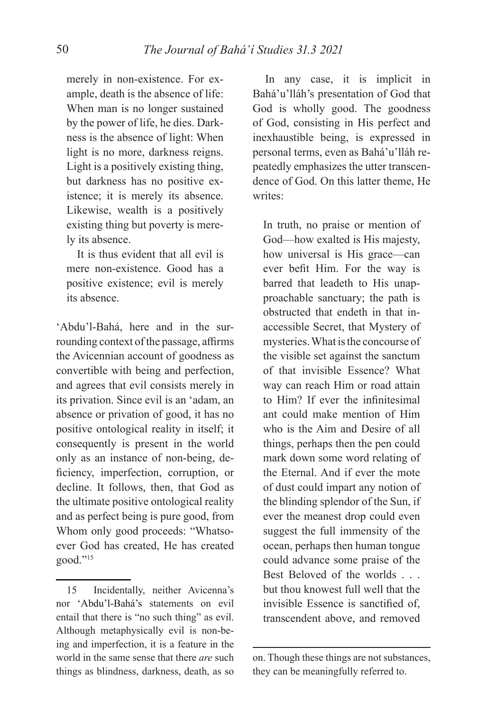merely in non-existence. For example, death is the absence of life: When man is no longer sustained by the power of life, he dies. Darkness is the absence of light: When light is no more, darkness reigns. Light is a positively existing thing, but darkness has no positive existence; it is merely its absence. Likewise, wealth is a positively existing thing but poverty is merely its absence.

It is thus evident that all evil is mere non-existence. Good has a positive existence; evil is merely its absence.

'Abdu'l-Bahá, here and in the surrounding context of the passage, affirms the Avicennian account of goodness as convertible with being and perfection, and agrees that evil consists merely in its privation. Since evil is an 'adam, an absence or privation of good, it has no positive ontological reality in itself; it consequently is present in the world only as an instance of non-being, deficiency, imperfection, corruption, or decline. It follows, then, that God as the ultimate positive ontological reality and as perfect being is pure good, from Whom only good proceeds: "Whatsoever God has created, He has created good."15

15 Incidentally, neither Avicenna's nor 'Abdu'l-Bahá's statements on evil entail that there is "no such thing" as evil. Although metaphysically evil is non-being and imperfection, it is a feature in the world in the same sense that there *are* such things as blindness, darkness, death, as so

In any case, it is implicit in Bahá'u'lláh's presentation of God that God is wholly good. The goodness of God, consisting in His perfect and inexhaustible being, is expressed in personal terms, even as Bahá'u'lláh repeatedly emphasizes the utter transcendence of God. On this latter theme, He writes:

In truth, no praise or mention of God—how exalted is His majesty, how universal is His grace—can ever befit Him. For the way is barred that leadeth to His unapproachable sanctuary; the path is obstructed that endeth in that inaccessible Secret, that Mystery of mysteries. What is the concourse of the visible set against the sanctum of that invisible Essence? What way can reach Him or road attain to Him? If ever the infinitesimal ant could make mention of Him who is the Aim and Desire of all things, perhaps then the pen could mark down some word relating of the Eternal. And if ever the mote of dust could impart any notion of the blinding splendor of the Sun, if ever the meanest drop could even suggest the full immensity of the ocean, perhaps then human tongue could advance some praise of the Best Beloved of the worlds . . . but thou knowest full well that the invisible Essence is sanctified of, transcendent above, and removed

on. Though these things are not substances, they can be meaningfully referred to.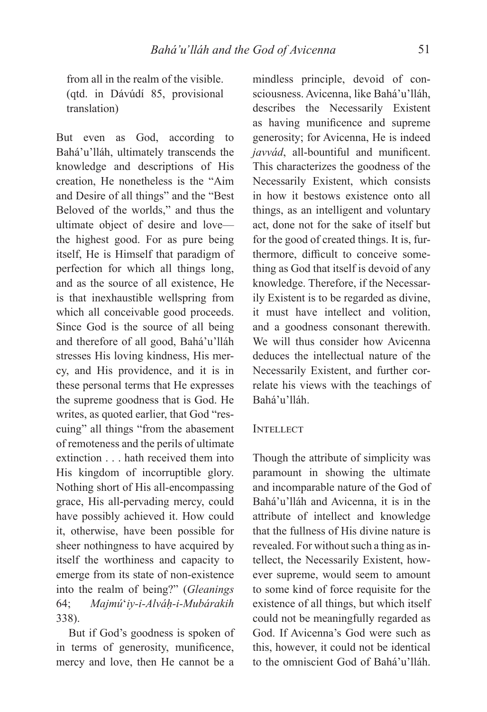from all in the realm of the visible. (qtd. in Dávúdí 85, provisional translation)

But even as God, according to Bahá'u'lláh, ultimately transcends the knowledge and descriptions of His creation, He nonetheless is the "Aim and Desire of all things" and the "Best Beloved of the worlds," and thus the ultimate object of desire and love the highest good. For as pure being itself, He is Himself that paradigm of perfection for which all things long, and as the source of all existence, He is that inexhaustible wellspring from which all conceivable good proceeds. Since God is the source of all being and therefore of all good, Bahá'u'lláh stresses His loving kindness, His mercy, and His providence, and it is in these personal terms that He expresses the supreme goodness that is God. He writes, as quoted earlier, that God "rescuing" all things "from the abasement of remoteness and the perils of ultimate extinction . . . hath received them into His kingdom of incorruptible glory. Nothing short of His all-encompassing grace, His all-pervading mercy, could have possibly achieved it. How could it, otherwise, have been possible for sheer nothingness to have acquired by itself the worthiness and capacity to emerge from its state of non-existence into the realm of being?" (*Gleanings*  64; *Majmú*ʻ*iy-i-Alváḥ-i-Mubárakih*  338).

But if God's goodness is spoken of in terms of generosity, munificence, mercy and love, then He cannot be a

mindless principle, devoid of consciousness. Avicenna, like Bahá'u'lláh, describes the Necessarily Existent as having munificence and supreme generosity; for Avicenna, He is indeed *javvád*, all-bountiful and munificent. This characterizes the goodness of the Necessarily Existent, which consists in how it bestows existence onto all things, as an intelligent and voluntary act, done not for the sake of itself but for the good of created things. It is, furthermore, difficult to conceive something as God that itself is devoid of any knowledge. Therefore, if the Necessarily Existent is to be regarded as divine, it must have intellect and volition, and a goodness consonant therewith. We will thus consider how Avicenna deduces the intellectual nature of the Necessarily Existent, and further correlate his views with the teachings of Bahá'u'lláh.

### **INTELLECT**

Though the attribute of simplicity was paramount in showing the ultimate and incomparable nature of the God of Bahá'u'lláh and Avicenna, it is in the attribute of intellect and knowledge that the fullness of His divine nature is revealed. For without such a thing as intellect, the Necessarily Existent, however supreme, would seem to amount to some kind of force requisite for the existence of all things, but which itself could not be meaningfully regarded as God. If Avicenna's God were such as this, however, it could not be identical to the omniscient God of Bahá'u'lláh.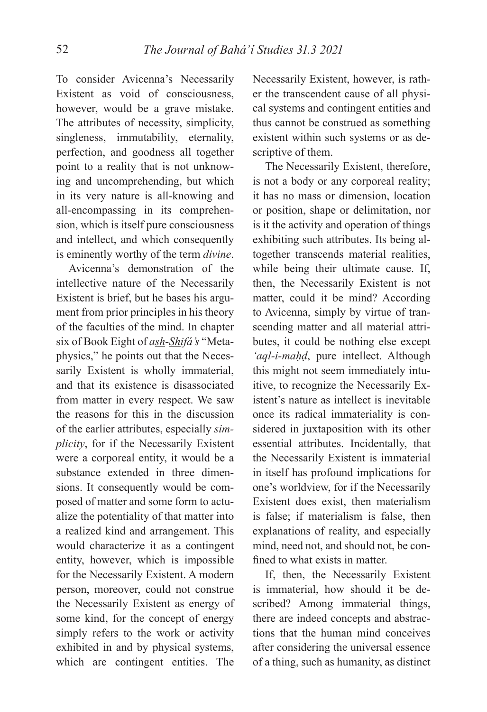To consider Avicenna's Necessarily Existent as void of consciousness, however, would be a grave mistake. The attributes of necessity, simplicity, singleness, immutability, eternality, perfection, and goodness all together point to a reality that is not unknowing and uncomprehending, but which in its very nature is all-knowing and all-encompassing in its comprehension, which is itself pure consciousness and intellect, and which consequently is eminently worthy of the term *divine*.

Avicenna's demonstration of the intellective nature of the Necessarily Existent is brief, but he bases his argument from prior principles in his theory of the faculties of the mind. In chapter six of Book Eight of *ash-Shifá's* "Metaphysics," he points out that the Necessarily Existent is wholly immaterial, and that its existence is disassociated from matter in every respect. We saw the reasons for this in the discussion of the earlier attributes, especially *simplicity*, for if the Necessarily Existent were a corporeal entity, it would be a substance extended in three dimensions. It consequently would be composed of matter and some form to actualize the potentiality of that matter into a realized kind and arrangement. This would characterize it as a contingent entity, however, which is impossible for the Necessarily Existent. A modern person, moreover, could not construe the Necessarily Existent as energy of some kind, for the concept of energy simply refers to the work or activity exhibited in and by physical systems, which are contingent entities. The

Necessarily Existent, however, is rather the transcendent cause of all physical systems and contingent entities and thus cannot be construed as something existent within such systems or as descriptive of them.

The Necessarily Existent, therefore, is not a body or any corporeal reality; it has no mass or dimension, location or position, shape or delimitation, nor is it the activity and operation of things exhibiting such attributes. Its being altogether transcends material realities, while being their ultimate cause. If, then, the Necessarily Existent is not matter, could it be mind? According to Avicenna, simply by virtue of transcending matter and all material attributes, it could be nothing else except *'aql-i-maḥḍ*, pure intellect. Although this might not seem immediately intuitive, to recognize the Necessarily Existent's nature as intellect is inevitable once its radical immateriality is considered in juxtaposition with its other essential attributes. Incidentally, that the Necessarily Existent is immaterial in itself has profound implications for one's worldview, for if the Necessarily Existent does exist, then materialism is false; if materialism is false, then explanations of reality, and especially mind, need not, and should not, be confined to what exists in matter.

If, then, the Necessarily Existent is immaterial, how should it be described? Among immaterial things, there are indeed concepts and abstractions that the human mind conceives after considering the universal essence of a thing, such as humanity, as distinct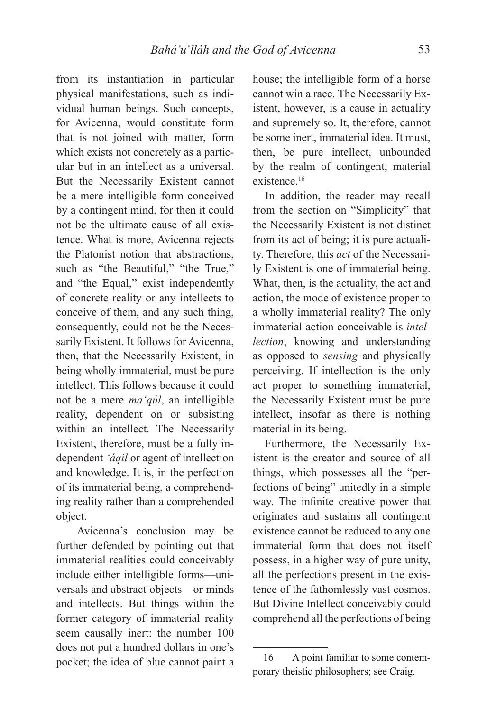from its instantiation in particular physical manifestations, such as individual human beings. Such concepts, for Avicenna, would constitute form that is not joined with matter, form which exists not concretely as a particular but in an intellect as a universal. But the Necessarily Existent cannot be a mere intelligible form conceived by a contingent mind, for then it could not be the ultimate cause of all existence. What is more, Avicenna rejects the Platonist notion that abstractions, such as "the Beautiful," "the True," and "the Equal," exist independently of concrete reality or any intellects to conceive of them, and any such thing, consequently, could not be the Necessarily Existent. It follows for Avicenna, then, that the Necessarily Existent, in being wholly immaterial, must be pure intellect. This follows because it could not be a mere *ma'qúl*, an intelligible reality, dependent on or subsisting within an intellect. The Necessarily Existent, therefore, must be a fully independent *'áqil* or agent of intellection and knowledge. It is, in the perfection of its immaterial being, a comprehending reality rather than a comprehended object.

 Avicenna's conclusion may be further defended by pointing out that immaterial realities could conceivably include either intelligible forms—universals and abstract objects—or minds and intellects. But things within the former category of immaterial reality seem causally inert: the number 100 does not put a hundred dollars in one's pocket; the idea of blue cannot paint a house; the intelligible form of a horse cannot win a race. The Necessarily Existent, however, is a cause in actuality and supremely so. It, therefore, cannot be some inert, immaterial idea. It must, then, be pure intellect, unbounded by the realm of contingent, material existence.16

In addition, the reader may recall from the section on "Simplicity" that the Necessarily Existent is not distinct from its act of being; it is pure actuality. Therefore, this *act* of the Necessarily Existent is one of immaterial being. What, then, is the actuality, the act and action, the mode of existence proper to a wholly immaterial reality? The only immaterial action conceivable is *intellection*, knowing and understanding as opposed to *sensing* and physically perceiving. If intellection is the only act proper to something immaterial, the Necessarily Existent must be pure intellect, insofar as there is nothing material in its being.

Furthermore, the Necessarily Existent is the creator and source of all things, which possesses all the "perfections of being" unitedly in a simple way. The infinite creative power that originates and sustains all contingent existence cannot be reduced to any one immaterial form that does not itself possess, in a higher way of pure unity, all the perfections present in the existence of the fathomlessly vast cosmos. But Divine Intellect conceivably could comprehend all the perfections of being

<sup>16</sup> A point familiar to some contemporary theistic philosophers; see Craig.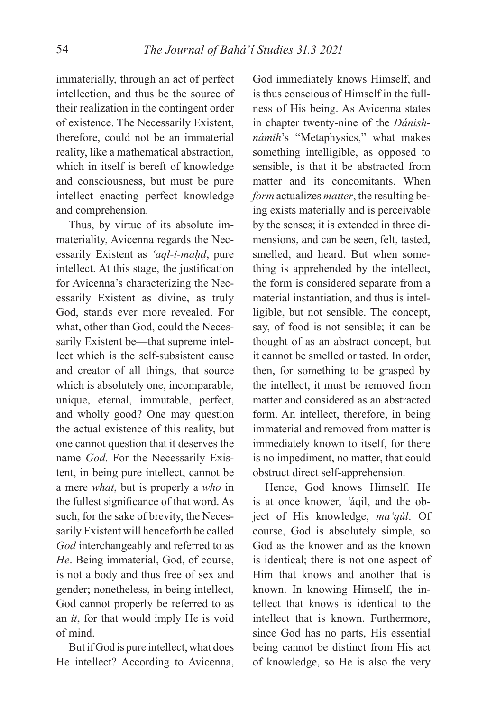immaterially, through an act of perfect intellection, and thus be the source of their realization in the contingent order of existence. The Necessarily Existent, therefore, could not be an immaterial reality, like a mathematical abstraction, which in itself is bereft of knowledge and consciousness, but must be pure intellect enacting perfect knowledge and comprehension.

Thus, by virtue of its absolute immateriality, Avicenna regards the Necessarily Existent as *'aql-i-maḥḍ*, pure intellect. At this stage, the justification for Avicenna's characterizing the Necessarily Existent as divine, as truly God, stands ever more revealed. For what, other than God, could the Necessarily Existent be—that supreme intellect which is the self-subsistent cause and creator of all things, that source which is absolutely one, incomparable, unique, eternal, immutable, perfect, and wholly good? One may question the actual existence of this reality, but one cannot question that it deserves the name *God*. For the Necessarily Existent, in being pure intellect, cannot be a mere *what*, but is properly a *who* in the fullest significance of that word. As such, for the sake of brevity, the Necessarily Existent will henceforth be called *God* interchangeably and referred to as *He*. Being immaterial, God, of course, is not a body and thus free of sex and gender; nonetheless, in being intellect, God cannot properly be referred to as an *it*, for that would imply He is void of mind.

But if God is pure intellect, what does He intellect? According to Avicenna,

God immediately knows Himself, and is thus conscious of Himself in the fullness of His being. As Avicenna states in chapter twenty-nine of the *Dánishnámih*'s "Metaphysics," what makes something intelligible, as opposed to sensible, is that it be abstracted from matter and its concomitants. When *form* actualizes *matter*, the resulting being exists materially and is perceivable by the senses; it is extended in three dimensions, and can be seen, felt, tasted, smelled, and heard. But when something is apprehended by the intellect, the form is considered separate from a material instantiation, and thus is intelligible, but not sensible. The concept, say, of food is not sensible; it can be thought of as an abstract concept, but it cannot be smelled or tasted. In order, then, for something to be grasped by the intellect, it must be removed from matter and considered as an abstracted form. An intellect, therefore, in being immaterial and removed from matter is immediately known to itself, for there is no impediment, no matter, that could obstruct direct self-apprehension.

Hence, God knows Himself. He is at once knower, *'*áqil, and the object of His knowledge, *ma'qúl*. Of course, God is absolutely simple, so God as the knower and as the known is identical; there is not one aspect of Him that knows and another that is known. In knowing Himself, the intellect that knows is identical to the intellect that is known. Furthermore, since God has no parts, His essential being cannot be distinct from His act of knowledge, so He is also the very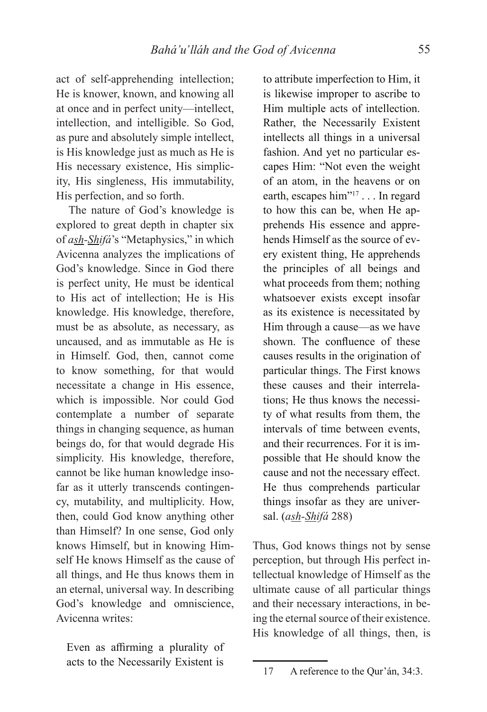act of self-apprehending intellection; He is knower, known, and knowing all at once and in perfect unity—intellect, intellection, and intelligible. So God, as pure and absolutely simple intellect, is His knowledge just as much as He is His necessary existence, His simplicity, His singleness, His immutability, His perfection, and so forth.

The nature of God's knowledge is explored to great depth in chapter six of *ash-Shifá*'s "Metaphysics," in which Avicenna analyzes the implications of God's knowledge. Since in God there is perfect unity, He must be identical to His act of intellection; He is His knowledge. His knowledge, therefore, must be as absolute, as necessary, as uncaused, and as immutable as He is in Himself. God, then, cannot come to know something, for that would necessitate a change in His essence, which is impossible. Nor could God contemplate a number of separate things in changing sequence, as human beings do, for that would degrade His simplicity. His knowledge, therefore, cannot be like human knowledge insofar as it utterly transcends contingency, mutability, and multiplicity. How, then, could God know anything other than Himself? In one sense, God only knows Himself, but in knowing Himself He knows Himself as the cause of all things, and He thus knows them in an eternal, universal way. In describing God's knowledge and omniscience, Avicenna writes:

Even as affirming a plurality of acts to the Necessarily Existent is

to attribute imperfection to Him, it is likewise improper to ascribe to Him multiple acts of intellection. Rather, the Necessarily Existent intellects all things in a universal fashion. And yet no particular escapes Him: "Not even the weight of an atom, in the heavens or on earth, escapes him"<sup>17</sup> . . . In regard to how this can be, when He apprehends His essence and apprehends Himself as the source of every existent thing, He apprehends the principles of all beings and what proceeds from them; nothing whatsoever exists except insofar as its existence is necessitated by Him through a cause—as we have shown. The confluence of these causes results in the origination of particular things. The First knows these causes and their interrelations; He thus knows the necessity of what results from them, the intervals of time between events, and their recurrences. For it is impossible that He should know the cause and not the necessary effect. He thus comprehends particular things insofar as they are universal. (*ash-Shifá* 288)

Thus, God knows things not by sense perception, but through His perfect intellectual knowledge of Himself as the ultimate cause of all particular things and their necessary interactions, in being the eternal source of their existence. His knowledge of all things, then, is

<sup>17</sup> A reference to the Qur'án, 34:3.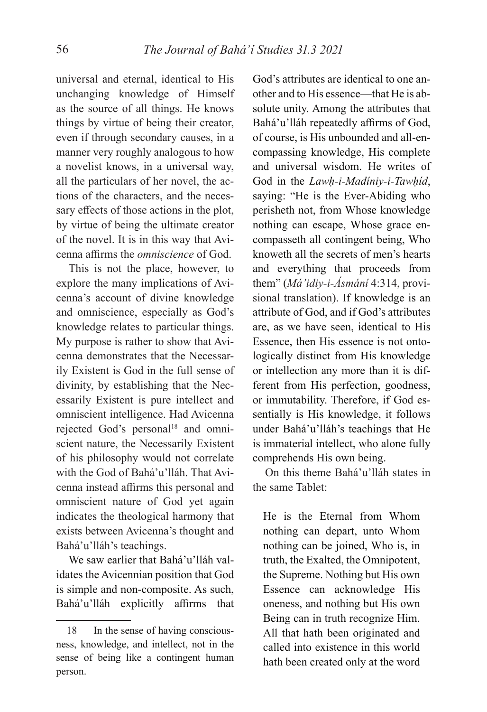universal and eternal, identical to His unchanging knowledge of Himself as the source of all things. He knows things by virtue of being their creator, even if through secondary causes, in a manner very roughly analogous to how a novelist knows, in a universal way, all the particulars of her novel, the actions of the characters, and the necessary effects of those actions in the plot, by virtue of being the ultimate creator of the novel. It is in this way that Avicenna affi rms the *omniscience* of God.

This is not the place, however, to explore the many implications of Avicenna's account of divine knowledge and omniscience, especially as God's knowledge relates to particular things. My purpose is rather to show that Avicenna demonstrates that the Necessarily Existent is God in the full sense of divinity, by establishing that the Necessarily Existent is pure intellect and omniscient intelligence. Had Avicenna rejected God's personal<sup>18</sup> and omniscient nature, the Necessarily Existent of his philosophy would not correlate with the God of Bahá'u'lláh. That Avicenna instead affirms this personal and omniscient nature of God yet again indicates the theological harmony that exists between Avicenna's thought and Bahá'u'lláh's teachings.

We saw earlier that Bahá'u'lláh validates the Avicennian position that God is simple and non-composite. As such, Bahá'u'lláh explicitly affirms that

God's attributes are identical to one another and to His essence—that He is absolute unity. Among the attributes that Bahá'u'lláh repeatedly affirms of God, of course, is His unbounded and all-encompassing knowledge, His complete and universal wisdom. He writes of God in the *Lawḥ-i-Madíniy-i-Tawḥíd*, saying: "He is the Ever-Abiding who perisheth not, from Whose knowledge nothing can escape, Whose grace encompasseth all contingent being, Who knoweth all the secrets of men's hearts and everything that proceeds from them" (*Má'idiy-i-Ásmání* 4:314, provisional translation). If knowledge is an attribute of God, and if God's attributes are, as we have seen, identical to His Essence, then His essence is not ontologically distinct from His knowledge or intellection any more than it is different from His perfection, goodness, or immutability. Therefore, if God essentially is His knowledge, it follows under Bahá'u'lláh's teachings that He is immaterial intellect, who alone fully comprehends His own being.

On this theme Bahá'u'lláh states in the same Tablet:

He is the Eternal from Whom nothing can depart, unto Whom nothing can be joined, Who is, in truth, the Exalted, the Omnipotent, the Supreme. Nothing but His own Essence can acknowledge His oneness, and nothing but His own Being can in truth recognize Him. All that hath been originated and called into existence in this world hath been created only at the word

<sup>18</sup> In the sense of having consciousness, knowledge, and intellect, not in the sense of being like a contingent human person.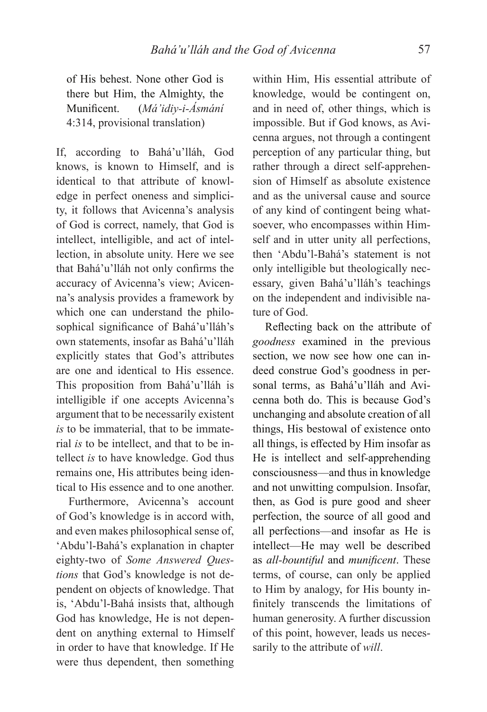of His behest. None other God is there but Him, the Almighty, the Munifi cent. (*Má'idiy-i-Ásmání*  4:314, provisional translation)

If, according to Bahá'u'lláh, God knows, is known to Himself, and is identical to that attribute of knowledge in perfect oneness and simplicity, it follows that Avicenna's analysis of God is correct, namely, that God is intellect, intelligible, and act of intellection, in absolute unity. Here we see that Bahá'u'lláh not only confirms the accuracy of Avicenna's view; Avicenna's analysis provides a framework by which one can understand the philosophical significance of Bahá'u'lláh's own statements, insofar as Bahá'u'lláh explicitly states that God's attributes are one and identical to His essence. This proposition from Bahá'u'lláh is intelligible if one accepts Avicenna's argument that to be necessarily existent *is* to be immaterial, that to be immaterial *is* to be intellect, and that to be intellect *is* to have knowledge. God thus remains one, His attributes being identical to His essence and to one another.

Furthermore, Avicenna's account of God's knowledge is in accord with, and even makes philosophical sense of, 'Abdu'l-Bahá's explanation in chapter eighty-two of *Some Answered Questions* that God's knowledge is not dependent on objects of knowledge. That is, 'Abdu'l-Bahá insists that, although God has knowledge, He is not dependent on anything external to Himself in order to have that knowledge. If He were thus dependent, then something

within Him, His essential attribute of knowledge, would be contingent on, and in need of, other things, which is impossible. But if God knows, as Avicenna argues, not through a contingent perception of any particular thing, but rather through a direct self-apprehension of Himself as absolute existence and as the universal cause and source of any kind of contingent being whatsoever, who encompasses within Himself and in utter unity all perfections, then 'Abdu'l-Bahá's statement is not only intelligible but theologically necessary, given Bahá'u'lláh's teachings on the independent and indivisible nature of God.

Reflecting back on the attribute of *goodness* examined in the previous section, we now see how one can indeed construe God's goodness in personal terms, as Bahá'u'lláh and Avicenna both do. This is because God's unchanging and absolute creation of all things, His bestowal of existence onto all things, is effected by Him insofar as He is intellect and self-apprehending consciousness—and thus in knowledge and not unwitting compulsion. Insofar, then, as God is pure good and sheer perfection, the source of all good and all perfections—and insofar as He is intellect—He may well be described as *all-bountiful* and *munificent*. These terms, of course, can only be applied to Him by analogy, for His bounty infinitely transcends the limitations of human generosity. A further discussion of this point, however, leads us necessarily to the attribute of *will*.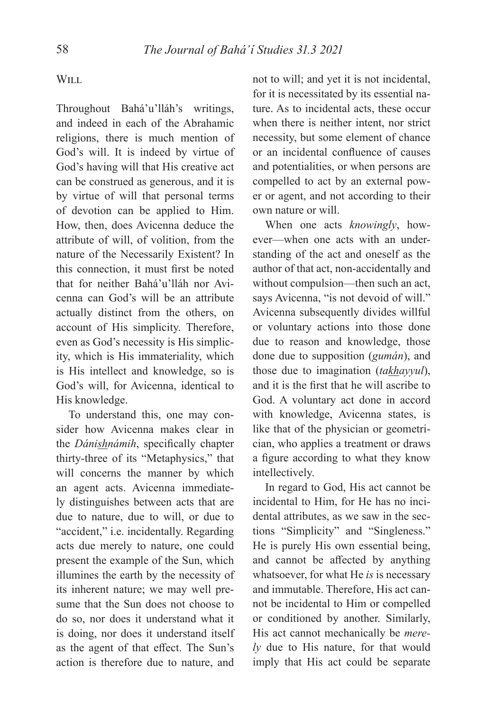# WILL

Throughout Bahá'u'lláh's writings, and indeed in each of the Abrahamic religions, there is much mention of God's will. It is indeed by virtue of God's having will that His creative act can be construed as generous, and it is by virtue of will that personal terms of devotion can be applied to Him. How, then, does Avicenna deduce the attribute of will, of volition, from the nature of the Necessarily Existent? In this connection, it must first be noted that for neither Bahá'u'lláh nor Avicenna can God's will be an attribute actually distinct from the others, on account of His simplicity. Therefore, even as God's necessity is His simplicity, which is His immateriality, which is His intellect and knowledge, so is God's will, for Avicenna, identical to His knowledge.

To understand this, one may consider how Avicenna makes clear in the *Dánishnámih*, specifically chapter thirty-three of its "Metaphysics," that will concerns the manner by which an agent acts. Avicenna immediately distinguishes between acts that are due to nature, due to will, or due to "accident," i.e. incidentally. Regarding acts due merely to nature, one could present the example of the Sun, which illumines the earth by the necessity of its inherent nature; we may well presume that the Sun does not choose to do so, nor does it understand what it is doing, nor does it understand itself as the agent of that effect. The Sun's action is therefore due to nature, and

not to will; and yet it is not incidental, for it is necessitated by its essential nature. As to incidental acts, these occur when there is neither intent, nor strict necessity, but some element of chance or an incidental confluence of causes and potentialities, or when persons are compelled to act by an external power or agent, and not according to their own nature or will.

When one acts *knowingly*, however—when one acts with an understanding of the act and oneself as the author of that act, non-accidentally and without compulsion—then such an act, says Avicenna, "is not devoid of will." Avicenna subsequently divides willful or voluntary actions into those done due to reason and knowledge, those done due to supposition (*gumán*), and those due to imagination (*takhayyul*), and it is the first that he will ascribe to God. A voluntary act done in accord with knowledge, Avicenna states, is like that of the physician or geometrician, who applies a treatment or draws a figure according to what they know intellectively.

In regard to God, His act cannot be incidental to Him, for He has no incidental attributes, as we saw in the sections "Simplicity" and "Singleness." He is purely His own essential being, and cannot be affected by anything whatsoever, for what He *is* is necessary and immutable. Therefore, His act cannot be incidental to Him or compelled or conditioned by another. Similarly, His act cannot mechanically be *merely* due to His nature, for that would imply that His act could be separate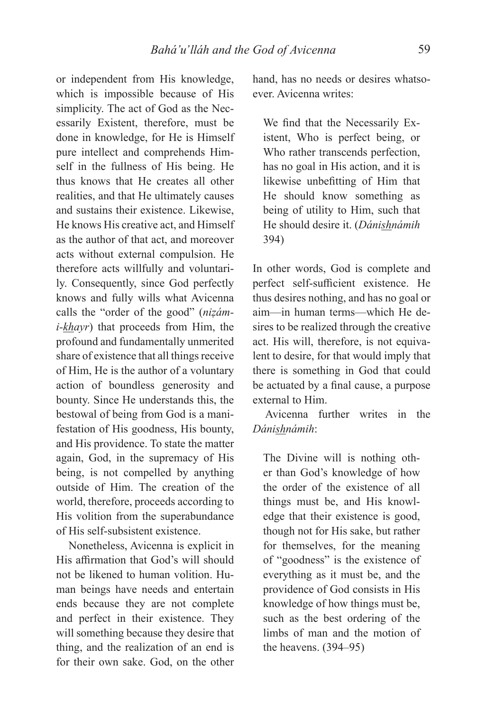or independent from His knowledge, which is impossible because of His simplicity. The act of God as the Necessarily Existent, therefore, must be done in knowledge, for He is Himself pure intellect and comprehends Himself in the fullness of His being. He thus knows that He creates all other realities, and that He ultimately causes and sustains their existence. Likewise, He knows His creative act, and Himself as the author of that act, and moreover acts without external compulsion. He therefore acts willfully and voluntarily. Consequently, since God perfectly knows and fully wills what Avicenna calls the "order of the good" (*niẓámi-khayr*) that proceeds from Him, the profound and fundamentally unmerited share of existence that all things receive of Him, He is the author of a voluntary action of boundless generosity and bounty. Since He understands this, the bestowal of being from God is a manifestation of His goodness, His bounty, and His providence. To state the matter again, God, in the supremacy of His being, is not compelled by anything outside of Him. The creation of the world, therefore, proceeds according to His volition from the superabundance of His self-subsistent existence.

Nonetheless, Avicenna is explicit in His affirmation that God's will should not be likened to human volition. Human beings have needs and entertain ends because they are not complete and perfect in their existence. They will something because they desire that thing, and the realization of an end is for their own sake. God, on the other

hand, has no needs or desires whatsoever. Avicenna writes:

We find that the Necessarily Existent, Who is perfect being, or Who rather transcends perfection, has no goal in His action, and it is likewise unbefitting of Him that He should know something as being of utility to Him, such that He should desire it. (*Dánishnámih* 394)

In other words, God is complete and perfect self-sufficient existence. He thus desires nothing, and has no goal or aim—in human terms—which He desires to be realized through the creative act. His will, therefore, is not equivalent to desire, for that would imply that there is something in God that could be actuated by a final cause, a purpose external to Him.

Avicenna further writes in the *Dánishnámih*:

The Divine will is nothing other than God's knowledge of how the order of the existence of all things must be, and His knowledge that their existence is good, though not for His sake, but rather for themselves, for the meaning of "goodness" is the existence of everything as it must be, and the providence of God consists in His knowledge of how things must be, such as the best ordering of the limbs of man and the motion of the heavens. (394–95)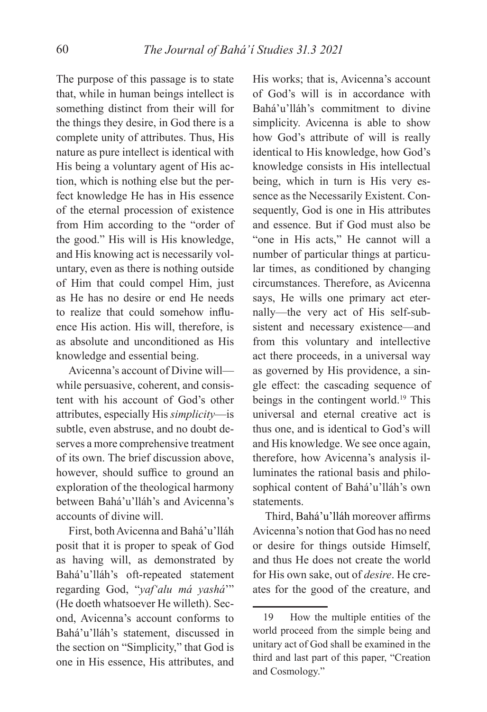The purpose of this passage is to state that, while in human beings intellect is something distinct from their will for the things they desire, in God there is a complete unity of attributes. Thus, His nature as pure intellect is identical with His being a voluntary agent of His action, which is nothing else but the perfect knowledge He has in His essence of the eternal procession of existence from Him according to the "order of the good." His will is His knowledge, and His knowing act is necessarily voluntary, even as there is nothing outside of Him that could compel Him, just as He has no desire or end He needs to realize that could somehow influence His action. His will, therefore, is as absolute and unconditioned as His knowledge and essential being.

Avicenna's account of Divine will while persuasive, coherent, and consistent with his account of God's other attributes, especially His *simplicity*—is subtle, even abstruse, and no doubt deserves a more comprehensive treatment of its own. The brief discussion above, however, should suffice to ground an exploration of the theological harmony between Bahá'u'lláh's and Avicenna's accounts of divine will.

First, both Avicenna and Bahá'u'lláh posit that it is proper to speak of God as having will, as demonstrated by Bahá'u'lláh's oft-repeated statement regarding God, "*yaf'alu má yashá*'" (He doeth whatsoever He willeth). Second, Avicenna's account conforms to Bahá'u'lláh's statement, discussed in the section on "Simplicity," that God is one in His essence, His attributes, and

His works; that is, Avicenna's account of God's will is in accordance with Bahá'u'lláh's commitment to divine simplicity. Avicenna is able to show how God's attribute of will is really identical to His knowledge, how God's knowledge consists in His intellectual being, which in turn is His very essence as the Necessarily Existent. Consequently, God is one in His attributes and essence. But if God must also be "one in His acts," He cannot will a number of particular things at particular times, as conditioned by changing circumstances. Therefore, as Avicenna says, He wills one primary act eternally—the very act of His self-subsistent and necessary existence—and from this voluntary and intellective act there proceeds, in a universal way as governed by His providence, a single effect: the cascading sequence of beings in the contingent world.<sup>19</sup> This universal and eternal creative act is thus one, and is identical to God's will and His knowledge. We see once again, therefore, how Avicenna's analysis illuminates the rational basis and philosophical content of Bahá'u'lláh's own statements.

Third, Bahá'u'lláh moreover affirms Avicenna's notion that God has no need or desire for things outside Himself, and thus He does not create the world for His own sake, out of *desire*. He creates for the good of the creature, and

<sup>19</sup> How the multiple entities of the world proceed from the simple being and unitary act of God shall be examined in the third and last part of this paper, "Creation and Cosmology."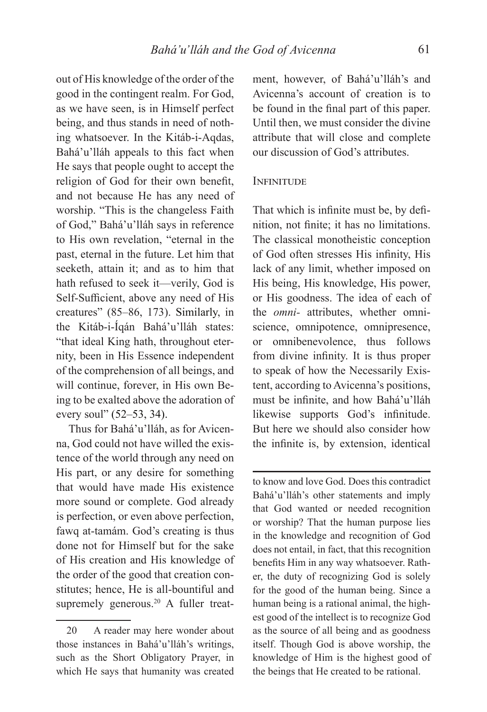out of His knowledge of the order of the good in the contingent realm. For God, as we have seen, is in Himself perfect being, and thus stands in need of nothing whatsoever. In the Kitáb-i-Aqdas, Bahá'u'lláh appeals to this fact when He says that people ought to accept the religion of God for their own benefit. and not because He has any need of worship. "This is the changeless Faith of God," Bahá'u'lláh says in reference to His own revelation, "eternal in the past, eternal in the future. Let him that seeketh, attain it; and as to him that hath refused to seek it—verily, God is Self-Sufficient, above any need of His creatures" (85–86, 173). Similarly, in the Kitáb-i-Íqán Bahá'u'lláh states: "that ideal King hath, throughout eternity, been in His Essence independent of the comprehension of all beings, and will continue, forever, in His own Being to be exalted above the adoration of every soul" (52–53, 34).

Thus for Bahá'u'lláh, as for Avicenna, God could not have willed the existence of the world through any need on His part, or any desire for something that would have made His existence more sound or complete. God already is perfection, or even above perfection, fawq at-tamám. God's creating is thus done not for Himself but for the sake of His creation and His knowledge of the order of the good that creation constitutes; hence, He is all-bountiful and supremely generous.<sup>20</sup> A fuller treat-

ment, however, of Bahá'u'lláh's and Avicenna's account of creation is to be found in the final part of this paper. Until then, we must consider the divine attribute that will close and complete our discussion of God's attributes.

### **INFINITUDE**

That which is infinite must be, by definition, not finite; it has no limitations. The classical monotheistic conception of God often stresses His infinity, His lack of any limit, whether imposed on His being, His knowledge, His power, or His goodness. The idea of each of the *omni-* attributes, whether omniscience, omnipotence, omnipresence, or omnibenevolence, thus follows from divine infinity. It is thus proper to speak of how the Necessarily Existent, according to Avicenna's positions, must be infinite, and how Bahá'u'lláh likewise supports God's infinitude. But here we should also consider how the infinite is, by extension, identical

to know and love God. Does this contradict Bahá'u'lláh's other statements and imply that God wanted or needed recognition or worship? That the human purpose lies in the knowledge and recognition of God does not entail, in fact, that this recognition benefits Him in any way whatsoever. Rather, the duty of recognizing God is solely for the good of the human being. Since a human being is a rational animal, the highest good of the intellect is to recognize God as the source of all being and as goodness itself. Though God is above worship, the knowledge of Him is the highest good of the beings that He created to be rational.

<sup>20</sup> A reader may here wonder about those instances in Bahá'u'lláh's writings, such as the Short Obligatory Prayer, in which He says that humanity was created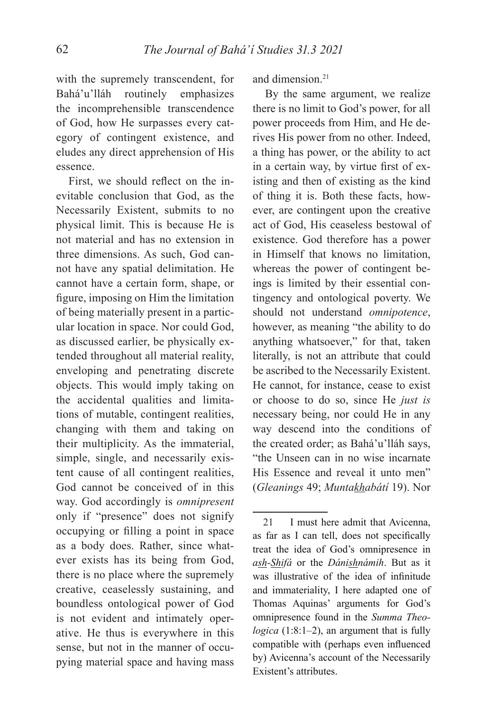with the supremely transcendent, for Bahá'u'lláh routinely emphasizes the incomprehensible transcendence of God, how He surpasses every category of contingent existence, and eludes any direct apprehension of His essence.

First, we should reflect on the inevitable conclusion that God, as the Necessarily Existent, submits to no physical limit. This is because He is not material and has no extension in three dimensions. As such, God cannot have any spatial delimitation. He cannot have a certain form, shape, or figure, imposing on Him the limitation of being materially present in a particular location in space. Nor could God, as discussed earlier, be physically extended throughout all material reality, enveloping and penetrating discrete objects. This would imply taking on the accidental qualities and limitations of mutable, contingent realities, changing with them and taking on their multiplicity. As the immaterial, simple, single, and necessarily existent cause of all contingent realities, God cannot be conceived of in this way. God accordingly is *omnipresent*  only if "presence" does not signify occupying or filling a point in space as a body does. Rather, since whatever exists has its being from God, there is no place where the supremely creative, ceaselessly sustaining, and boundless ontological power of God is not evident and intimately operative. He thus is everywhere in this sense, but not in the manner of occupying material space and having mass

and dimension.21

By the same argument, we realize there is no limit to God's power, for all power proceeds from Him, and He derives His power from no other. Indeed, a thing has power, or the ability to act in a certain way, by virtue first of existing and then of existing as the kind of thing it is. Both these facts, however, are contingent upon the creative act of God, His ceaseless bestowal of existence. God therefore has a power in Himself that knows no limitation, whereas the power of contingent beings is limited by their essential contingency and ontological poverty. We should not understand *omnipotence*, however, as meaning "the ability to do anything whatsoever," for that, taken literally, is not an attribute that could be ascribed to the Necessarily Existent. He cannot, for instance, cease to exist or choose to do so, since He *just is* necessary being, nor could He in any way descend into the conditions of the created order; as Bahá'u'lláh says, "the Unseen can in no wise incarnate His Essence and reveal it unto men" (*Gleanings* 49; *Muntakhabátí* 19). Nor

<sup>21</sup> I must here admit that Avicenna, as far as I can tell, does not specifically treat the idea of God's omnipresence in *ash-Shifá* or the *Dánishnámih*. But as it was illustrative of the idea of infinitude and immateriality, I here adapted one of Thomas Aquinas' arguments for God's omnipresence found in the *Summa Theologica* (1:8:1–2), an argument that is fully compatible with (perhaps even influenced by) Avicenna's account of the Necessarily Existent's attributes.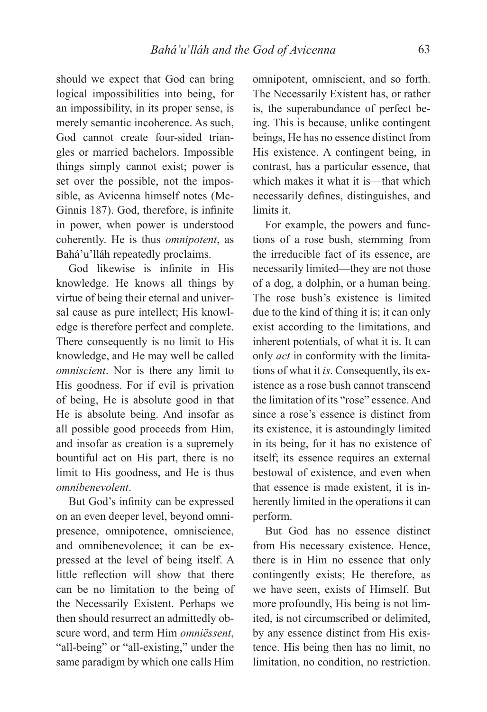should we expect that God can bring logical impossibilities into being, for an impossibility, in its proper sense, is merely semantic incoherence. As such, God cannot create four-sided triangles or married bachelors. Impossible things simply cannot exist; power is set over the possible, not the impossible, as Avicenna himself notes (Mc-Ginnis 187). God, therefore, is infinite in power, when power is understood coherently. He is thus *omnipotent*, as Bahá'u'lláh repeatedly proclaims.

God likewise is infinite in His knowledge. He knows all things by virtue of being their eternal and universal cause as pure intellect; His knowledge is therefore perfect and complete. There consequently is no limit to His knowledge, and He may well be called *omniscient*. Nor is there any limit to His goodness. For if evil is privation of being, He is absolute good in that He is absolute being. And insofar as all possible good proceeds from Him, and insofar as creation is a supremely bountiful act on His part, there is no limit to His goodness, and He is thus *omnibenevolent*.

But God's infinity can be expressed on an even deeper level, beyond omnipresence, omnipotence, omniscience, and omnibenevolence; it can be expressed at the level of being itself. A little reflection will show that there can be no limitation to the being of the Necessarily Existent. Perhaps we then should resurrect an admittedly obscure word, and term Him *omniëssent*, "all-being" or "all-existing," under the same paradigm by which one calls Him

omnipotent, omniscient, and so forth. The Necessarily Existent has, or rather is, the superabundance of perfect being. This is because, unlike contingent beings, He has no essence distinct from His existence. A contingent being, in contrast, has a particular essence, that which makes it what it is—that which necessarily defines, distinguishes, and limits it.

For example, the powers and functions of a rose bush, stemming from the irreducible fact of its essence, are necessarily limited—they are not those of a dog, a dolphin, or a human being. The rose bush's existence is limited due to the kind of thing it is; it can only exist according to the limitations, and inherent potentials, of what it is. It can only *act* in conformity with the limitations of what it *is*. Consequently, its existence as a rose bush cannot transcend the limitation of its "rose" essence. And since a rose's essence is distinct from its existence, it is astoundingly limited in its being, for it has no existence of itself; its essence requires an external bestowal of existence, and even when that essence is made existent, it is inherently limited in the operations it can perform.

But God has no essence distinct from His necessary existence. Hence, there is in Him no essence that only contingently exists; He therefore, as we have seen, exists of Himself. But more profoundly, His being is not limited, is not circumscribed or delimited, by any essence distinct from His existence. His being then has no limit, no limitation, no condition, no restriction.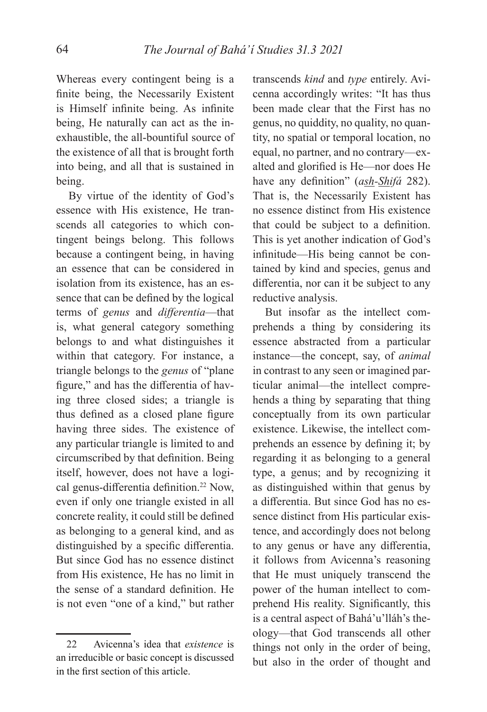Whereas every contingent being is a finite being, the Necessarily Existent is Himself infinite being. As infinite being, He naturally can act as the inexhaustible, the all-bountiful source of the existence of all that is brought forth into being, and all that is sustained in being.

By virtue of the identity of God's essence with His existence, He transcends all categories to which contingent beings belong. This follows because a contingent being, in having an essence that can be considered in isolation from its existence, has an essence that can be defined by the logical terms of *genus* and *differentia*—that is, what general category something belongs to and what distinguishes it within that category. For instance, a triangle belongs to the *genus* of "plane figure," and has the differentia of having three closed sides; a triangle is thus defined as a closed plane figure having three sides. The existence of any particular triangle is limited to and circumscribed by that definition. Being itself, however, does not have a logical genus-differentia definition.<sup>22</sup> Now, even if only one triangle existed in all concrete reality, it could still be defined as belonging to a general kind, and as distinguished by a specific differentia. But since God has no essence distinct from His existence, He has no limit in the sense of a standard definition. He is not even "one of a kind," but rather

transcends *kind* and *type* entirely. Avicenna accordingly writes: "It has thus been made clear that the First has no genus, no quiddity, no quality, no quantity, no spatial or temporal location, no equal, no partner, and no contrary—exalted and glorified is He—nor does He have any definition" (*ash-Shifá* 282). That is, the Necessarily Existent has no essence distinct from His existence that could be subject to a definition. This is yet another indication of God's infinitude—His being cannot be contained by kind and species, genus and differentia, nor can it be subject to any reductive analysis.

But insofar as the intellect comprehends a thing by considering its essence abstracted from a particular instance—the concept, say, of *animal* in contrast to any seen or imagined particular animal—the intellect comprehends a thing by separating that thing conceptually from its own particular existence. Likewise, the intellect comprehends an essence by defining it; by regarding it as belonging to a general type, a genus; and by recognizing it as distinguished within that genus by a differentia. But since God has no essence distinct from His particular existence, and accordingly does not belong to any genus or have any differentia, it follows from Avicenna's reasoning that He must uniquely transcend the power of the human intellect to comprehend His reality. Significantly, this is a central aspect of Bahá'u'lláh's theology—that God transcends all other things not only in the order of being, but also in the order of thought and

<sup>22</sup> Avicenna's idea that *existence* is an irreducible or basic concept is discussed in the first section of this article.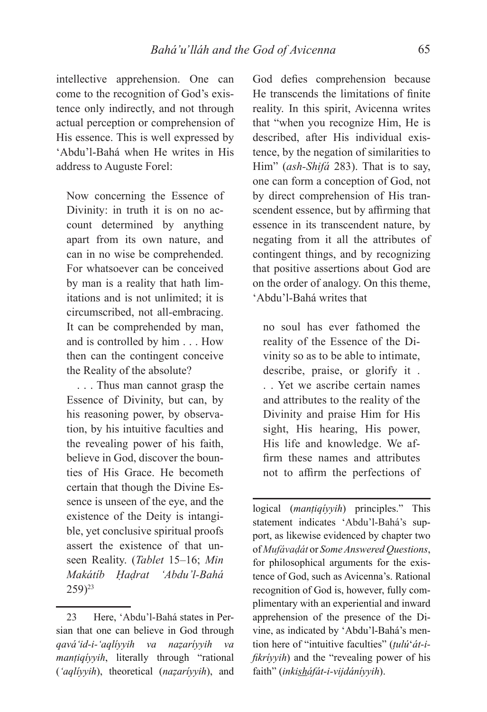intellective apprehension. One can come to the recognition of God's existence only indirectly, and not through actual perception or comprehension of His essence. This is well expressed by 'Abdu'l-Bahá when He writes in His address to Auguste Forel:

Now concerning the Essence of Divinity: in truth it is on no account determined by anything apart from its own nature, and can in no wise be comprehended. For whatsoever can be conceived by man is a reality that hath limitations and is not unlimited; it is circumscribed, not all-embracing. It can be comprehended by man, and is controlled by him . . . How then can the contingent conceive the Reality of the absolute?

. . . Thus man cannot grasp the Essence of Divinity, but can, by his reasoning power, by observation, by his intuitive faculties and the revealing power of his faith, believe in God, discover the bounties of His Grace. He becometh certain that though the Divine Essence is unseen of the eye, and the existence of the Deity is intangible, yet conclusive spiritual proofs assert the existence of that unseen Reality. (*Tablet* 15–16; *Min Makátíb Ḥaḍrat 'Abdu'l-Bahá*  $259)$ <sup>23</sup>

God defies comprehension because He transcends the limitations of finite reality. In this spirit, Avicenna writes that "when you recognize Him, He is described, after His individual existence, by the negation of similarities to Him" (*ash-Shifá* 283). That is to say, one can form a conception of God, not by direct comprehension of His transcendent essence, but by affirming that essence in its transcendent nature, by negating from it all the attributes of contingent things, and by recognizing that positive assertions about God are on the order of analogy. On this theme, 'Abdu'l-Bahá writes that

no soul has ever fathomed the reality of the Essence of the Divinity so as to be able to intimate, describe, praise, or glorify it . . . Yet we ascribe certain names and attributes to the reality of the Divinity and praise Him for His sight, His hearing, His power, His life and knowledge. We affirm these names and attributes not to affirm the perfections of

logical (*manṭiqíyyih*) principles." This statement indicates 'Abdu'l-Bahá's support, as likewise evidenced by chapter two of *Mufávaḍát* or *Some Answered Questions*, for philosophical arguments for the existence of God, such as Avicenna's. Rational recognition of God is, however, fully complimentary with an experiential and inward apprehension of the presence of the Divine, as indicated by 'Abdu'l-Bahá's mention here of "intuitive faculties" (*ṭulú*'*át-ifikríyyih*) and the "revealing power of his faith" (*inkisháfát-i-vijdáníyyih*).

<sup>23</sup> Here, 'Abdu'l-Bahá states in Persian that one can believe in God through *qavá'id-i-'aqlíyyih va naẓaríyyih va manṭiqíyyih*, literally through "rational (*'aqlíyyih*), theoretical (*naẓaríyyih*), and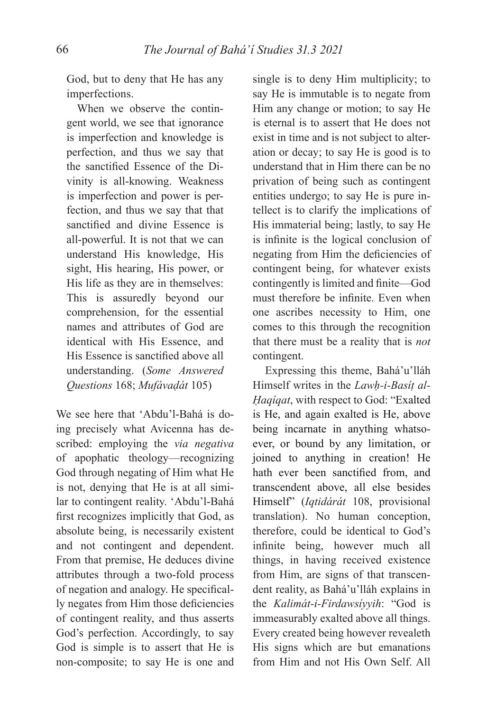God, but to deny that He has any imperfections.

When we observe the contingent world, we see that ignorance is imperfection and knowledge is perfection, and thus we say that the sanctified Essence of the Divinity is all-knowing. Weakness is imperfection and power is perfection, and thus we say that that sanctified and divine Essence is all-powerful. It is not that we can understand His knowledge, His sight, His hearing, His power, or His life as they are in themselves: This is assuredly beyond our comprehension, for the essential names and attributes of God are identical with His Essence, and His Essence is sanctified above all understanding. (*Some Answered Questions* 168; *Mufávaḍát* 105)

We see here that 'Abdu'l-Bahá is doing precisely what Avicenna has described: employing the *via negativa*  of apophatic theology—recognizing God through negating of Him what He is not, denying that He is at all similar to contingent reality. 'Abdu'l-Bahá first recognizes implicitly that God, as absolute being, is necessarily existent and not contingent and dependent. From that premise, He deduces divine attributes through a two-fold process of negation and analogy. He specifically negates from Him those deficiencies of contingent reality, and thus asserts God's perfection. Accordingly, to say God is simple is to assert that He is non-composite; to say He is one and single is to deny Him multiplicity; to say He is immutable is to negate from Him any change or motion; to say He is eternal is to assert that He does not exist in time and is not subject to alteration or decay; to say He is good is to understand that in Him there can be no privation of being such as contingent entities undergo; to say He is pure intellect is to clarify the implications of His immaterial being; lastly, to say He is infinite is the logical conclusion of negating from Him the deficiencies of contingent being, for whatever exists contingently is limited and finite—God must therefore be infinite. Even when one ascribes necessity to Him, one comes to this through the recognition that there must be a reality that is *not*  contingent.

Expressing this theme, Bahá'u'lláh Himself writes in the *Lawḥ-i-Basíṭ al-Ḥaqíqat*, with respect to God: "Exalted is He, and again exalted is He, above being incarnate in anything whatsoever, or bound by any limitation, or joined to anything in creation! He hath ever been sanctified from, and transcendent above, all else besides Himself" (*Iqtidárát* 108, provisional translation). No human conception, therefore, could be identical to God's infinite being, however much all things, in having received existence from Him, are signs of that transcendent reality, as Bahá'u'lláh explains in the *Kalimát-i-Firdawsíyyih*: "God is immeasurably exalted above all things. Every created being however revealeth His signs which are but emanations from Him and not His Own Self. All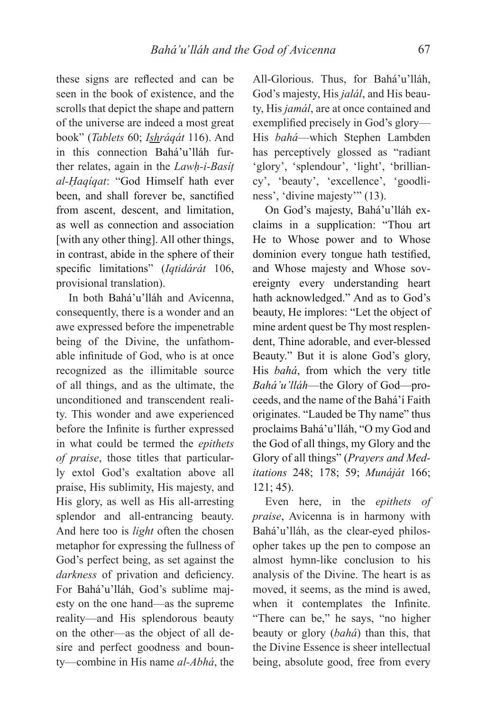these signs are reflected and can be seen in the book of existence, and the scrolls that depict the shape and pattern of the universe are indeed a most great book" (*Tablets* 60; *Ishráqát* 116). And in this connection Bahá'u'lláh further relates, again in the *Lawḥ-i-Basíṭ al-Ḥaqíqat*: "God Himself hath ever been, and shall forever be, sanctified from ascent, descent, and limitation, as well as connection and association [with any other thing]. All other things, in contrast, abide in the sphere of their specific limitations" (*Iqtidárát* 106, provisional translation).

In both Bahá'u'lláh and Avicenna, consequently, there is a wonder and an awe expressed before the impenetrable being of the Divine, the unfathomable infinitude of God, who is at once recognized as the illimitable source of all things, and as the ultimate, the unconditioned and transcendent reality. This wonder and awe experienced before the Infinite is further expressed in what could be termed the *epithets of praise*, those titles that particularly extol God's exaltation above all praise, His sublimity, His majesty, and His glory, as well as His all-arresting splendor and all-entrancing beauty. And here too is *light* often the chosen metaphor for expressing the fullness of God's perfect being, as set against the darkness of privation and deficiency. For Bahá'u'lláh, God's sublime majesty on the one hand—as the supreme reality—and His splendorous beauty on the other—as the object of all desire and perfect goodness and bounty—combine in His name *al-Abhá*, the

All-Glorious. Thus, for Bahá'u'lláh, God's majesty, His *jalál*, and His beauty, His *jamál*, are at once contained and exemplified precisely in God's glory-His *bahá*—which Stephen Lambden has perceptively glossed as "radiant 'glory', 'splendour', 'light', 'brilliancy', 'beauty', 'excellence', 'goodliness', 'divine majesty'" (13).

On God's majesty, Bahá'u'lláh exclaims in a supplication: "Thou art He to Whose power and to Whose dominion every tongue hath testified, and Whose majesty and Whose sovereignty every understanding heart hath acknowledged." And as to God's beauty, He implores: "Let the object of mine ardent quest be Thy most resplendent, Thine adorable, and ever-blessed Beauty." But it is alone God's glory, His *bahá*, from which the very title *Bahá'u'lláh*—the Glory of God—proceeds, and the name of the Bahá'í Faith originates. "Lauded be Thy name" thus proclaims Bahá'u'lláh, "O my God and the God of all things, my Glory and the Glory of all things" (*Prayers and Meditations* 248; 178; 59; *Munáját* 166; 121; 45).

Even here, in the *epithets of praise*, Avicenna is in harmony with Bahá'u'lláh, as the clear-eyed philosopher takes up the pen to compose an almost hymn-like conclusion to his analysis of the Divine. The heart is as moved, it seems, as the mind is awed, when it contemplates the Infinite. "There can be," he says, "no higher beauty or glory (*bahá*) than this, that the Divine Essence is sheer intellectual being, absolute good, free from every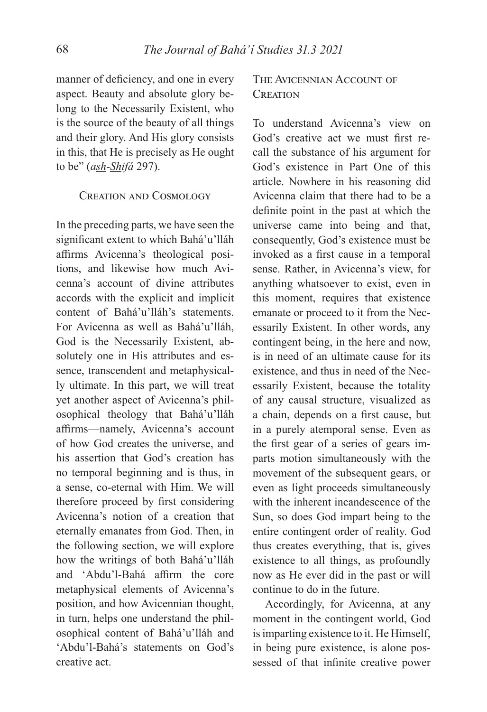manner of deficiency, and one in every aspect. Beauty and absolute glory belong to the Necessarily Existent, who is the source of the beauty of all things and their glory. And His glory consists in this, that He is precisely as He ought to be" (*ash-Shifá* 297).

### CREATION AND COSMOLOGY

In the preceding parts, we have seen the significant extent to which Bahá'u'lláh affirms Avicenna's theological positions, and likewise how much Avicenna's account of divine attributes accords with the explicit and implicit content of Bahá'u'lláh's statements. For Avicenna as well as Bahá'u'lláh, God is the Necessarily Existent, absolutely one in His attributes and essence, transcendent and metaphysically ultimate. In this part, we will treat yet another aspect of Avicenna's philosophical theology that Bahá'u'lláh affirms—namely, Avicenna's account of how God creates the universe, and his assertion that God's creation has no temporal beginning and is thus, in a sense, co-eternal with Him. We will therefore proceed by first considering Avicenna's notion of a creation that eternally emanates from God. Then, in the following section, we will explore how the writings of both Bahá'u'lláh and 'Abdu'l-Bahá affirm the core metaphysical elements of Avicenna's position, and how Avicennian thought, in turn, helps one understand the philosophical content of Bahá'u'lláh and 'Abdu'l-Bahá's statements on God's creative act.

# THE AVICENNIAN ACCOUNT OF CREATION

To understand Avicenna's view on God's creative act we must first recall the substance of his argument for God's existence in Part One of this article. Nowhere in his reasoning did Avicenna claim that there had to be a definite point in the past at which the universe came into being and that, consequently, God's existence must be invoked as a first cause in a temporal sense. Rather, in Avicenna's view, for anything whatsoever to exist, even in this moment, requires that existence emanate or proceed to it from the Necessarily Existent. In other words, any contingent being, in the here and now, is in need of an ultimate cause for its existence, and thus in need of the Necessarily Existent, because the totality of any causal structure, visualized as a chain, depends on a first cause, but in a purely atemporal sense. Even as the first gear of a series of gears imparts motion simultaneously with the movement of the subsequent gears, or even as light proceeds simultaneously with the inherent incandescence of the Sun, so does God impart being to the entire contingent order of reality. God thus creates everything, that is, gives existence to all things, as profoundly now as He ever did in the past or will continue to do in the future.

Accordingly, for Avicenna, at any moment in the contingent world, God is imparting existence to it. He Himself, in being pure existence, is alone possessed of that infinite creative power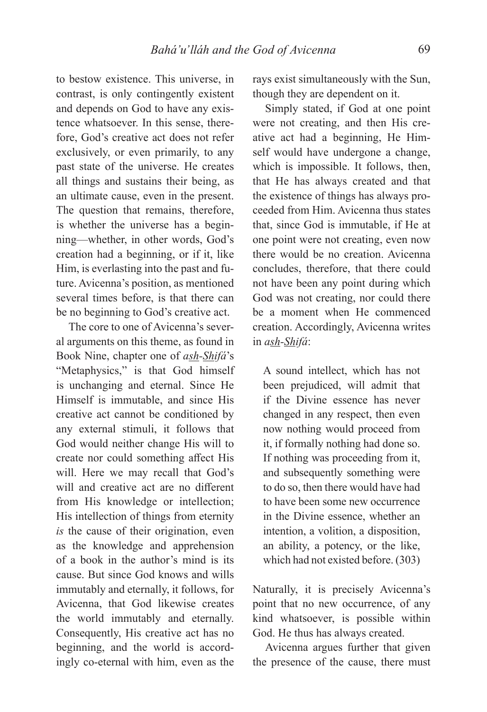to bestow existence. This universe, in contrast, is only contingently existent and depends on God to have any existence whatsoever. In this sense, therefore, God's creative act does not refer exclusively, or even primarily, to any past state of the universe. He creates all things and sustains their being, as an ultimate cause, even in the present. The question that remains, therefore, is whether the universe has a beginning—whether, in other words, God's creation had a beginning, or if it, like Him, is everlasting into the past and future. Avicenna's position, as mentioned several times before, is that there can be no beginning to God's creative act.

The core to one of Avicenna's several arguments on this theme, as found in Book Nine, chapter one of *ash-Shifá*'s "Metaphysics," is that God himself is unchanging and eternal. Since He Himself is immutable, and since His creative act cannot be conditioned by any external stimuli, it follows that God would neither change His will to create nor could something affect His will. Here we may recall that God's will and creative act are no different from His knowledge or intellection; His intellection of things from eternity *is* the cause of their origination, even as the knowledge and apprehension of a book in the author's mind is its cause. But since God knows and wills immutably and eternally, it follows, for Avicenna, that God likewise creates the world immutably and eternally. Consequently, His creative act has no beginning, and the world is accordingly co-eternal with him, even as the rays exist simultaneously with the Sun, though they are dependent on it.

Simply stated, if God at one point were not creating, and then His creative act had a beginning, He Himself would have undergone a change, which is impossible. It follows, then, that He has always created and that the existence of things has always proceeded from Him. Avicenna thus states that, since God is immutable, if He at one point were not creating, even now there would be no creation. Avicenna concludes, therefore, that there could not have been any point during which God was not creating, nor could there be a moment when He commenced creation. Accordingly, Avicenna writes in *ash-Shifá*:

A sound intellect, which has not been prejudiced, will admit that if the Divine essence has never changed in any respect, then even now nothing would proceed from it, if formally nothing had done so. If nothing was proceeding from it, and subsequently something were to do so, then there would have had to have been some new occurrence in the Divine essence, whether an intention, a volition, a disposition, an ability, a potency, or the like, which had not existed before. (303)

Naturally, it is precisely Avicenna's point that no new occurrence, of any kind whatsoever, is possible within God. He thus has always created.

Avicenna argues further that given the presence of the cause, there must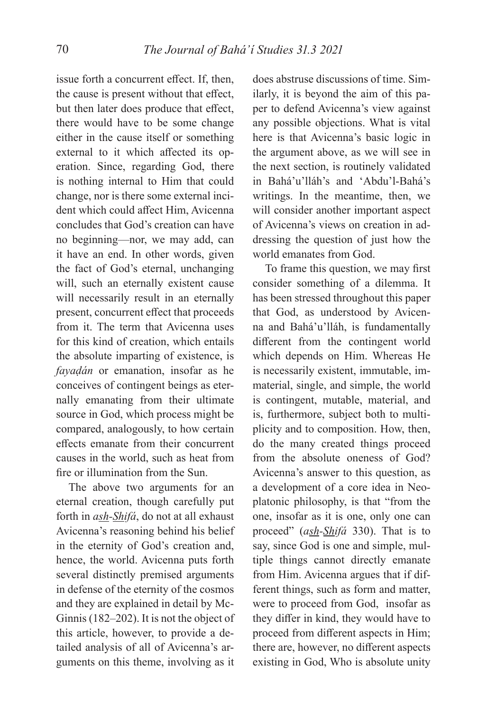issue forth a concurrent effect. If, then, the cause is present without that effect, but then later does produce that effect, there would have to be some change either in the cause itself or something external to it which affected its operation. Since, regarding God, there is nothing internal to Him that could change, nor is there some external incident which could affect Him, Avicenna concludes that God's creation can have no beginning—nor, we may add, can it have an end. In other words, given the fact of God's eternal, unchanging will, such an eternally existent cause will necessarily result in an eternally present, concurrent effect that proceeds from it. The term that Avicenna uses for this kind of creation, which entails the absolute imparting of existence, is *fayaḍán* or emanation, insofar as he conceives of contingent beings as eternally emanating from their ultimate source in God, which process might be compared, analogously, to how certain effects emanate from their concurrent causes in the world, such as heat from fire or illumination from the Sun.

The above two arguments for an eternal creation, though carefully put forth in *ash-Shifá*, do not at all exhaust Avicenna's reasoning behind his belief in the eternity of God's creation and, hence, the world. Avicenna puts forth several distinctly premised arguments in defense of the eternity of the cosmos and they are explained in detail by Mc-Ginnis (182–202). It is not the object of this article, however, to provide a detailed analysis of all of Avicenna's arguments on this theme, involving as it

does abstruse discussions of time. Similarly, it is beyond the aim of this paper to defend Avicenna's view against any possible objections. What is vital here is that Avicenna's basic logic in the argument above, as we will see in the next section, is routinely validated in Bahá'u'lláh's and 'Abdu'l-Bahá's writings. In the meantime, then, we will consider another important aspect of Avicenna's views on creation in addressing the question of just how the world emanates from God.

To frame this question, we may first consider something of a dilemma. It has been stressed throughout this paper that God, as understood by Avicenna and Bahá'u'lláh, is fundamentally different from the contingent world which depends on Him. Whereas He is necessarily existent, immutable, immaterial, single, and simple, the world is contingent, mutable, material, and is, furthermore, subject both to multiplicity and to composition. How, then, do the many created things proceed from the absolute oneness of God? Avicenna's answer to this question, as a development of a core idea in Neoplatonic philosophy, is that "from the one, insofar as it is one, only one can proceed" (*ash-Shifá* 330). That is to say, since God is one and simple, multiple things cannot directly emanate from Him. Avicenna argues that if different things, such as form and matter, were to proceed from God, insofar as they differ in kind, they would have to proceed from different aspects in Him; there are, however, no different aspects existing in God, Who is absolute unity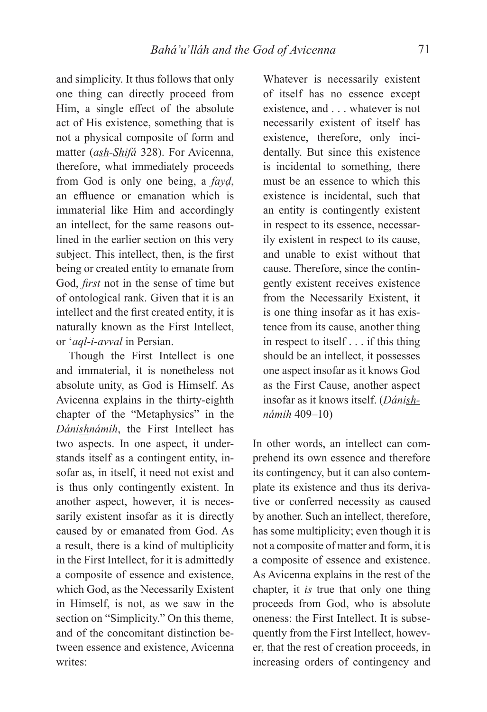and simplicity. It thus follows that only one thing can directly proceed from Him, a single effect of the absolute act of His existence, something that is not a physical composite of form and matter (*ash-Shifá* 328). For Avicenna, therefore, what immediately proceeds from God is only one being, a *fayḍ*, an effluence or emanation which is immaterial like Him and accordingly an intellect, for the same reasons outlined in the earlier section on this very subject. This intellect, then, is the first being or created entity to emanate from God, *first* not in the sense of time but of ontological rank. Given that it is an intellect and the first created entity, it is naturally known as the First Intellect, or '*aql-i-avval* in Persian.

Though the First Intellect is one and immaterial, it is nonetheless not absolute unity, as God is Himself. As Avicenna explains in the thirty-eighth chapter of the "Metaphysics" in the *Dánishnámih*, the First Intellect has two aspects. In one aspect, it understands itself as a contingent entity, insofar as, in itself, it need not exist and is thus only contingently existent. In another aspect, however, it is necessarily existent insofar as it is directly caused by or emanated from God. As a result, there is a kind of multiplicity in the First Intellect, for it is admittedly a composite of essence and existence, which God, as the Necessarily Existent in Himself, is not, as we saw in the section on "Simplicity." On this theme, and of the concomitant distinction between essence and existence, Avicenna writes:

Whatever is necessarily existent of itself has no essence except existence, and . . . whatever is not necessarily existent of itself has existence, therefore, only incidentally. But since this existence is incidental to something, there must be an essence to which this existence is incidental, such that an entity is contingently existent in respect to its essence, necessarily existent in respect to its cause, and unable to exist without that cause. Therefore, since the contingently existent receives existence from the Necessarily Existent, it is one thing insofar as it has existence from its cause, another thing in respect to itself . . . if this thing should be an intellect, it possesses one aspect insofar as it knows God as the First Cause, another aspect insofar as it knows itself. (*Dánishnámih* 409–10)

In other words, an intellect can comprehend its own essence and therefore its contingency, but it can also contemplate its existence and thus its derivative or conferred necessity as caused by another. Such an intellect, therefore, has some multiplicity; even though it is not a composite of matter and form, it is a composite of essence and existence. As Avicenna explains in the rest of the chapter, it *is* true that only one thing proceeds from God, who is absolute oneness: the First Intellect. It is subsequently from the First Intellect, however, that the rest of creation proceeds, in increasing orders of contingency and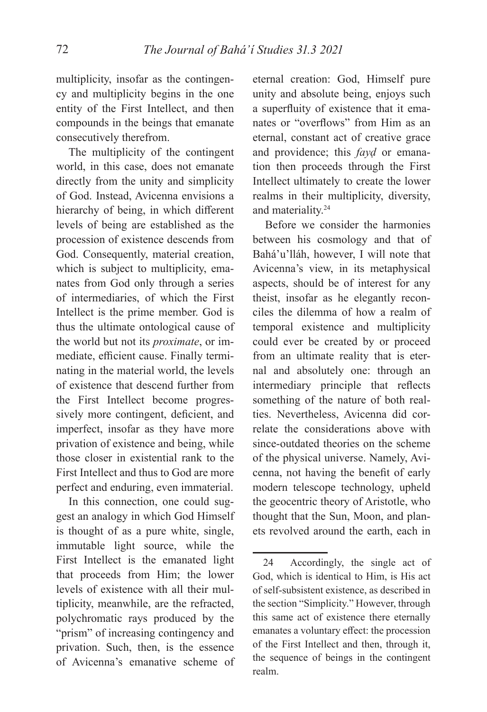multiplicity, insofar as the contingency and multiplicity begins in the one entity of the First Intellect, and then compounds in the beings that emanate consecutively therefrom.

The multiplicity of the contingent world, in this case, does not emanate directly from the unity and simplicity of God. Instead, Avicenna envisions a hierarchy of being, in which different levels of being are established as the procession of existence descends from God. Consequently, material creation, which is subject to multiplicity, emanates from God only through a series of intermediaries, of which the First Intellect is the prime member. God is thus the ultimate ontological cause of the world but not its *proximate*, or immediate, efficient cause. Finally terminating in the material world, the levels of existence that descend further from the First Intellect become progressively more contingent, deficient, and imperfect, insofar as they have more privation of existence and being, while those closer in existential rank to the First Intellect and thus to God are more perfect and enduring, even immaterial.

In this connection, one could suggest an analogy in which God Himself is thought of as a pure white, single, immutable light source, while the First Intellect is the emanated light that proceeds from Him; the lower levels of existence with all their multiplicity, meanwhile, are the refracted, polychromatic rays produced by the "prism" of increasing contingency and privation. Such, then, is the essence of Avicenna's emanative scheme of

eternal creation: God, Himself pure unity and absolute being, enjoys such a superfluity of existence that it emanates or "overflows" from Him as an eternal, constant act of creative grace and providence; this *fayḍ* or emanation then proceeds through the First Intellect ultimately to create the lower realms in their multiplicity, diversity, and materiality.24

Before we consider the harmonies between his cosmology and that of Bahá'u'lláh, however, I will note that Avicenna's view, in its metaphysical aspects, should be of interest for any theist, insofar as he elegantly reconciles the dilemma of how a realm of temporal existence and multiplicity could ever be created by or proceed from an ultimate reality that is eternal and absolutely one: through an intermediary principle that reflects something of the nature of both realties. Nevertheless, Avicenna did correlate the considerations above with since-outdated theories on the scheme of the physical universe. Namely, Avicenna, not having the benefit of early modern telescope technology, upheld the geocentric theory of Aristotle, who thought that the Sun, Moon, and planets revolved around the earth, each in

<sup>24</sup> Accordingly, the single act of God, which is identical to Him, is His act of self-subsistent existence, as described in the section "Simplicity." However, through this same act of existence there eternally emanates a voluntary effect: the procession of the First Intellect and then, through it, the sequence of beings in the contingent realm.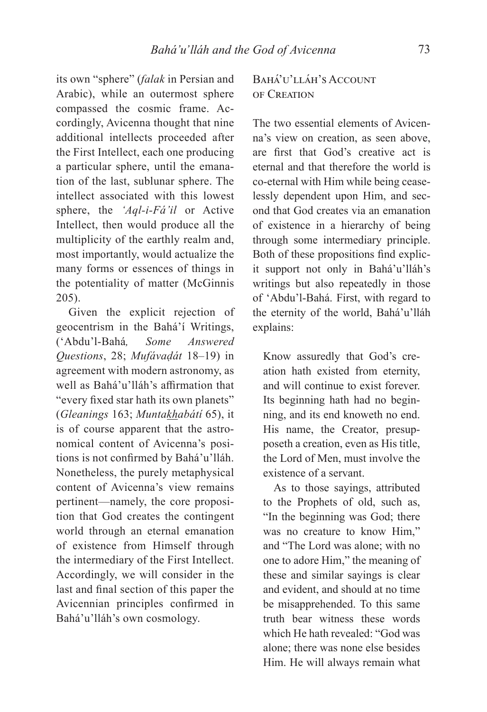its own "sphere" (*falak* in Persian and Arabic), while an outermost sphere compassed the cosmic frame. Accordingly, Avicenna thought that nine additional intellects proceeded after the First Intellect, each one producing a particular sphere, until the emanation of the last, sublunar sphere. The intellect associated with this lowest sphere, the *'Aql-i-Fá'il* or Active Intellect, then would produce all the multiplicity of the earthly realm and, most importantly, would actualize the many forms or essences of things in the potentiality of matter (McGinnis 205).

Given the explicit rejection of geocentrism in the Bahá'í Writings, ('Abdu'l-Bahá*, Some Answered Questions*, 28; *Mufávaḍát* 18–19) in agreement with modern astronomy, as well as Bahá'u'lláh's affirmation that "every fixed star hath its own planets" (*Gleanings* 163; *Muntakhabátí* 65), it is of course apparent that the astronomical content of Avicenna's positions is not confirmed by Bahá'u'lláh. Nonetheless, the purely metaphysical content of Avicenna's view remains pertinent—namely, the core proposition that God creates the contingent world through an eternal emanation of existence from Himself through the intermediary of the First Intellect. Accordingly, we will consider in the last and final section of this paper the Avicennian principles confirmed in Bahá'u'lláh's own cosmology.

# BAHÁ'U'LLÁH'S ACCOUNT OF CREATION

The two essential elements of Avicenna's view on creation, as seen above, are first that God's creative act is eternal and that therefore the world is co-eternal with Him while being ceaselessly dependent upon Him, and second that God creates via an emanation of existence in a hierarchy of being through some intermediary principle. Both of these propositions find explicit support not only in Bahá'u'lláh's writings but also repeatedly in those of 'Abdu'l-Bahá. First, with regard to the eternity of the world, Bahá'u'lláh explains:

Know assuredly that God's creation hath existed from eternity, and will continue to exist forever. Its beginning hath had no beginning, and its end knoweth no end. His name, the Creator, presupposeth a creation, even as His title, the Lord of Men, must involve the existence of a servant.

As to those sayings, attributed to the Prophets of old, such as, "In the beginning was God; there was no creature to know Him," and "The Lord was alone; with no one to adore Him," the meaning of these and similar sayings is clear and evident, and should at no time be misapprehended. To this same truth bear witness these words which He hath revealed: "God was alone; there was none else besides Him. He will always remain what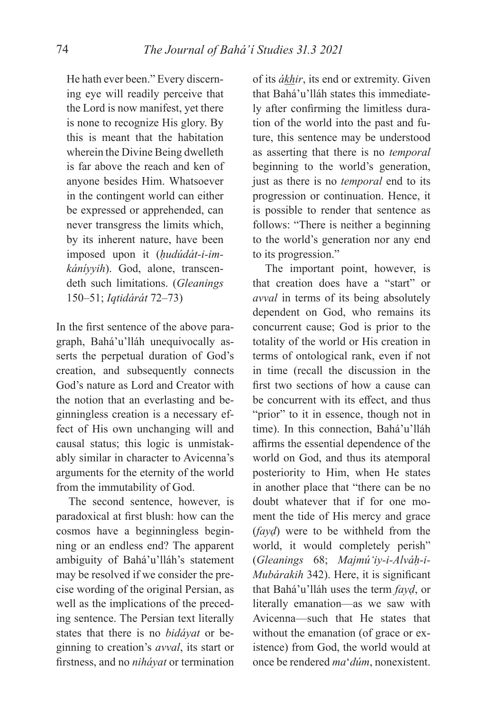He hath ever been." Every discerning eye will readily perceive that the Lord is now manifest, yet there is none to recognize His glory. By this is meant that the habitation wherein the Divine Being dwelleth is far above the reach and ken of anyone besides Him. Whatsoever in the contingent world can either be expressed or apprehended, can never transgress the limits which, by its inherent nature, have been imposed upon it (*ḥudúdát-i-imkáníyyih*). God, alone, transcendeth such limitations. (*Gleanings* 150–51; *Iqtidárát* 72–73)

In the first sentence of the above paragraph, Bahá'u'lláh unequivocally asserts the perpetual duration of God's creation, and subsequently connects God's nature as Lord and Creator with the notion that an everlasting and beginningless creation is a necessary effect of His own unchanging will and causal status; this logic is unmistakably similar in character to Avicenna's arguments for the eternity of the world from the immutability of God.

The second sentence, however, is paradoxical at first blush: how can the cosmos have a beginningless beginning or an endless end? The apparent ambiguity of Bahá'u'lláh's statement may be resolved if we consider the precise wording of the original Persian, as well as the implications of the preceding sentence. The Persian text literally states that there is no *bidáyat* or beginning to creation's *avval*, its start or fi rstness, and no *niháyat* or termination of its *ákhir*, its end or extremity. Given that Bahá'u'lláh states this immediately after confirming the limitless duration of the world into the past and future, this sentence may be understood as asserting that there is no *temporal*  beginning to the world's generation, just as there is no *temporal* end to its progression or continuation. Hence, it is possible to render that sentence as follows: "There is neither a beginning to the world's generation nor any end to its progression."

The important point, however, is that creation does have a "start" or *avval* in terms of its being absolutely dependent on God, who remains its concurrent cause; God is prior to the totality of the world or His creation in terms of ontological rank, even if not in time (recall the discussion in the first two sections of how a cause can be concurrent with its effect, and thus "prior" to it in essence, though not in time). In this connection, Bahá'u'lláh affirms the essential dependence of the world on God, and thus its atemporal posteriority to Him, when He states in another place that "there can be no doubt whatever that if for one moment the tide of His mercy and grace (*fayḍ*) were to be withheld from the world, it would completely perish" (*Gleanings* 68; *Majmúʻiy-i-Alváḥ-i-Mubárakih* 342). Here, it is significant that Bahá'u'lláh uses the term *fayḍ*, or literally emanation—as we saw with Avicenna—such that He states that without the emanation (of grace or existence) from God, the world would at once be rendered *ma*'*dúm*, nonexistent.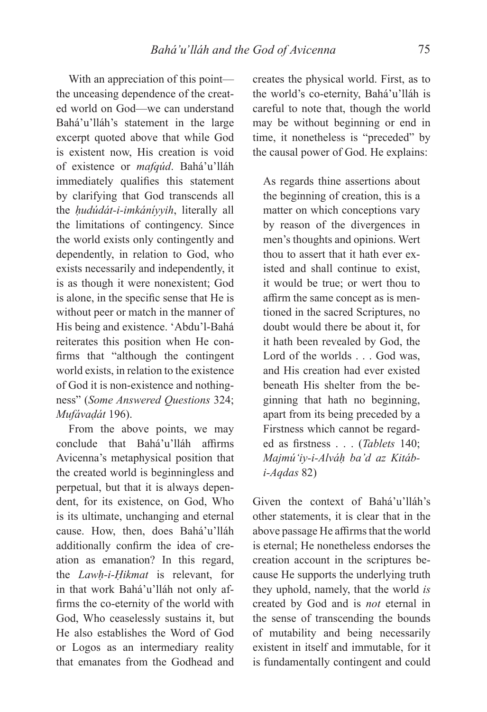With an appreciation of this point the unceasing dependence of the created world on God—we can understand Bahá'u'lláh's statement in the large excerpt quoted above that while God is existent now, His creation is void of existence or *mafqúd*. Bahá'u'lláh immediately qualifies this statement by clarifying that God transcends all the *ḥudúdát-i-imkáníyyih*, literally all the limitations of contingency. Since the world exists only contingently and dependently, in relation to God, who exists necessarily and independently, it is as though it were nonexistent; God is alone, in the specific sense that He is without peer or match in the manner of His being and existence. 'Abdu'l-Bahá reiterates this position when He confirms that "although the contingent world exists, in relation to the existence of God it is non-existence and nothingness" (*Some Answered Questions* 324; *Mufávaḍát* 196).

From the above points, we may conclude that Bahá'u'lláh affirms Avicenna's metaphysical position that the created world is beginningless and perpetual, but that it is always dependent, for its existence, on God, Who is its ultimate, unchanging and eternal cause. How, then, does Bahá'u'lláh additionally confirm the idea of creation as emanation? In this regard, the *Lawḥ-i-Ḥikmat* is relevant, for in that work Bahá'u'lláh not only affirms the co-eternity of the world with God, Who ceaselessly sustains it, but He also establishes the Word of God or Logos as an intermediary reality that emanates from the Godhead and

creates the physical world. First, as to the world's co-eternity, Bahá'u'lláh is careful to note that, though the world may be without beginning or end in time, it nonetheless is "preceded" by the causal power of God. He explains:

As regards thine assertions about the beginning of creation, this is a matter on which conceptions vary by reason of the divergences in men's thoughts and opinions. Wert thou to assert that it hath ever existed and shall continue to exist, it would be true; or wert thou to affirm the same concept as is mentioned in the sacred Scriptures, no doubt would there be about it, for it hath been revealed by God, the Lord of the worlds . . . God was, and His creation had ever existed beneath His shelter from the beginning that hath no beginning, apart from its being preceded by a Firstness which cannot be regarded as firstness . . . (*Tablets* 140; *Majmú'iy-i-Alváḥ ba'd az Kitábi-Aqdas* 82)

Given the context of Bahá'u'lláh's other statements, it is clear that in the above passage He affirms that the world is eternal; He nonetheless endorses the creation account in the scriptures because He supports the underlying truth they uphold, namely, that the world *is*  created by God and is *not* eternal in the sense of transcending the bounds of mutability and being necessarily existent in itself and immutable, for it is fundamentally contingent and could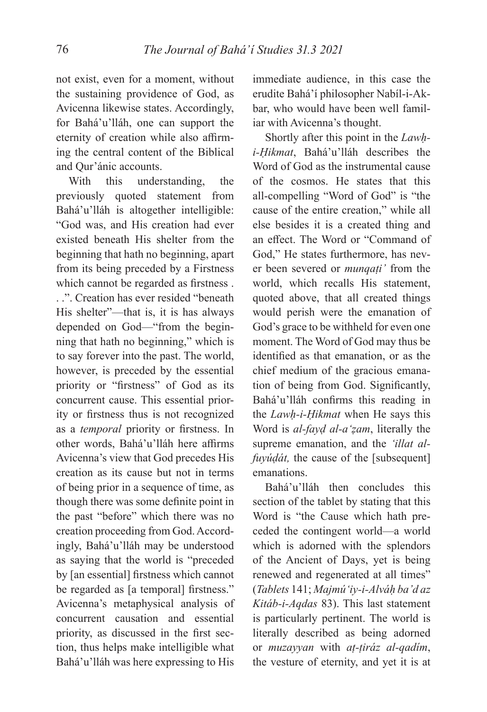not exist, even for a moment, without the sustaining providence of God, as Avicenna likewise states. Accordingly, for Bahá'u'lláh, one can support the eternity of creation while also affirming the central content of the Biblical and Qur'ánic accounts.

With this understanding, the previously quoted statement from Bahá'u'lláh is altogether intelligible: "God was, and His creation had ever existed beneath His shelter from the beginning that hath no beginning, apart from its being preceded by a Firstness which cannot be regarded as firstness. . .". Creation has ever resided "beneath His shelter"—that is, it is has always depended on God—"from the beginning that hath no beginning," which is to say forever into the past. The world, however, is preceded by the essential priority or "firstness" of God as its concurrent cause. This essential priority or firstness thus is not recognized as a *temporal* priority or firstness. In other words, Bahá'u'lláh here affirms Avicenna's view that God precedes His creation as its cause but not in terms of being prior in a sequence of time, as though there was some definite point in the past "before" which there was no creation proceeding from God. Accordingly, Bahá'u'lláh may be understood as saying that the world is "preceded by [an essential] firstness which cannot be regarded as [a temporal] firstness." Avicenna's metaphysical analysis of concurrent causation and essential priority, as discussed in the first section, thus helps make intelligible what Bahá'u'lláh was here expressing to His

immediate audience, in this case the erudite Bahá'í philosopher Nabíl-i-Akbar, who would have been well familiar with Avicenna's thought.

Shortly after this point in the *Lawḥi-Ḥikmat*, Bahá'u'lláh describes the Word of God as the instrumental cause of the cosmos. He states that this all-compelling "Word of God" is "the cause of the entire creation," while all else besides it is a created thing and an effect. The Word or "Command of God," He states furthermore, has never been severed or *munqaṭi'* from the world, which recalls His statement, quoted above, that all created things would perish were the emanation of God's grace to be withheld for even one moment. The Word of God may thus be identified as that emanation, or as the chief medium of the gracious emanation of being from God. Significantly, Bahá'u'lláh confirms this reading in the *Lawḥ-i-Ḥikmat* when He says this Word is *al-fayḍ al-a'ẓam*, literally the supreme emanation, and the *'illat alfuyúḍát,* the cause of the [subsequent] emanations.

Bahá'u'lláh then concludes this section of the tablet by stating that this Word is "the Cause which hath preceded the contingent world—a world which is adorned with the splendors of the Ancient of Days, yet is being renewed and regenerated at all times" (*Tablets* 141; *Majmú'iy-i-Alváḥ ba'd az Kitáb-i-Aqdas* 83). This last statement is particularly pertinent. The world is literally described as being adorned or *muzayyan* with *aṭ-ṭiráz al-qadím*, the vesture of eternity, and yet it is at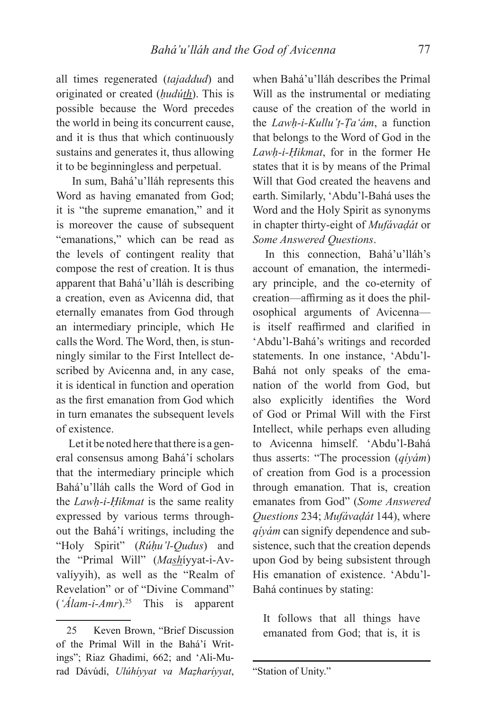all times regenerated (*tajaddud*) and originated or created (*ḥudúth*). This is possible because the Word precedes the world in being its concurrent cause, and it is thus that which continuously sustains and generates it, thus allowing it to be beginningless and perpetual.

 In sum, Bahá'u'lláh represents this Word as having emanated from God; it is "the supreme emanation," and it is moreover the cause of subsequent "emanations," which can be read as the levels of contingent reality that compose the rest of creation. It is thus apparent that Bahá'u'lláh is describing a creation, even as Avicenna did, that eternally emanates from God through an intermediary principle, which He calls the Word. The Word, then, is stunningly similar to the First Intellect described by Avicenna and, in any case, it is identical in function and operation as the first emanation from God which in turn emanates the subsequent levels of existence.

Let it be noted here that there is a general consensus among Bahá'í scholars that the intermediary principle which Bahá'u'lláh calls the Word of God in the *Lawḥ-i-Ḥikmat* is the same reality expressed by various terms throughout the Bahá'í writings, including the "Holy Spirit" (*Rúḥu'l-Qudus*) and the "Primal Will" (*Mash*íyyat-i-Avvalíyyih), as well as the "Realm of Revelation" or of "Divine Command" (*'Álam-i-Amr*).25 This is apparent

when Bahá'u'lláh describes the Primal Will as the instrumental or mediating cause of the creation of the world in the *Lawḥ-i-Kullu'ṭ-Ṭa'ám*, a function that belongs to the Word of God in the *Lawḥ-i-Ḥikmat*, for in the former He states that it is by means of the Primal Will that God created the heavens and earth. Similarly, 'Abdu'l-Bahá uses the Word and the Holy Spirit as synonyms in chapter thirty-eight of *Mufávaḍát* or *Some Answered Questions*.

In this connection, Bahá'u'lláh's account of emanation, the intermediary principle, and the co-eternity of creation—affirming as it does the philosophical arguments of Avicenna is itself reaffirmed and clarified in 'Abdu'l-Bahá's writings and recorded statements. In one instance, 'Abdu'l-Bahá not only speaks of the emanation of the world from God, but also explicitly identifies the Word of God or Primal Will with the First Intellect, while perhaps even alluding to Avicenna himself. 'Abdu'l-Bahá thus asserts: "The procession (*qíyám*) of creation from God is a procession through emanation. That is, creation emanates from God" (*Some Answered Questions* 234; *Mufávaḍát* 144), where *qíyám* can signify dependence and subsistence, such that the creation depends upon God by being subsistent through His emanation of existence. 'Abdu'l-Bahá continues by stating:

It follows that all things have emanated from God; that is, it is

<sup>25</sup> Keven Brown, "Brief Discussion of the Primal Will in the Bahá'í Writings"; Riaz Ghadimi, 662; and 'Ali-Murad Dávúdí, *Ulúhíyyat va Maẓharíyyat*,

<sup>&</sup>quot;Station of Unity."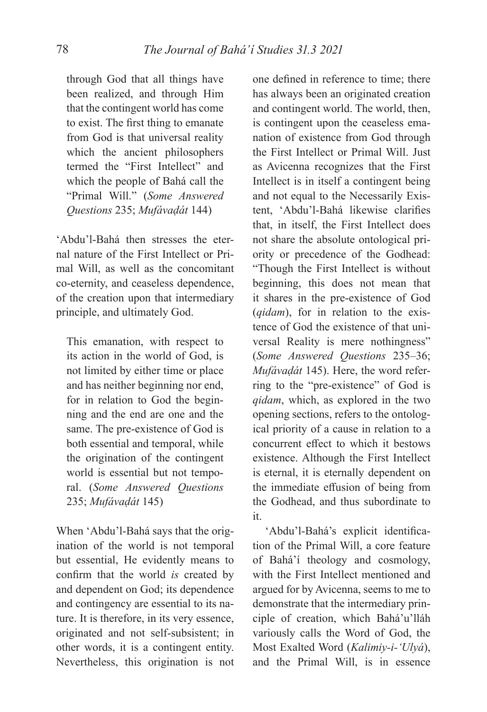through God that all things have been realized, and through Him that the contingent world has come to exist. The first thing to emanate from God is that universal reality which the ancient philosophers termed the "First Intellect" and which the people of Bahá call the "Primal Will." (*Some Answered Questions* 235; *Mufávaḍát* 144)

'Abdu'l-Bahá then stresses the eternal nature of the First Intellect or Primal Will, as well as the concomitant co-eternity, and ceaseless dependence, of the creation upon that intermediary principle, and ultimately God.

This emanation, with respect to its action in the world of God, is not limited by either time or place and has neither beginning nor end, for in relation to God the beginning and the end are one and the same. The pre-existence of God is both essential and temporal, while the origination of the contingent world is essential but not temporal. (*Some Answered Questions* 235; *Mufávaḍát* 145)

When 'Abdu'l-Bahá says that the origination of the world is not temporal but essential, He evidently means to confirm that the world *is* created by and dependent on God; its dependence and contingency are essential to its nature. It is therefore, in its very essence, originated and not self-subsistent; in other words, it is a contingent entity. Nevertheless, this origination is not

one defined in reference to time; there has always been an originated creation and contingent world. The world, then, is contingent upon the ceaseless emanation of existence from God through the First Intellect or Primal Will. Just as Avicenna recognizes that the First Intellect is in itself a contingent being and not equal to the Necessarily Existent, 'Abdu'l-Bahá likewise clarifies that, in itself, the First Intellect does not share the absolute ontological priority or precedence of the Godhead: "Though the First Intellect is without beginning, this does not mean that it shares in the pre-existence of God (*qidam*), for in relation to the existence of God the existence of that universal Reality is mere nothingness" (*Some Answered Questions* 235–36; *Mufávaḍát* 145). Here, the word referring to the "pre-existence" of God is *qidam*, which, as explored in the two opening sections, refers to the ontological priority of a cause in relation to a concurrent effect to which it bestows existence. Although the First Intellect is eternal, it is eternally dependent on the immediate effusion of being from the Godhead, and thus subordinate to it.

'Abdu'l-Bahá's explicit identification of the Primal Will, a core feature of Bahá'í theology and cosmology, with the First Intellect mentioned and argued for by Avicenna, seems to me to demonstrate that the intermediary principle of creation, which Bahá'u'lláh variously calls the Word of God, the Most Exalted Word (*Kalimiy-i-'Ulyá*), and the Primal Will, is in essence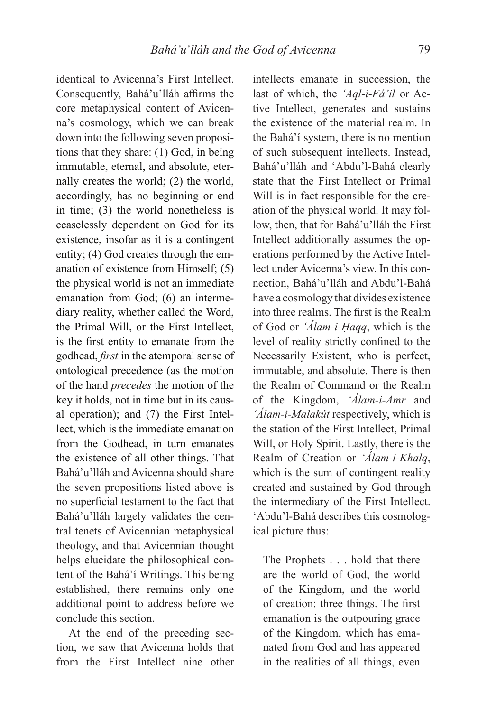identical to Avicenna's First Intellect. Consequently, Bahá'u'lláh affirms the core metaphysical content of Avicenna's cosmology, which we can break down into the following seven propositions that they share: (1) God, in being immutable, eternal, and absolute, eternally creates the world; (2) the world, accordingly, has no beginning or end in time; (3) the world nonetheless is ceaselessly dependent on God for its existence, insofar as it is a contingent entity; (4) God creates through the emanation of existence from Himself; (5) the physical world is not an immediate emanation from God; (6) an intermediary reality, whether called the Word, the Primal Will, or the First Intellect, is the first entity to emanate from the godhead, *first* in the atemporal sense of ontological precedence (as the motion of the hand *precedes* the motion of the key it holds, not in time but in its causal operation); and (7) the First Intellect, which is the immediate emanation from the Godhead, in turn emanates the existence of all other things. That Bahá'u'lláh and Avicenna should share the seven propositions listed above is no superficial testament to the fact that Bahá'u'lláh largely validates the central tenets of Avicennian metaphysical theology, and that Avicennian thought helps elucidate the philosophical content of the Bahá'í Writings. This being established, there remains only one additional point to address before we conclude this section.

At the end of the preceding section, we saw that Avicenna holds that from the First Intellect nine other

intellects emanate in succession, the last of which, the *'Aql-i-Fá'il* or Active Intellect, generates and sustains the existence of the material realm. In the Bahá'í system, there is no mention of such subsequent intellects. Instead, Bahá'u'lláh and 'Abdu'l-Bahá clearly state that the First Intellect or Primal Will is in fact responsible for the creation of the physical world. It may follow, then, that for Bahá'u'lláh the First Intellect additionally assumes the operations performed by the Active Intellect under Avicenna's view. In this connection, Bahá'u'lláh and Abdu'l-Bahá have a cosmology that divides existence into three realms. The first is the Realm of God or *'Álam-i-Ḥaqq*, which is the level of reality strictly confined to the Necessarily Existent, who is perfect, immutable, and absolute. There is then the Realm of Command or the Realm of the Kingdom, *'Álam-i-Amr* and *'Álam-i-Malakút* respectively, which is the station of the First Intellect, Primal Will, or Holy Spirit. Lastly, there is the Realm of Creation or *'Álam-i-Khalq*, which is the sum of contingent reality created and sustained by God through the intermediary of the First Intellect. 'Abdu'l-Bahá describes this cosmological picture thus:

The Prophets . . . hold that there are the world of God, the world of the Kingdom, and the world of creation: three things. The first emanation is the outpouring grace of the Kingdom, which has emanated from God and has appeared in the realities of all things, even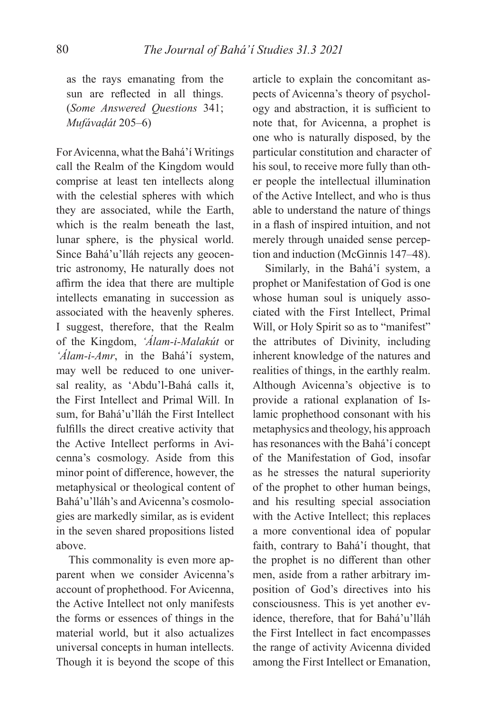as the rays emanating from the sun are reflected in all things. (*Some Answered Questions* 341; *Mufávaḍát* 205–6)

For Avicenna, what the Bahá'í Writings call the Realm of the Kingdom would comprise at least ten intellects along with the celestial spheres with which they are associated, while the Earth, which is the realm beneath the last, lunar sphere, is the physical world. Since Bahá'u'lláh rejects any geocentric astronomy, He naturally does not affirm the idea that there are multiple intellects emanating in succession as associated with the heavenly spheres. I suggest, therefore, that the Realm of the Kingdom, *'Álam-i-Malakút* or *'Álam-i-Amr*, in the Bahá'í system, may well be reduced to one universal reality, as 'Abdu'l-Bahá calls it, the First Intellect and Primal Will. In sum, for Bahá'u'lláh the First Intellect fulfills the direct creative activity that the Active Intellect performs in Avicenna's cosmology. Aside from this minor point of difference, however, the metaphysical or theological content of Bahá'u'lláh's and Avicenna's cosmologies are markedly similar, as is evident in the seven shared propositions listed above.

This commonality is even more apparent when we consider Avicenna's account of prophethood. For Avicenna, the Active Intellect not only manifests the forms or essences of things in the material world, but it also actualizes universal concepts in human intellects. Though it is beyond the scope of this

article to explain the concomitant aspects of Avicenna's theory of psychology and abstraction, it is sufficient to note that, for Avicenna, a prophet is one who is naturally disposed, by the particular constitution and character of his soul, to receive more fully than other people the intellectual illumination of the Active Intellect, and who is thus able to understand the nature of things in a flash of inspired intuition, and not merely through unaided sense perception and induction (McGinnis 147–48).

Similarly, in the Bahá'í system, a prophet or Manifestation of God is one whose human soul is uniquely associated with the First Intellect, Primal Will, or Holy Spirit so as to "manifest" the attributes of Divinity, including inherent knowledge of the natures and realities of things, in the earthly realm. Although Avicenna's objective is to provide a rational explanation of Islamic prophethood consonant with his metaphysics and theology, his approach has resonances with the Bahá'í concept of the Manifestation of God, insofar as he stresses the natural superiority of the prophet to other human beings, and his resulting special association with the Active Intellect; this replaces a more conventional idea of popular faith, contrary to Bahá'í thought, that the prophet is no different than other men, aside from a rather arbitrary imposition of God's directives into his consciousness. This is yet another evidence, therefore, that for Bahá'u'lláh the First Intellect in fact encompasses the range of activity Avicenna divided among the First Intellect or Emanation,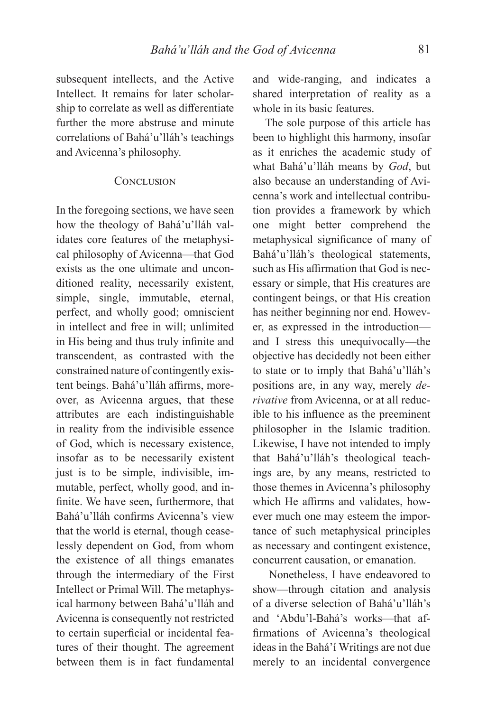subsequent intellects, and the Active Intellect. It remains for later scholarship to correlate as well as differentiate further the more abstruse and minute correlations of Bahá'u'lláh's teachings and Avicenna's philosophy.

## CONCLUSION

In the foregoing sections, we have seen how the theology of Bahá'u'lláh validates core features of the metaphysical philosophy of Avicenna—that God exists as the one ultimate and unconditioned reality, necessarily existent, simple, single, immutable, eternal, perfect, and wholly good; omniscient in intellect and free in will; unlimited in His being and thus truly infinite and transcendent, as contrasted with the constrained nature of contingently existent beings. Bahá'u'lláh affirms, moreover, as Avicenna argues, that these attributes are each indistinguishable in reality from the indivisible essence of God, which is necessary existence, insofar as to be necessarily existent just is to be simple, indivisible, immutable, perfect, wholly good, and infinite. We have seen, furthermore, that Bahá'u'lláh confirms Avicenna's view that the world is eternal, though ceaselessly dependent on God, from whom the existence of all things emanates through the intermediary of the First Intellect or Primal Will. The metaphysical harmony between Bahá'u'lláh and Avicenna is consequently not restricted to certain superficial or incidental features of their thought. The agreement between them is in fact fundamental

and wide-ranging, and indicates a shared interpretation of reality as a whole in its basic features.

The sole purpose of this article has been to highlight this harmony, insofar as it enriches the academic study of what Bahá'u'lláh means by *God*, but also because an understanding of Avicenna's work and intellectual contribution provides a framework by which one might better comprehend the metaphysical significance of many of Bahá'u'lláh's theological statements, such as His affirmation that God is necessary or simple, that His creatures are contingent beings, or that His creation has neither beginning nor end. However, as expressed in the introduction and I stress this unequivocally—the objective has decidedly not been either to state or to imply that Bahá'u'lláh's positions are, in any way, merely *derivative* from Avicenna, or at all reducible to his influence as the preeminent philosopher in the Islamic tradition. Likewise, I have not intended to imply that Bahá'u'lláh's theological teachings are, by any means, restricted to those themes in Avicenna's philosophy which He affirms and validates, however much one may esteem the importance of such metaphysical principles as necessary and contingent existence, concurrent causation, or emanation.

 Nonetheless, I have endeavored to show—through citation and analysis of a diverse selection of Bahá'u'lláh's and 'Abdu'l-Bahá's works—that affirmations of Avicenna's theological ideas in the Bahá'í Writings are not due merely to an incidental convergence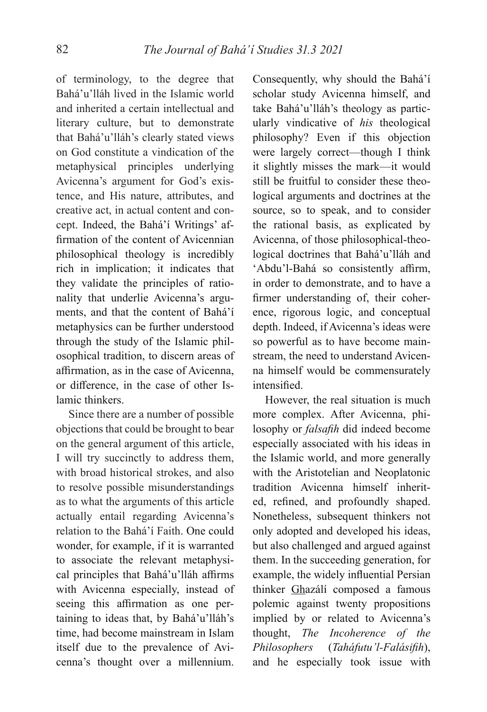of terminology, to the degree that Bahá'u'lláh lived in the Islamic world and inherited a certain intellectual and literary culture, but to demonstrate that Bahá'u'lláh's clearly stated views on God constitute a vindication of the metaphysical principles underlying Avicenna's argument for God's existence, and His nature, attributes, and creative act, in actual content and concept. Indeed, the Bahá'í Writings' affirmation of the content of Avicennian philosophical theology is incredibly rich in implication; it indicates that they validate the principles of rationality that underlie Avicenna's arguments, and that the content of Bahá'í metaphysics can be further understood through the study of the Islamic philosophical tradition, to discern areas of affirmation, as in the case of Avicenna, or difference, in the case of other Islamic thinkers.

Since there are a number of possible objections that could be brought to bear on the general argument of this article, I will try succinctly to address them, with broad historical strokes, and also to resolve possible misunderstandings as to what the arguments of this article actually entail regarding Avicenna's relation to the Bahá'í Faith. One could wonder, for example, if it is warranted to associate the relevant metaphysical principles that Bahá'u'lláh affirms with Avicenna especially, instead of seeing this affirmation as one pertaining to ideas that, by Bahá'u'lláh's time, had become mainstream in Islam itself due to the prevalence of Avicenna's thought over a millennium.

Consequently, why should the Bahá'í scholar study Avicenna himself, and take Bahá'u'lláh's theology as particularly vindicative of *his* theological philosophy? Even if this objection were largely correct—though I think it slightly misses the mark—it would still be fruitful to consider these theological arguments and doctrines at the source, so to speak, and to consider the rational basis, as explicated by Avicenna, of those philosophical-theological doctrines that Bahá'u'lláh and 'Abdu'l-Bahá so consistently affirm, in order to demonstrate, and to have a firmer understanding of, their coherence, rigorous logic, and conceptual depth. Indeed, if Avicenna's ideas were so powerful as to have become mainstream, the need to understand Avicenna himself would be commensurately intensified.

However, the real situation is much more complex. After Avicenna, philosophy or *falsafih* did indeed become especially associated with his ideas in the Islamic world, and more generally with the Aristotelian and Neoplatonic tradition Avicenna himself inherited, refined, and profoundly shaped. Nonetheless, subsequent thinkers not only adopted and developed his ideas, but also challenged and argued against them. In the succeeding generation, for example, the widely influential Persian thinker Ghazálí composed a famous polemic against twenty propositions implied by or related to Avicenna's thought, *The Incoherence of the Philosophers (Taháfutu'l-Falásifih)*, and he especially took issue with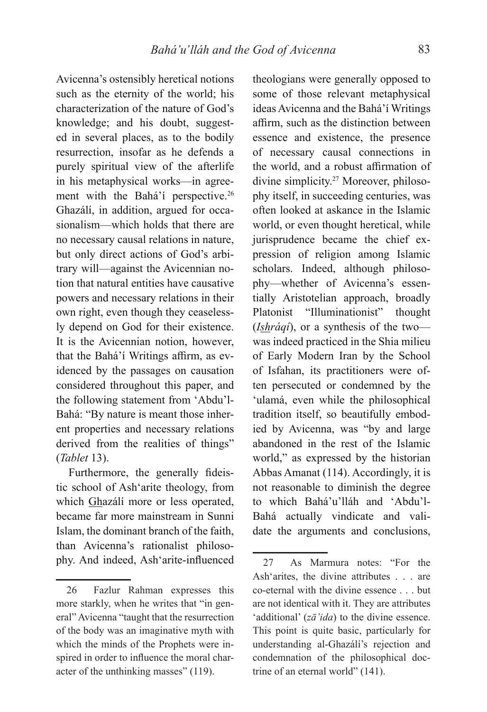Avicenna's ostensibly heretical notions such as the eternity of the world; his characterization of the nature of God's knowledge; and his doubt, suggested in several places, as to the bodily resurrection, insofar as he defends a purely spiritual view of the afterlife in his metaphysical works—in agreement with the Bahá'í perspective.<sup>26</sup> Ghazálí, in addition, argued for occasionalism—which holds that there are no necessary causal relations in nature, but only direct actions of God's arbitrary will—against the Avicennian notion that natural entities have causative powers and necessary relations in their own right, even though they ceaselessly depend on God for their existence. It is the Avicennian notion, however, that the Bahá'í Writings affirm, as evidenced by the passages on causation considered throughout this paper, and the following statement from 'Abdu'l-Bahá: "By nature is meant those inherent properties and necessary relations derived from the realities of things" (*Tablet* 13).

Furthermore, the generally fideistic school of Ash'arite theology, from which Ghazálí more or less operated, became far more mainstream in Sunni Islam, the dominant branch of the faith, than Avicenna's rationalist philosophy. And indeed, Ash'arite-influenced

theologians were generally opposed to some of those relevant metaphysical ideas Avicenna and the Bahá'í Writings affirm, such as the distinction between essence and existence, the presence of necessary causal connections in the world, and a robust affirmation of divine simplicity.27 Moreover, philosophy itself, in succeeding centuries, was often looked at askance in the Islamic world, or even thought heretical, while jurisprudence became the chief expression of religion among Islamic scholars. Indeed, although philosophy—whether of Avicenna's essentially Aristotelian approach, broadly Platonist "Illuminationist" thought (*Ishráqí*), or a synthesis of the two was indeed practiced in the Shia milieu of Early Modern Iran by the School of Isfahan, its practitioners were often persecuted or condemned by the 'ulamá, even while the philosophical tradition itself, so beautifully embodied by Avicenna, was "by and large abandoned in the rest of the Islamic world," as expressed by the historian Abbas Amanat (114). Accordingly, it is not reasonable to diminish the degree to which Bahá'u'lláh and 'Abdu'l-Bahá actually vindicate and validate the arguments and conclusions,

<sup>26</sup> Fazlur Rahman expresses this more starkly, when he writes that "in general" Avicenna "taught that the resurrection of the body was an imaginative myth with which the minds of the Prophets were inspired in order to influence the moral character of the unthinking masses" (119).

<sup>27</sup> As Marmura notes: "For the Ash'arites, the divine attributes . . . are co-eternal with the divine essence . . . but are not identical with it. They are attributes 'additional' (*zā'ida*) to the divine essence. This point is quite basic, particularly for understanding al-Ghazálí's rejection and condemnation of the philosophical doctrine of an eternal world" (141).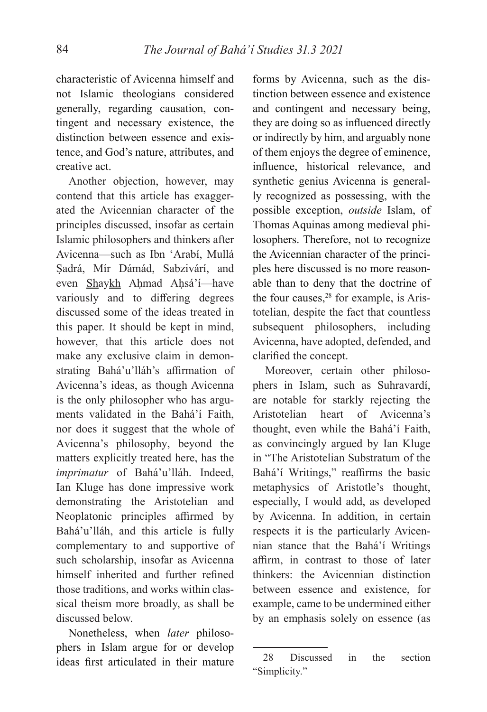characteristic of Avicenna himself and not Islamic theologians considered generally, regarding causation, contingent and necessary existence, the distinction between essence and existence, and God's nature, attributes, and creative act.

Another objection, however, may contend that this article has exaggerated the Avicennian character of the principles discussed, insofar as certain Islamic philosophers and thinkers after Avicenna—such as Ibn 'Arabí, Mullá Ṣadrá, Mír Dámád, Sabzivárí, and even Shaykh Aḥmad Aḥsá'í—have variously and to differing degrees discussed some of the ideas treated in this paper. It should be kept in mind, however, that this article does not make any exclusive claim in demonstrating Bahá'u'lláh's affirmation of Avicenna's ideas, as though Avicenna is the only philosopher who has arguments validated in the Bahá'í Faith, nor does it suggest that the whole of Avicenna's philosophy, beyond the matters explicitly treated here, has the *imprimatur* of Bahá'u'lláh. Indeed, Ian Kluge has done impressive work demonstrating the Aristotelian and Neoplatonic principles affirmed by Bahá'u'lláh, and this article is fully complementary to and supportive of such scholarship, insofar as Avicenna himself inherited and further refined those traditions, and works within classical theism more broadly, as shall be discussed below.

Nonetheless, when *later* philosophers in Islam argue for or develop ideas first articulated in their mature

forms by Avicenna, such as the distinction between essence and existence and contingent and necessary being, they are doing so as influenced directly or indirectly by him, and arguably none of them enjoys the degree of eminence, influence, historical relevance, and synthetic genius Avicenna is generally recognized as possessing, with the possible exception, *outside* Islam, of Thomas Aquinas among medieval philosophers. Therefore, not to recognize the Avicennian character of the principles here discussed is no more reasonable than to deny that the doctrine of the four causes, $28$  for example, is Aristotelian, despite the fact that countless subsequent philosophers, including Avicenna, have adopted, defended, and clarified the concept.

Moreover, certain other philosophers in Islam, such as Suhravardí, are notable for starkly rejecting the Aristotelian heart of Avicenna's thought, even while the Bahá'í Faith, as convincingly argued by Ian Kluge in "The Aristotelian Substratum of the Bahá'í Writings," reaffirms the basic metaphysics of Aristotle's thought, especially, I would add, as developed by Avicenna. In addition, in certain respects it is the particularly Avicennian stance that the Bahá'í Writings affirm, in contrast to those of later thinkers: the Avicennian distinction between essence and existence, for example, came to be undermined either by an emphasis solely on essence (as

<sup>28</sup> Discussed in the section "Simplicity."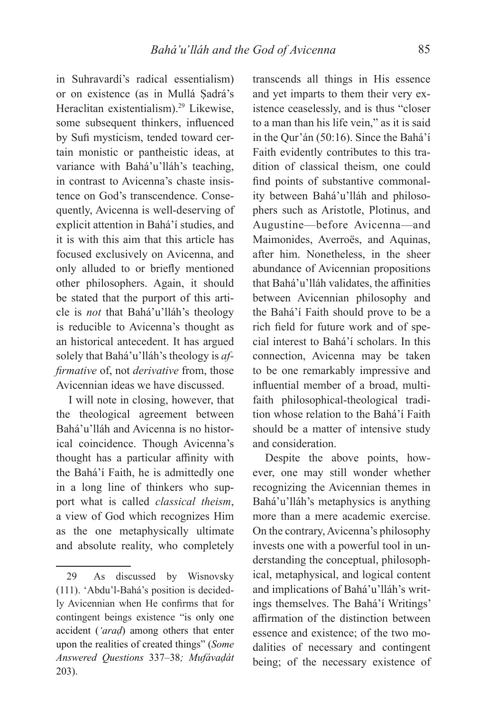in Suhravardí's radical essentialism) or on existence (as in Mullá Ṣadrá's Heraclitan existentialism).29 Likewise, some subsequent thinkers, influenced by Sufi mysticism, tended toward certain monistic or pantheistic ideas, at variance with Bahá'u'lláh's teaching, in contrast to Avicenna's chaste insistence on God's transcendence. Consequently, Avicenna is well-deserving of explicit attention in Bahá'í studies, and it is with this aim that this article has focused exclusively on Avicenna, and only alluded to or briefly mentioned other philosophers. Again, it should be stated that the purport of this article is *not* that Bahá'u'lláh's theology is reducible to Avicenna's thought as an historical antecedent. It has argued solely that Bahá'u'lláh's theology is *affirmative* of, not *derivative* from, those Avicennian ideas we have discussed.

I will note in closing, however, that the theological agreement between Bahá'u'lláh and Avicenna is no historical coincidence. Though Avicenna's thought has a particular affinity with the Bahá'í Faith, he is admittedly one in a long line of thinkers who support what is called *classical theism*, a view of God which recognizes Him as the one metaphysically ultimate and absolute reality, who completely

transcends all things in His essence and yet imparts to them their very existence ceaselessly, and is thus "closer to a man than his life vein," as it is said in the Qur'án (50:16). Since the Bahá'í Faith evidently contributes to this tradition of classical theism, one could find points of substantive commonality between Bahá'u'lláh and philosophers such as Aristotle, Plotinus, and Augustine—before Avicenna—and Maimonides, Averroës, and Aquinas, after him. Nonetheless, in the sheer abundance of Avicennian propositions that Bahá'u'lláh validates, the affinities between Avicennian philosophy and the Bahá'í Faith should prove to be a rich field for future work and of special interest to Bahá'í scholars. In this connection, Avicenna may be taken to be one remarkably impressive and influential member of a broad, multifaith philosophical-theological tradition whose relation to the Bahá'í Faith should be a matter of intensive study and consideration.

Despite the above points, however, one may still wonder whether recognizing the Avicennian themes in Bahá'u'lláh's metaphysics is anything more than a mere academic exercise. On the contrary, Avicenna's philosophy invests one with a powerful tool in understanding the conceptual, philosophical, metaphysical, and logical content and implications of Bahá'u'lláh's writings themselves. The Bahá'í Writings' affirmation of the distinction between essence and existence; of the two modalities of necessary and contingent being; of the necessary existence of

<sup>29</sup> As discussed by Wisnovsky (111). 'Abdu'l-Bahá's position is decidedly Avicennian when He confirms that for contingent beings existence "is only one accident (*'araḍ*) among others that enter upon the realities of created things" (*Some Answered Questions* 337–38*; Mufávaḍát*  203).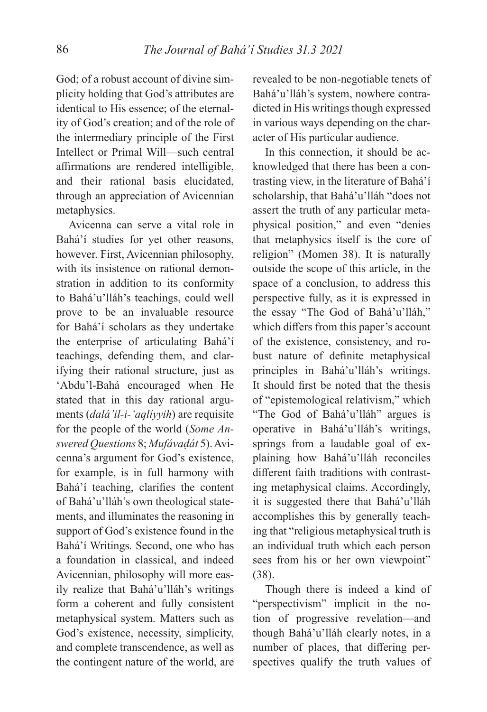God; of a robust account of divine simplicity holding that God's attributes are identical to His essence; of the eternality of God's creation; and of the role of the intermediary principle of the First Intellect or Primal Will—such central affirmations are rendered intelligible, and their rational basis elucidated, through an appreciation of Avicennian metaphysics.

Avicenna can serve a vital role in Bahá'í studies for yet other reasons, however. First, Avicennian philosophy, with its insistence on rational demonstration in addition to its conformity to Bahá'u'lláh's teachings, could well prove to be an invaluable resource for Bahá'í scholars as they undertake the enterprise of articulating Bahá'í teachings, defending them, and clarifying their rational structure, just as 'Abdu'l-Bahá encouraged when He stated that in this day rational arguments (*dalá'il-i-'aqlíyyih*) are requisite for the people of the world (*Some Answered Questions* 8; *Mufávaḍát* 5). Avicenna's argument for God's existence, for example, is in full harmony with Bahá'í teaching, clarifies the content of Bahá'u'lláh's own theological statements, and illuminates the reasoning in support of God's existence found in the Bahá'í Writings. Second, one who has a foundation in classical, and indeed Avicennian, philosophy will more easily realize that Bahá'u'lláh's writings form a coherent and fully consistent metaphysical system. Matters such as God's existence, necessity, simplicity, and complete transcendence, as well as the contingent nature of the world, are revealed to be non-negotiable tenets of Bahá'u'lláh's system, nowhere contradicted in His writings though expressed in various ways depending on the character of His particular audience.

In this connection, it should be acknowledged that there has been a contrasting view, in the literature of Bahá'í scholarship, that Bahá'u'lláh "does not assert the truth of any particular metaphysical position," and even "denies that metaphysics itself is the core of religion" (Momen 38). It is naturally outside the scope of this article, in the space of a conclusion, to address this perspective fully, as it is expressed in the essay "The God of Bahá'u'lláh," which differs from this paper's account of the existence, consistency, and robust nature of definite metaphysical principles in Bahá'u'lláh's writings. It should first be noted that the thesis of "epistemological relativism," which "The God of Bahá'u'lláh" argues is operative in Bahá'u'lláh's writings, springs from a laudable goal of explaining how Bahá'u'lláh reconciles different faith traditions with contrasting metaphysical claims. Accordingly, it is suggested there that Bahá'u'lláh accomplishes this by generally teaching that "religious metaphysical truth is an individual truth which each person sees from his or her own viewpoint" (38).

Though there is indeed a kind of "perspectivism" implicit in the notion of progressive revelation—and though Bahá'u'lláh clearly notes, in a number of places, that differing perspectives qualify the truth values of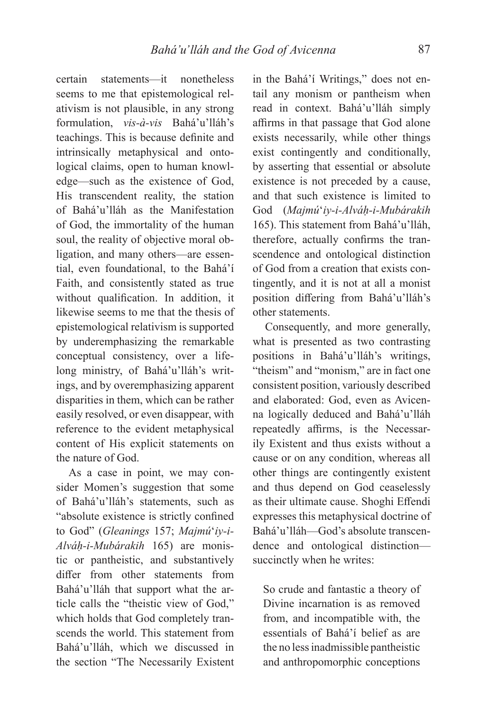certain statements—it nonetheless seems to me that epistemological relativism is not plausible, in any strong formulation, *vis-à-vis* Bahá'u'lláh's teachings. This is because definite and intrinsically metaphysical and ontological claims, open to human knowledge—such as the existence of God, His transcendent reality, the station of Bahá'u'lláh as the Manifestation of God, the immortality of the human soul, the reality of objective moral obligation, and many others—are essential, even foundational, to the Bahá'í Faith, and consistently stated as true without qualification. In addition, it likewise seems to me that the thesis of epistemological relativism is supported by underemphasizing the remarkable conceptual consistency, over a lifelong ministry, of Bahá'u'lláh's writings, and by overemphasizing apparent disparities in them, which can be rather easily resolved, or even disappear, with reference to the evident metaphysical content of His explicit statements on the nature of God.

As a case in point, we may consider Momen's suggestion that some of Bahá'u'lláh's statements, such as "absolute existence is strictly confined to God" (*Gleanings* 157; *Majmú*ʻ*iy-i-Alváḥ-i-Mubárakih* 165) are monistic or pantheistic, and substantively differ from other statements from Bahá'u'lláh that support what the article calls the "theistic view of God," which holds that God completely transcends the world. This statement from Bahá'u'lláh, which we discussed in the section "The Necessarily Existent

in the Bahá'í Writings," does not entail any monism or pantheism when read in context. Bahá'u'lláh simply affirms in that passage that God alone exists necessarily, while other things exist contingently and conditionally, by asserting that essential or absolute existence is not preceded by a cause, and that such existence is limited to God (*Majmú*ʻ*iy-i-Alváḥ-i-Mubárakih*  165). This statement from Bahá'u'lláh, therefore, actually confirms the transcendence and ontological distinction of God from a creation that exists contingently, and it is not at all a monist position differing from Bahá'u'lláh's other statements.

Consequently, and more generally, what is presented as two contrasting positions in Bahá'u'lláh's writings, "theism" and "monism," are in fact one consistent position, variously described and elaborated: God, even as Avicenna logically deduced and Bahá'u'lláh repeatedly affirms, is the Necessarily Existent and thus exists without a cause or on any condition, whereas all other things are contingently existent and thus depend on God ceaselessly as their ultimate cause. Shoghi Effendi expresses this metaphysical doctrine of Bahá'u'lláh—God's absolute transcendence and ontological distinction succinctly when he writes:

So crude and fantastic a theory of Divine incarnation is as removed from, and incompatible with, the essentials of Bahá'í belief as are the no less inadmissible pantheistic and anthropomorphic conceptions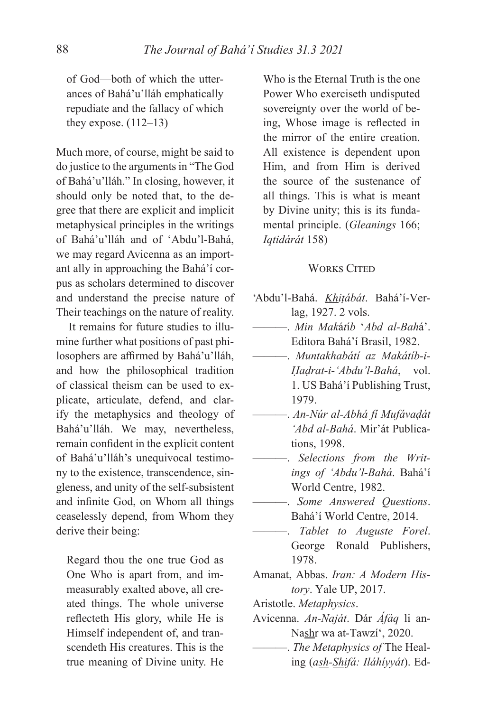of God—both of which the utterances of Bahá'u'lláh emphatically repudiate and the fallacy of which they expose.  $(112-13)$ 

Much more, of course, might be said to do justice to the arguments in "The God of Bahá'u'lláh." In closing, however, it should only be noted that, to the degree that there are explicit and implicit metaphysical principles in the writings of Bahá'u'lláh and of 'Abdu'l-Bahá, we may regard Avicenna as an important ally in approaching the Bahá'í corpus as scholars determined to discover and understand the precise nature of Their teachings on the nature of reality.

It remains for future studies to illumine further what positions of past philosophers are affirmed by Bahá'u'lláh, and how the philosophical tradition of classical theism can be used to explicate, articulate, defend, and clarify the metaphysics and theology of Bahá'u'lláh. We may, nevertheless, remain confident in the explicit content of Bahá'u'lláh's unequivocal testimony to the existence, transcendence, singleness, and unity of the self-subsistent and infinite God, on Whom all things ceaselessly depend, from Whom they derive their being:

Regard thou the one true God as One Who is apart from, and immeasurably exalted above, all created things. The whole universe reflecteth His glory, while He is Himself independent of, and transcendeth His creatures. This is the true meaning of Divine unity. He Who is the Eternal Truth is the one Power Who exerciseth undisputed sovereignty over the world of being, Whose image is reflected in the mirror of the entire creation. All existence is dependent upon Him, and from Him is derived the source of the sustenance of all things. This is what is meant by Divine unity; this is its fundamental principle. (*Gleanings* 166; *Iqtidárát* 158)

## **WORKS CITED**

- 'Abdu'l-Bahá. *Khiṭábát*. Bahá'í-Verlag, 1927. 2 vols.
- ———. *Min Mak*á*t*í*b* ʻ*Abd al-Bah*á'. Editora Bahá'í Brasil, 1982.
- ———. *Muntakhabátí az Makátíb-i-Ḥaḍrat-i-'Abdu'l-Bahá*, vol. 1. US Bahá'í Publishing Trust, 1979.
- ———. *An-Núr al-Abhá fí Mufávaḍát 'Abd al-Bahá*. Mir'át Publications, 1998.
- ———. *Selections from the Writings of 'Abdu'l-Bahá*. Bahá'í World Centre, 1982.
- ———. *Some Answered Questions*. Bahá'í World Centre, 2014.
	- ———. *Tablet to Auguste Forel*. George Ronald Publishers, 1978.
- Amanat, Abbas. *Iran: A Modern History*. Yale UP, 2017.
- Aristotle. *Metaphysics*.
- Avicenna. *An-Naját*. Dár *Áfáq* li an-Nashr wa at-Tawzí', 2020.
- ———. *The Metaphysics of* The Healing (*ash-Shifá: Iláhíyyát*). Ed-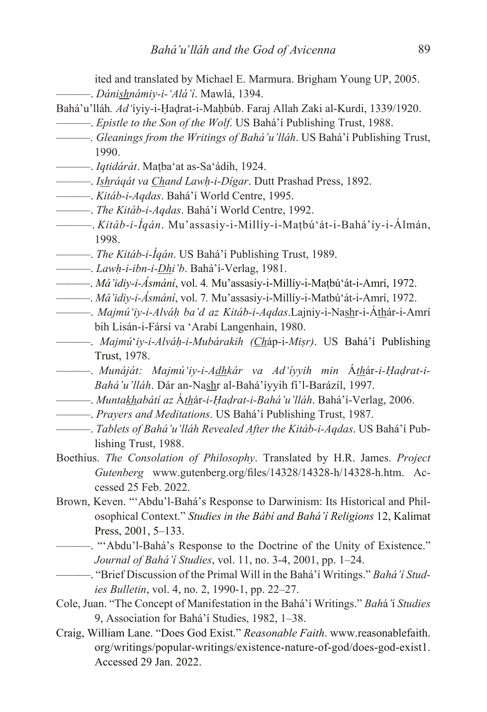ited and translated by Michael E. Marmura. Brigham Young UP, 2005. ———. *Dánishnámiy-i-'Alá'í*. Mawlá, 1394.

- Bahá'u'lláh*. Ad'*íyiy-i-Ḥaḍrat-i-Maḥbúb. Faraj Allah Zaki al-Kurdi, 1339/1920.
	- ———. *Epistle to the Son of the Wolf*. US Bahá'í Publishing Trust, 1988.
	- ———*. Gleanings from the Writings of Bahá'u'lláh*. US Bahá'í Publishing Trust, 1990.
- ———. *Iqtidárát*. Maṭba'at as-Sa'ádih, 1924.
- ———. *Ishráqát va Chand Lawḥ-i-Dígar*. Dutt Prashad Press, 1892.
- ———. *Kitáb-i-Aqdas*. Bahá'í World Centre, 1995.
- ———. *The Kitáb-i-Aqdas*. Bahá'í World Centre, 1992.
- ———. *Kitáb-i-Íqán*. Mu'assasiy-i-Millíy-i-Maṭbú'át-i-Bahá'íy-i-Álmán, 1998.
- ———. *The Kitáb-i-Íqán*. US Bahá'í Publishing Trust, 1989.
- ———. *Lawḥ-i-ibn-i-Dhi'b*. Bahá'í-Verlag, 1981.
- ———. *Má'idiy-i-Ásmání*, vol. 4*.* Mu'assasiy-i-Millíy-i-Maṭbú'át-i-Amrí, 1972.
- ———. *Má'idiy-i-Ásmání*, vol. 7*.* Mu'assasiy-i-Millíy-i-Matbú'át-i-Amrí, 1972.
- ———. *Majmú'iy-i-Alváḥ ba'd az Kitáb-i-Aqdas*.Lajniy-i-Nashr-i-Áthár-i-Amrí bih Lisán-i-Fársí va 'Arabí Langenhain, 1980.
- ———. *Majmú*ʻ*iy-i-Alváḥ-i-Mubárakih (Ch*áp-i-*Miṣr)*. US Bahá'í Publishing Trust, 1978.
- ———. *Munáját: Majmú'iy-i-Adhkár va Ad'íyyih min* Á*th*ár*-i-Ḥaḍrat-i-Bahá'u'lláh*. Dár an-Nashr al-Bahá'íyyih fí'l-Barázíl, 1997.
- ———. *Muntakhabátí az* Á*th*ár*-i-Ḥaḍrat-i-Bahá'u'lláh*. Bahá'í-Verlag, 2006.
- ———. *Prayers and Meditations*. US Bahá'í Publishing Trust, 1987.
- ———. *Tablets of Bahá'u'lláh Revealed After the Kitáb-i-Aqdas*. US Bahá'í Publishing Trust, 1988.
- Boethius. *The Consolation of Philosophy*. Translated by H.R. James. *Project*  Gutenberg www.gutenberg.org/files/14328/14328-h/14328-h.htm. Accessed 25 Feb. 2022.
- Brown, Keven. "'Abdu'l-Bahá's Response to Darwinism: Its Historical and Philosophical Context." *Studies in the Bábí and Bahá'í Religions* 12, Kalimat Press, 2001, 5–133.
	- ———. "'Abdu'l-Bahá's Response to the Doctrine of the Unity of Existence." *Journal of Bahá'í Studies*, vol. 11, no. 3-4, 2001, pp. 1–24.
	- ———. "Brief Discussion of the Primal Will in the Bahá'í Writings." *Bahá'í Studies Bulletin*, vol. 4, no. 2, 1990-1, pp. 22–27.
- Cole, Juan. "The Concept of Manifestation in the Bahá'í Writings." *Bah*á*'*í *Studies* 9, Association for Bahá'í Studies, 1982, 1–38.
- Craig, William Lane. "Does God Exist." *Reasonable Faith*. www.reasonablefaith. org/writings/popular-writings/existence-nature-of-god/does-god-exist1. Accessed 29 Jan. 2022.